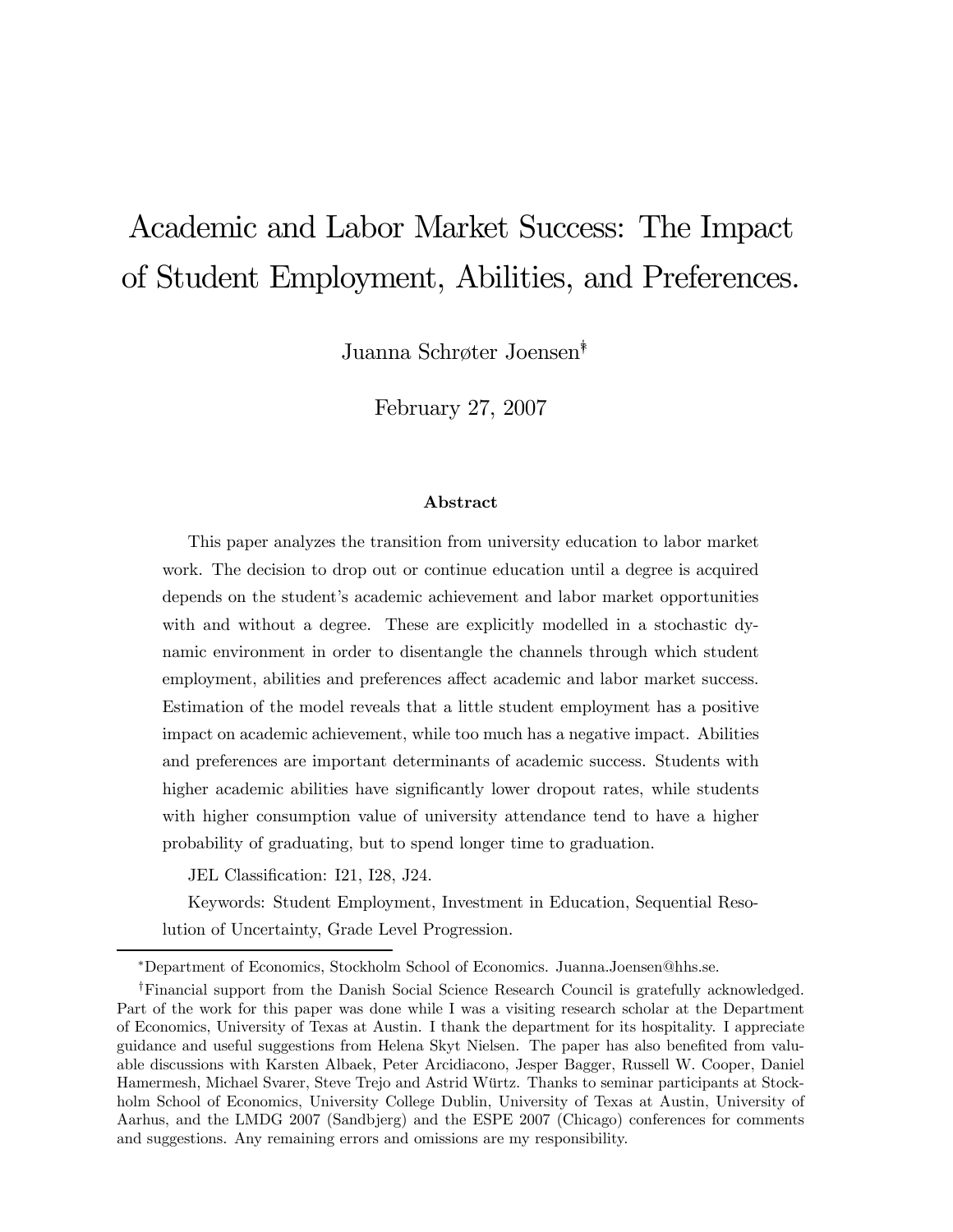# Academic and Labor Market Success: The Impact of Student Employment, Abilities, and Preferences.

Juanna Schrøter Joensen∗†

February 27, 2007

#### Abstract

This paper analyzes the transition from university education to labor market work. The decision to drop out or continue education until a degree is acquired depends on the student's academic achievement and labor market opportunities with and without a degree. These are explicitly modelled in a stochastic dynamic environment in order to disentangle the channels through which student employment, abilities and preferences affect academic and labor market success. Estimation of the model reveals that a little student employment has a positive impact on academic achievement, while too much has a negative impact. Abilities and preferences are important determinants of academic success. Students with higher academic abilities have significantly lower dropout rates, while students with higher consumption value of university attendance tend to have a higher probability of graduating, but to spend longer time to graduation.

JEL Classification: I21, I28, J24.

Keywords: Student Employment, Investment in Education, Sequential Resolution of Uncertainty, Grade Level Progression.

<sup>∗</sup>Department of Economics, Stockholm School of Economics. Juanna.Joensen@hhs.se.

<sup>†</sup>Financial support from the Danish Social Science Research Council is gratefully acknowledged. Part of the work for this paper was done while I was a visiting research scholar at the Department of Economics, University of Texas at Austin. I thank the department for its hospitality. I appreciate guidance and useful suggestions from Helena Skyt Nielsen. The paper has also benefited from valuable discussions with Karsten Albaek, Peter Arcidiacono, Jesper Bagger, Russell W. Cooper, Daniel Hamermesh, Michael Svarer, Steve Trejo and Astrid Würtz. Thanks to seminar participants at Stockholm School of Economics, University College Dublin, University of Texas at Austin, University of Aarhus, and the LMDG 2007 (Sandbjerg) and the ESPE 2007 (Chicago) conferences for comments and suggestions. Any remaining errors and omissions are my responsibility.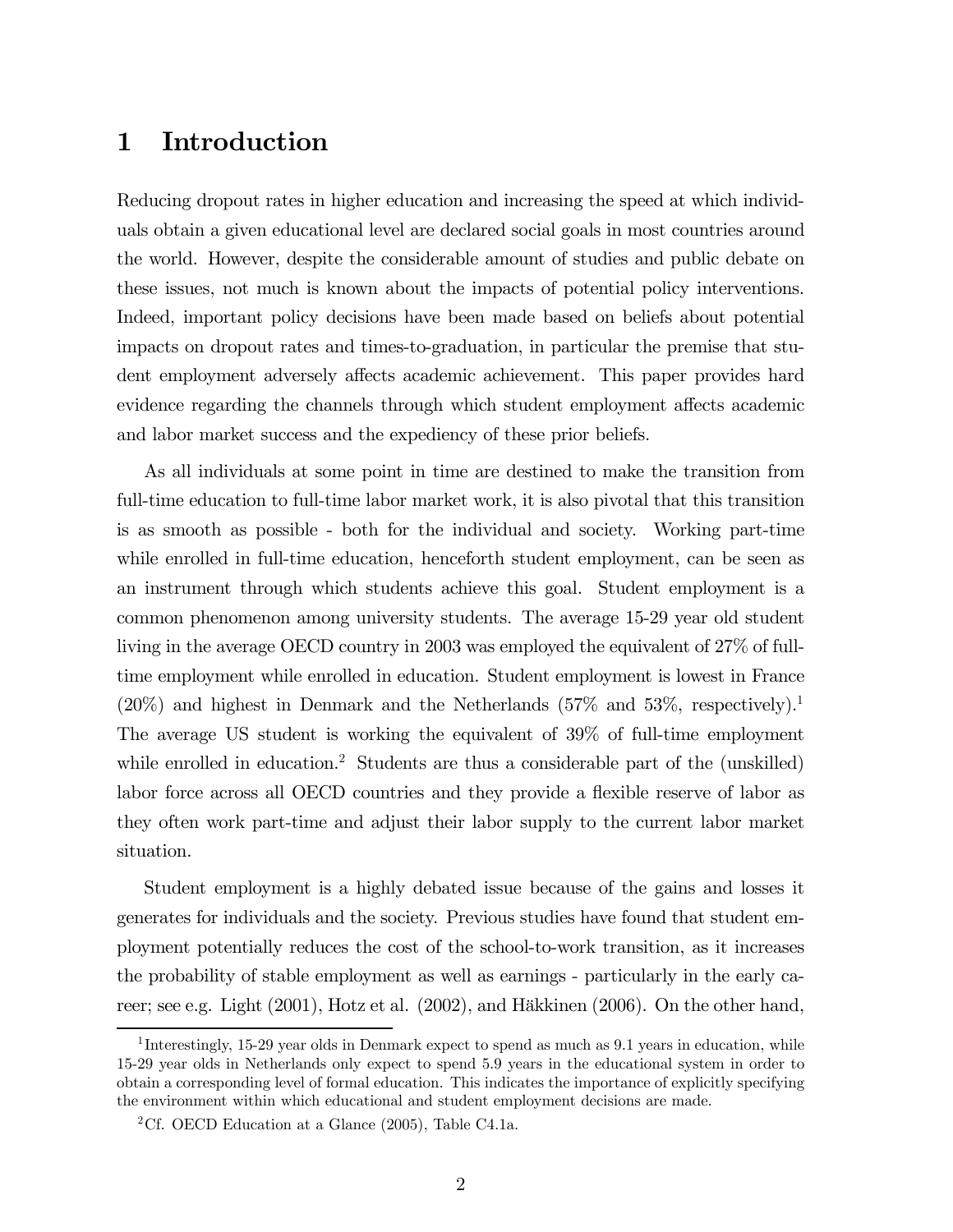# 1 Introduction

Reducing dropout rates in higher education and increasing the speed at which individuals obtain a given educational level are declared social goals in most countries around the world. However, despite the considerable amount of studies and public debate on these issues, not much is known about the impacts of potential policy interventions. Indeed, important policy decisions have been made based on beliefs about potential impacts on dropout rates and times-to-graduation, in particular the premise that student employment adversely affects academic achievement. This paper provides hard evidence regarding the channels through which student employment affects academic and labor market success and the expediency of these prior beliefs.

As all individuals at some point in time are destined to make the transition from full-time education to full-time labor market work, it is also pivotal that this transition is as smooth as possible - both for the individual and society. Working part-time while enrolled in full-time education, henceforth student employment, can be seen as an instrument through which students achieve this goal. Student employment is a common phenomenon among university students. The average 15-29 year old student living in the average OECD country in 2003 was employed the equivalent of 27% of fulltime employment while enrolled in education. Student employment is lowest in France  $(20\%)$  and highest in Denmark and the Netherlands  $(57\%$  and  $53\%$ , respectively).<sup>1</sup> The average US student is working the equivalent of 39% of full-time employment while enrolled in education.<sup>2</sup> Students are thus a considerable part of the (unskilled) labor force across all OECD countries and they provide a flexible reserve of labor as they often work part-time and adjust their labor supply to the current labor market situation.

Student employment is a highly debated issue because of the gains and losses it generates for individuals and the society. Previous studies have found that student employment potentially reduces the cost of the school-to-work transition, as it increases the probability of stable employment as well as earnings - particularly in the early career; see e.g. Light (2001), Hotz et al. (2002), and Häkkinen (2006). On the other hand,

<sup>&</sup>lt;sup>1</sup>Interestingly, 15-29 year olds in Denmark expect to spend as much as 9.1 years in education, while 15-29 year olds in Netherlands only expect to spend 5.9 years in the educational system in order to obtain a corresponding level of formal education. This indicates the importance of explicitly specifying the environment within which educational and student employment decisions are made.

<sup>&</sup>lt;sup>2</sup>Cf. OECD Education at a Glance  $(2005)$ , Table C4.1a.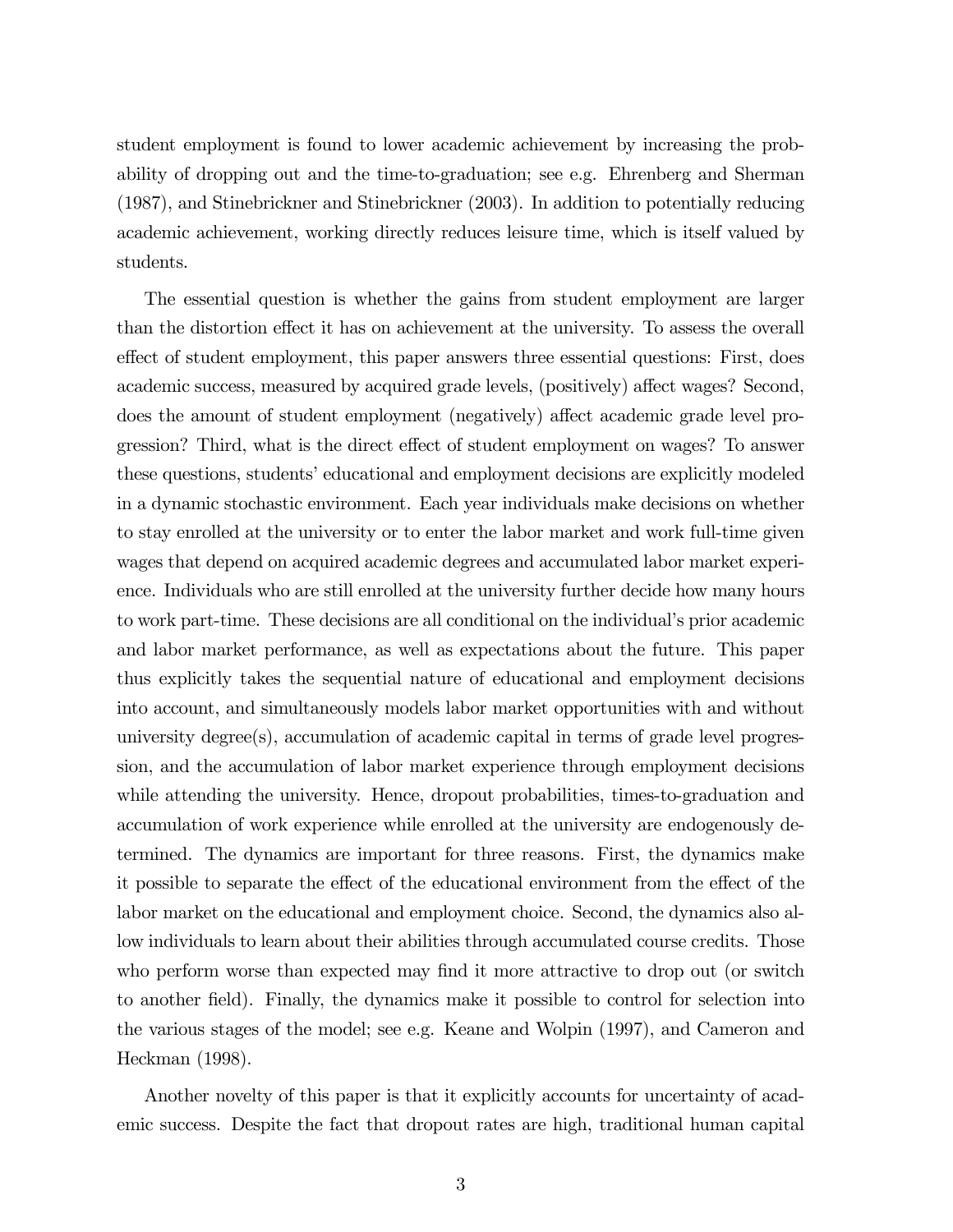student employment is found to lower academic achievement by increasing the probability of dropping out and the time-to-graduation; see e.g. Ehrenberg and Sherman (1987), and Stinebrickner and Stinebrickner (2003). In addition to potentially reducing academic achievement, working directly reduces leisure time, which is itself valued by students.

The essential question is whether the gains from student employment are larger than the distortion effect it has on achievement at the university. To assess the overall effect of student employment, this paper answers three essential questions: First, does academic success, measured by acquired grade levels, (positively) affect wages? Second, does the amount of student employment (negatively) affect academic grade level progression? Third, what is the direct effect of student employment on wages? To answer these questions, students' educational and employment decisions are explicitly modeled in a dynamic stochastic environment. Each year individuals make decisions on whether to stay enrolled at the university or to enter the labor market and work full-time given wages that depend on acquired academic degrees and accumulated labor market experience. Individuals who are still enrolled at the university further decide how many hours to work part-time. These decisions are all conditional on the individual's prior academic and labor market performance, as well as expectations about the future. This paper thus explicitly takes the sequential nature of educational and employment decisions into account, and simultaneously models labor market opportunities with and without university degree(s), accumulation of academic capital in terms of grade level progression, and the accumulation of labor market experience through employment decisions while attending the university. Hence, dropout probabilities, times-to-graduation and accumulation of work experience while enrolled at the university are endogenously determined. The dynamics are important for three reasons. First, the dynamics make it possible to separate the effect of the educational environment from the effect of the labor market on the educational and employment choice. Second, the dynamics also allow individuals to learn about their abilities through accumulated course credits. Those who perform worse than expected may find it more attractive to drop out (or switch to another field). Finally, the dynamics make it possible to control for selection into the various stages of the model; see e.g. Keane and Wolpin (1997), and Cameron and Heckman (1998).

Another novelty of this paper is that it explicitly accounts for uncertainty of academic success. Despite the fact that dropout rates are high, traditional human capital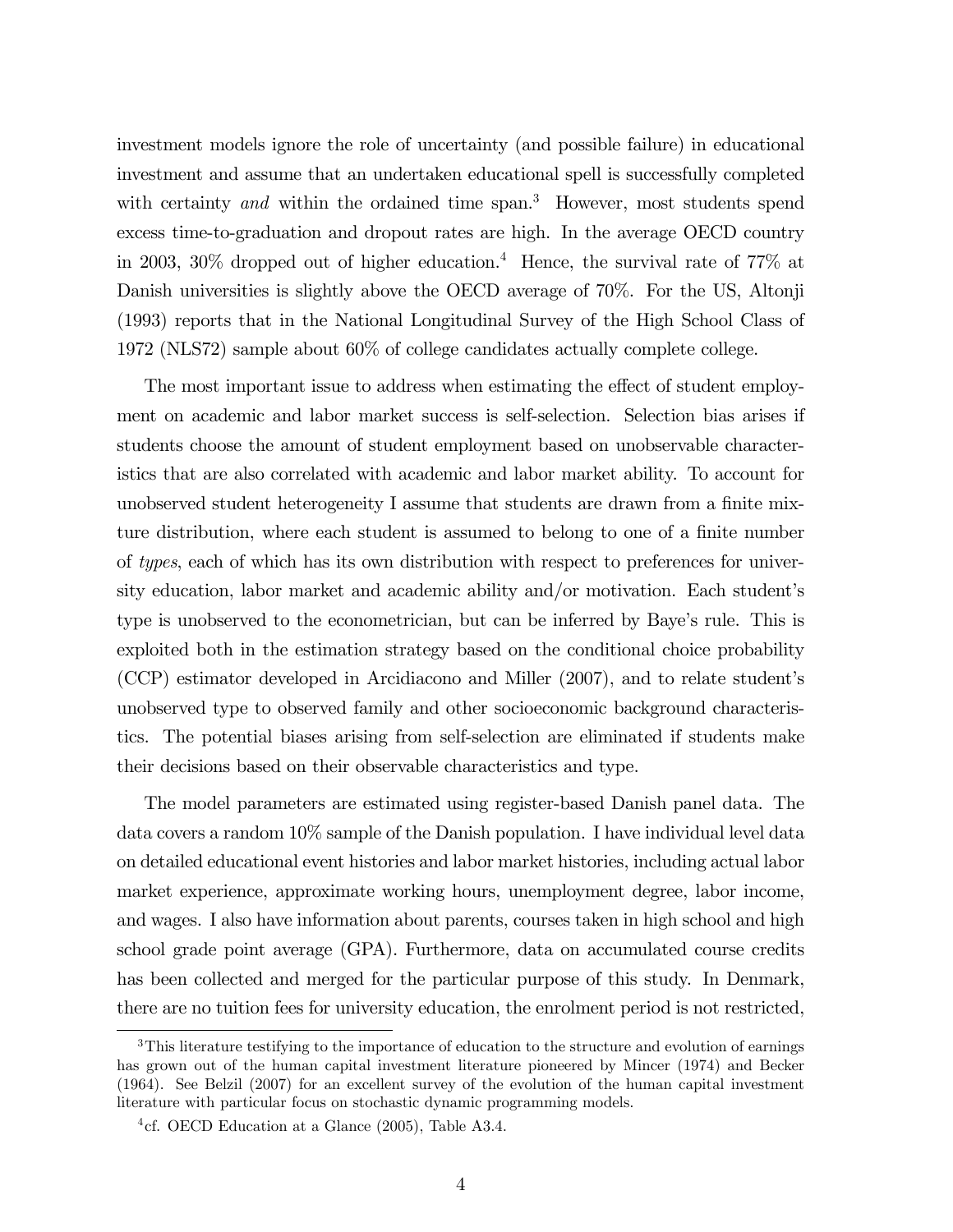investment models ignore the role of uncertainty (and possible failure) in educational investment and assume that an undertaken educational spell is successfully completed with certainty and within the ordained time span.<sup>3</sup> However, most students spend excess time-to-graduation and dropout rates are high. In the average OECD country in 2003, 30% dropped out of higher education.<sup>4</sup> Hence, the survival rate of 77% at Danish universities is slightly above the OECD average of 70%. For the US, Altonji (1993) reports that in the National Longitudinal Survey of the High School Class of 1972 (NLS72) sample about 60% of college candidates actually complete college.

The most important issue to address when estimating the effect of student employment on academic and labor market success is self-selection. Selection bias arises if students choose the amount of student employment based on unobservable characteristics that are also correlated with academic and labor market ability. To account for unobserved student heterogeneity I assume that students are drawn from a finite mixture distribution, where each student is assumed to belong to one of a finite number of types, each of which has its own distribution with respect to preferences for university education, labor market and academic ability and/or motivation. Each student's type is unobserved to the econometrician, but can be inferred by Baye's rule. This is exploited both in the estimation strategy based on the conditional choice probability (CCP) estimator developed in Arcidiacono and Miller (2007), and to relate student's unobserved type to observed family and other socioeconomic background characteristics. The potential biases arising from self-selection are eliminated if students make their decisions based on their observable characteristics and type.

The model parameters are estimated using register-based Danish panel data. The data covers a random 10% sample of the Danish population. I have individual level data on detailed educational event histories and labor market histories, including actual labor market experience, approximate working hours, unemployment degree, labor income, and wages. I also have information about parents, courses taken in high school and high school grade point average (GPA). Furthermore, data on accumulated course credits has been collected and merged for the particular purpose of this study. In Denmark, there are no tuition fees for university education, the enrolment period is not restricted,

<sup>&</sup>lt;sup>3</sup>This literature testifying to the importance of education to the structure and evolution of earnings has grown out of the human capital investment literature pioneered by Mincer (1974) and Becker (1964). See Belzil (2007) for an excellent survey of the evolution of the human capital investment literature with particular focus on stochastic dynamic programming models.

<sup>&</sup>lt;sup>4</sup>cf. OECD Education at a Glance  $(2005)$ , Table A3.4.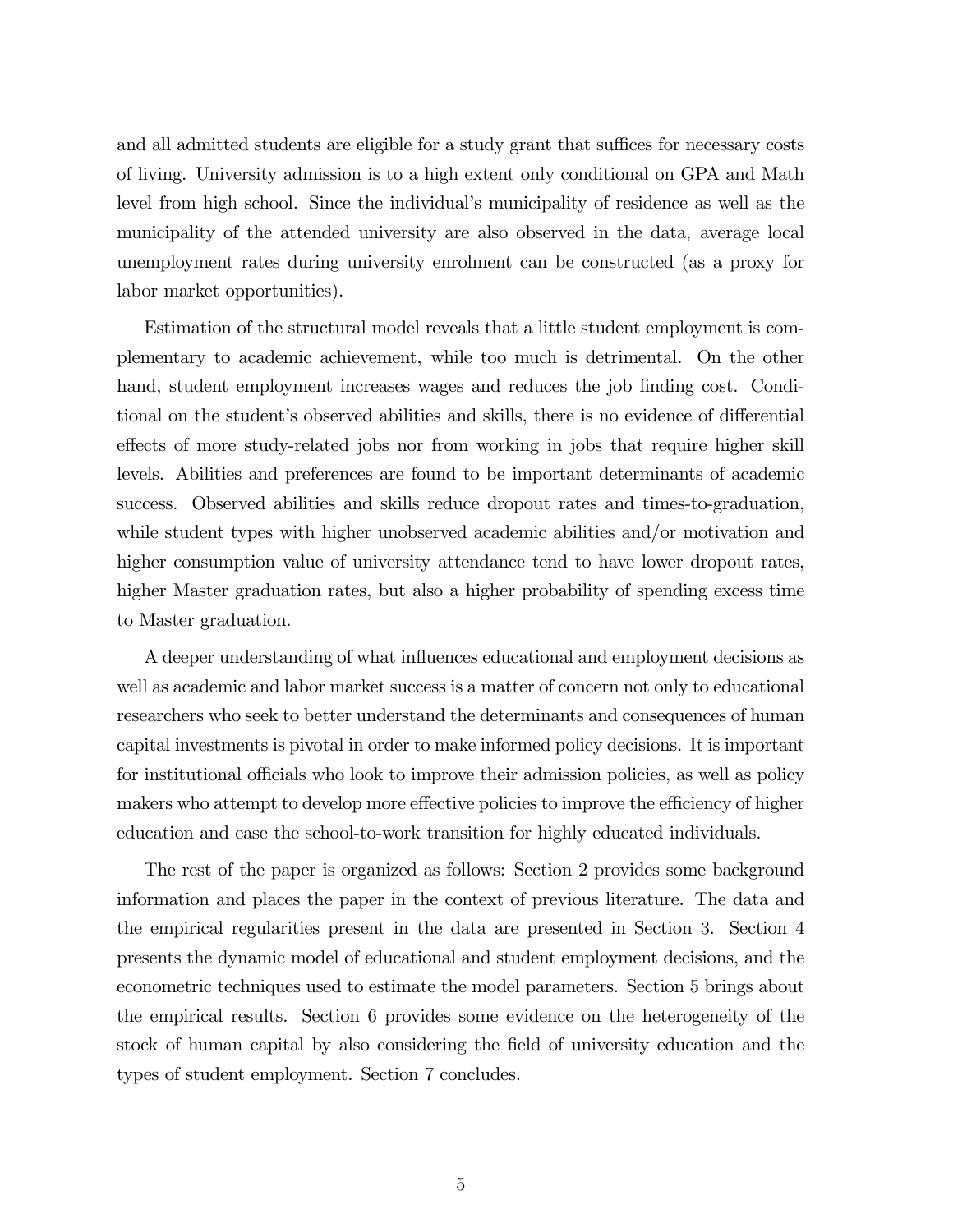and all admitted students are eligible for a study grant that suffices for necessary costs of living. University admission is to a high extent only conditional on GPA and Math level from high school. Since the individual's municipality of residence as well as the municipality of the attended university are also observed in the data, average local unemployment rates during university enrolment can be constructed (as a proxy for labor market opportunities).

Estimation of the structural model reveals that a little student employment is complementary to academic achievement, while too much is detrimental. On the other hand, student employment increases wages and reduces the job finding cost. Conditional on the student's observed abilities and skills, there is no evidence of differential effects of more study-related jobs nor from working in jobs that require higher skill levels. Abilities and preferences are found to be important determinants of academic success. Observed abilities and skills reduce dropout rates and times-to-graduation, while student types with higher unobserved academic abilities and/or motivation and higher consumption value of university attendance tend to have lower dropout rates, higher Master graduation rates, but also a higher probability of spending excess time to Master graduation.

A deeper understanding of what influences educational and employment decisions as well as academic and labor market success is a matter of concern not only to educational researchers who seek to better understand the determinants and consequences of human capital investments is pivotal in order to make informed policy decisions. It is important for institutional officials who look to improve their admission policies, as well as policy makers who attempt to develop more effective policies to improve the efficiency of higher education and ease the school-to-work transition for highly educated individuals.

The rest of the paper is organized as follows: Section 2 provides some background information and places the paper in the context of previous literature. The data and the empirical regularities present in the data are presented in Section 3. Section 4 presents the dynamic model of educational and student employment decisions, and the econometric techniques used to estimate the model parameters. Section 5 brings about the empirical results. Section 6 provides some evidence on the heterogeneity of the stock of human capital by also considering the field of university education and the types of student employment. Section 7 concludes.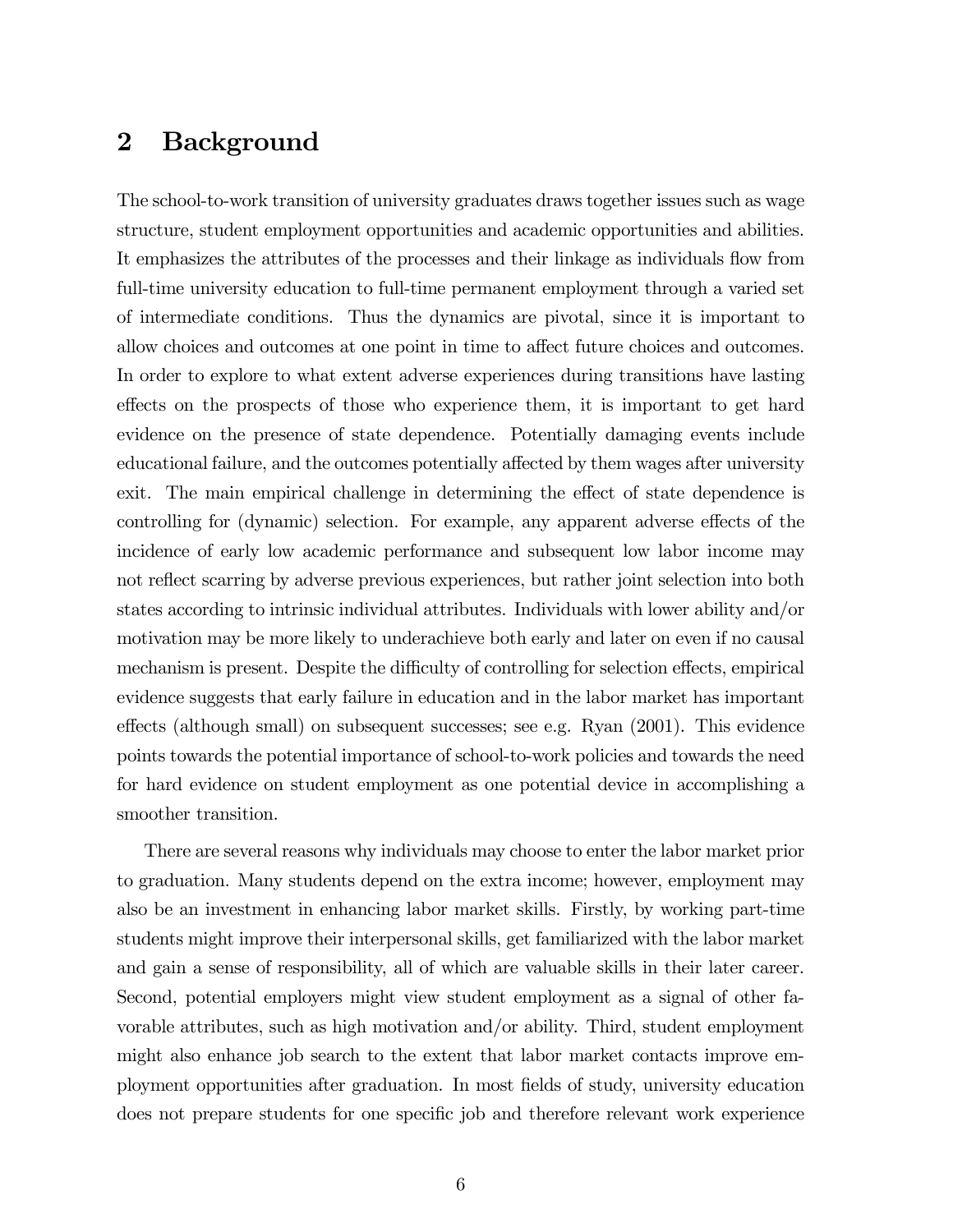## 2 Background

The school-to-work transition of university graduates draws together issues such as wage structure, student employment opportunities and academic opportunities and abilities. It emphasizes the attributes of the processes and their linkage as individuals flow from full-time university education to full-time permanent employment through a varied set of intermediate conditions. Thus the dynamics are pivotal, since it is important to allow choices and outcomes at one point in time to affect future choices and outcomes. In order to explore to what extent adverse experiences during transitions have lasting effects on the prospects of those who experience them, it is important to get hard evidence on the presence of state dependence. Potentially damaging events include educational failure, and the outcomes potentially affected by them wages after university exit. The main empirical challenge in determining the effect of state dependence is controlling for (dynamic) selection. For example, any apparent adverse effects of the incidence of early low academic performance and subsequent low labor income may not reflect scarring by adverse previous experiences, but rather joint selection into both states according to intrinsic individual attributes. Individuals with lower ability and/or motivation may be more likely to underachieve both early and later on even if no causal mechanism is present. Despite the difficulty of controlling for selection effects, empirical evidence suggests that early failure in education and in the labor market has important effects (although small) on subsequent successes; see e.g. Ryan (2001). This evidence points towards the potential importance of school-to-work policies and towards the need for hard evidence on student employment as one potential device in accomplishing a smoother transition.

There are several reasons why individuals may choose to enter the labor market prior to graduation. Many students depend on the extra income; however, employment may also be an investment in enhancing labor market skills. Firstly, by working part-time students might improve their interpersonal skills, get familiarized with the labor market and gain a sense of responsibility, all of which are valuable skills in their later career. Second, potential employers might view student employment as a signal of other favorable attributes, such as high motivation and/or ability. Third, student employment might also enhance job search to the extent that labor market contacts improve employment opportunities after graduation. In most fields of study, university education does not prepare students for one specific job and therefore relevant work experience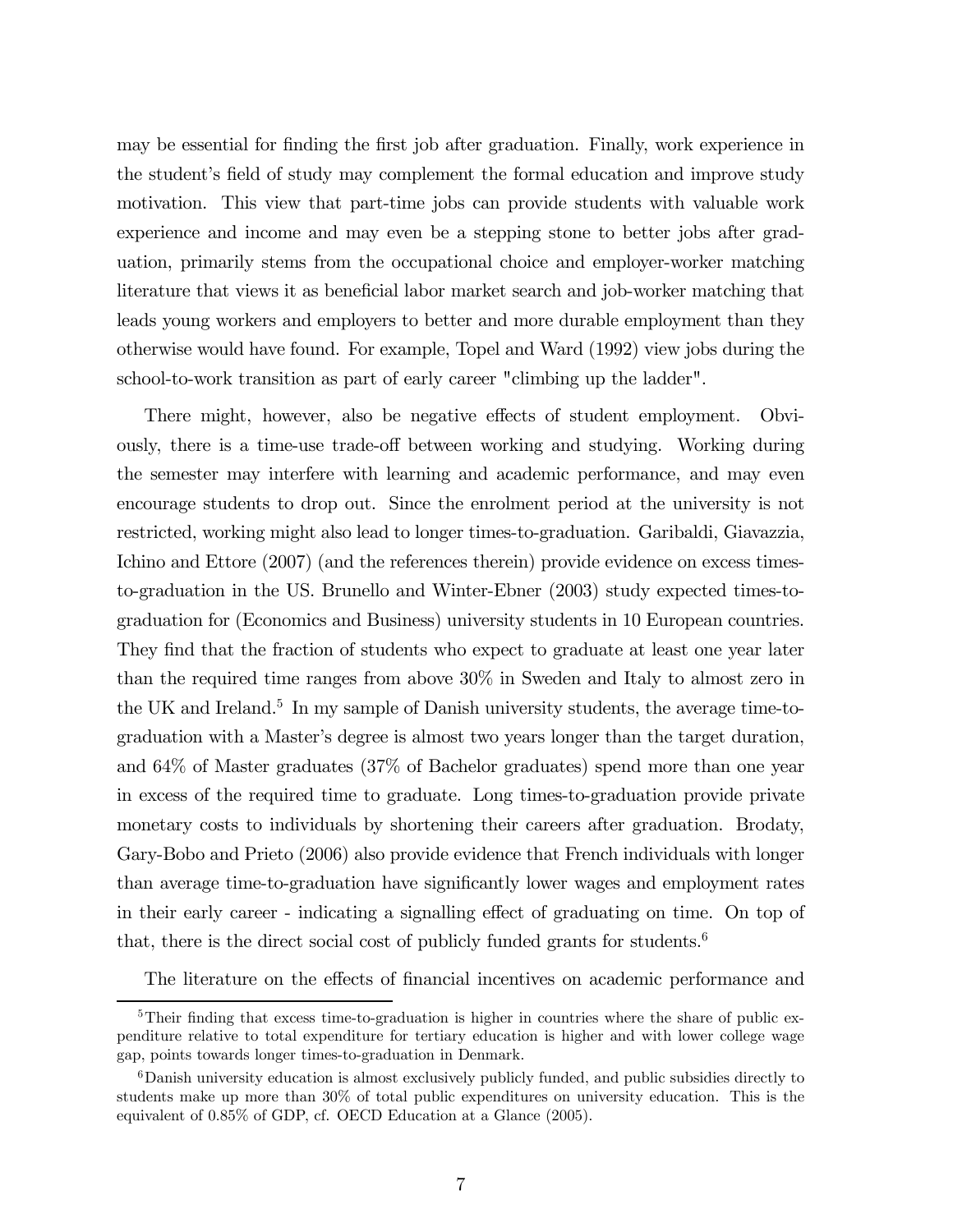may be essential for finding the first job after graduation. Finally, work experience in the student's field of study may complement the formal education and improve study motivation. This view that part-time jobs can provide students with valuable work experience and income and may even be a stepping stone to better jobs after graduation, primarily stems from the occupational choice and employer-worker matching literature that views it as beneficial labor market search and job-worker matching that leads young workers and employers to better and more durable employment than they otherwise would have found. For example, Topel and Ward (1992) view jobs during the school-to-work transition as part of early career "climbing up the ladder".

There might, however, also be negative effects of student employment. Obviously, there is a time-use trade-off between working and studying. Working during the semester may interfere with learning and academic performance, and may even encourage students to drop out. Since the enrolment period at the university is not restricted, working might also lead to longer times-to-graduation. Garibaldi, Giavazzia, Ichino and Ettore (2007) (and the references therein) provide evidence on excess timesto-graduation in the US. Brunello and Winter-Ebner (2003) study expected times-tograduation for (Economics and Business) university students in 10 European countries. They find that the fraction of students who expect to graduate at least one year later than the required time ranges from above 30% in Sweden and Italy to almost zero in the UK and Ireland.<sup>5</sup> In my sample of Danish university students, the average time-tograduation with a Master's degree is almost two years longer than the target duration, and 64% of Master graduates (37% of Bachelor graduates) spend more than one year in excess of the required time to graduate. Long times-to-graduation provide private monetary costs to individuals by shortening their careers after graduation. Brodaty, Gary-Bobo and Prieto (2006) also provide evidence that French individuals with longer than average time-to-graduation have significantly lower wages and employment rates in their early career - indicating a signalling effect of graduating on time. On top of that, there is the direct social cost of publicly funded grants for students.<sup>6</sup>

The literature on the effects of financial incentives on academic performance and

<sup>&</sup>lt;sup>5</sup>Their finding that excess time-to-graduation is higher in countries where the share of public expenditure relative to total expenditure for tertiary education is higher and with lower college wage gap, points towards longer times-to-graduation in Denmark.

<sup>6</sup>Danish university education is almost exclusively publicly funded, and public subsidies directly to students make up more than 30% of total public expenditures on university education. This is the equivalent of 0.85% of GDP, cf. OECD Education at a Glance (2005).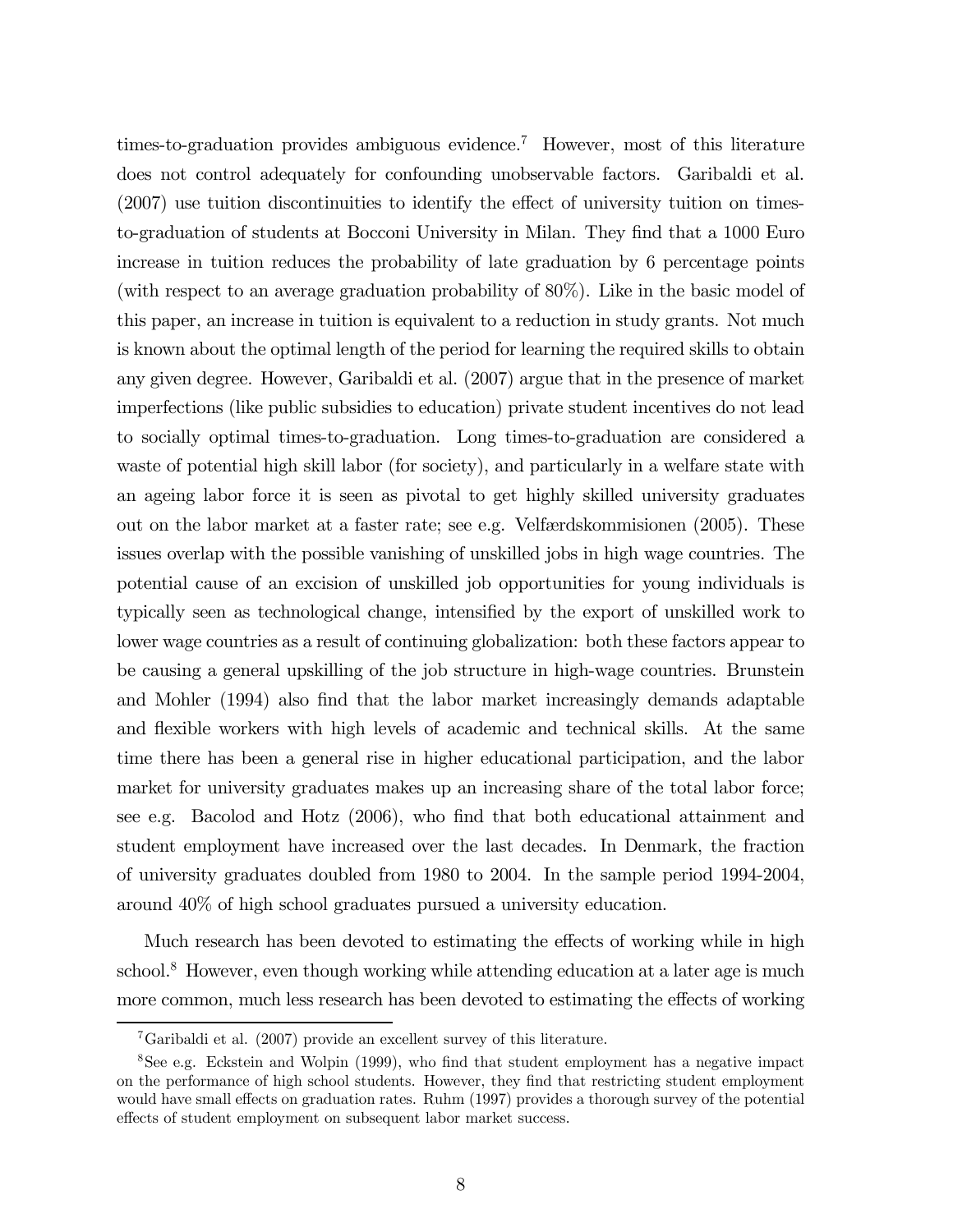times-to-graduation provides ambiguous evidence.<sup>7</sup> However, most of this literature does not control adequately for confounding unobservable factors. Garibaldi et al. (2007) use tuition discontinuities to identify the effect of university tuition on timesto-graduation of students at Bocconi University in Milan. They find that a 1000 Euro increase in tuition reduces the probability of late graduation by 6 percentage points (with respect to an average graduation probability of 80%). Like in the basic model of this paper, an increase in tuition is equivalent to a reduction in study grants. Not much is known about the optimal length of the period for learning the required skills to obtain any given degree. However, Garibaldi et al. (2007) argue that in the presence of market imperfections (like public subsidies to education) private student incentives do not lead to socially optimal times-to-graduation. Long times-to-graduation are considered a waste of potential high skill labor (for society), and particularly in a welfare state with an ageing labor force it is seen as pivotal to get highly skilled university graduates out on the labor market at a faster rate; see e.g. Velfærdskommisionen (2005). These issues overlap with the possible vanishing of unskilled jobs in high wage countries. The potential cause of an excision of unskilled job opportunities for young individuals is typically seen as technological change, intensified by the export of unskilled work to lower wage countries as a result of continuing globalization: both these factors appear to be causing a general upskilling of the job structure in high-wage countries. Brunstein and Mohler (1994) also find that the labor market increasingly demands adaptable and flexible workers with high levels of academic and technical skills. At the same time there has been a general rise in higher educational participation, and the labor market for university graduates makes up an increasing share of the total labor force; see e.g. Bacolod and Hotz (2006), who find that both educational attainment and student employment have increased over the last decades. In Denmark, the fraction of university graduates doubled from 1980 to 2004. In the sample period 1994-2004, around 40% of high school graduates pursued a university education.

Much research has been devoted to estimating the effects of working while in high school.<sup>8</sup> However, even though working while attending education at a later age is much more common, much less research has been devoted to estimating the effects of working

<sup>7</sup>Garibaldi et al. (2007) provide an excellent survey of this literature.

<sup>8</sup>See e.g. Eckstein and Wolpin (1999), who find that student employment has a negative impact on the performance of high school students. However, they find that restricting student employment would have small effects on graduation rates. Ruhm (1997) provides a thorough survey of the potential effects of student employment on subsequent labor market success.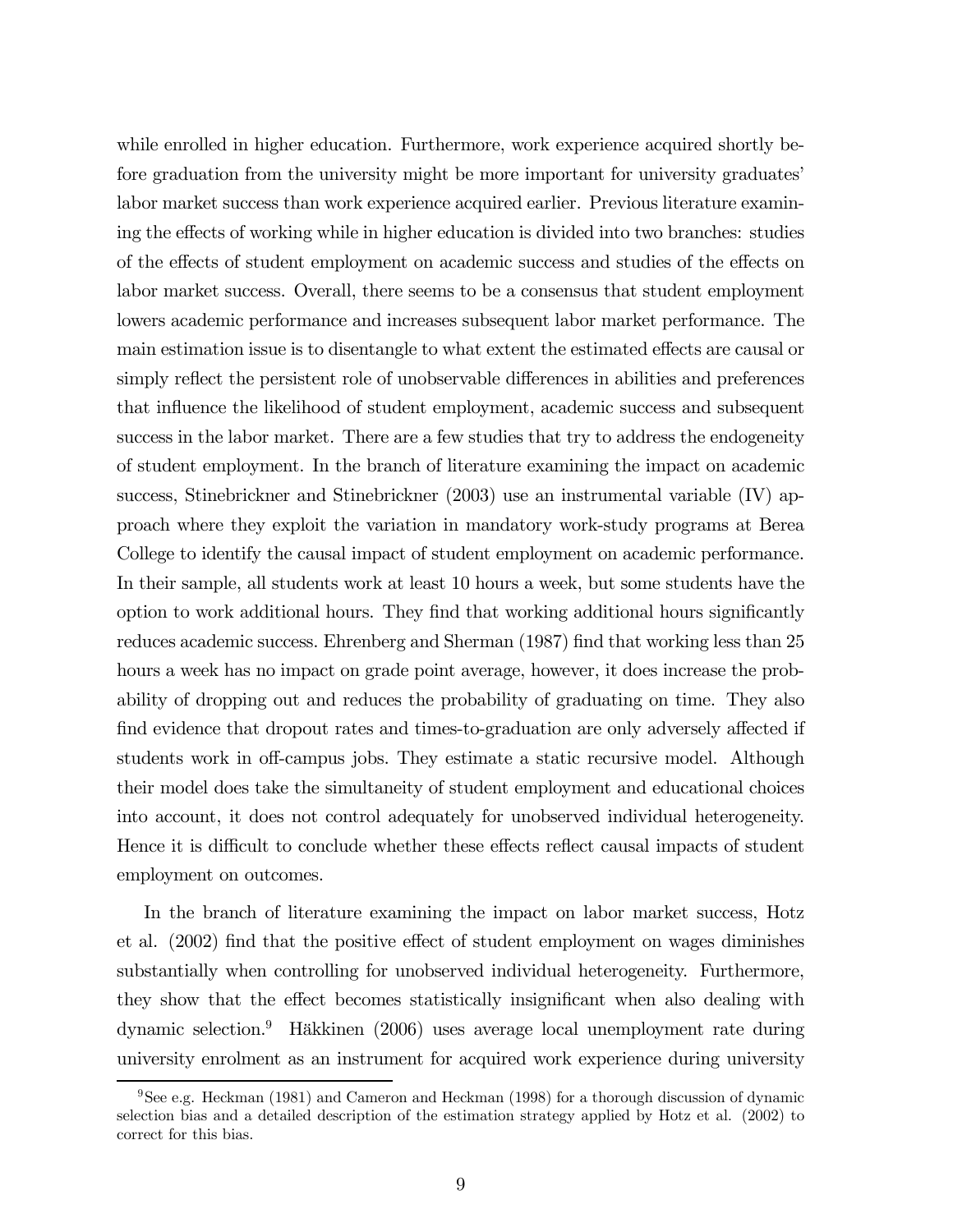while enrolled in higher education. Furthermore, work experience acquired shortly before graduation from the university might be more important for university graduates' labor market success than work experience acquired earlier. Previous literature examining the effects of working while in higher education is divided into two branches: studies of the effects of student employment on academic success and studies of the effects on labor market success. Overall, there seems to be a consensus that student employment lowers academic performance and increases subsequent labor market performance. The main estimation issue is to disentangle to what extent the estimated effects are causal or simply reflect the persistent role of unobservable differences in abilities and preferences that influence the likelihood of student employment, academic success and subsequent success in the labor market. There are a few studies that try to address the endogeneity of student employment. In the branch of literature examining the impact on academic success, Stinebrickner and Stinebrickner (2003) use an instrumental variable (IV) approach where they exploit the variation in mandatory work-study programs at Berea College to identify the causal impact of student employment on academic performance. In their sample, all students work at least 10 hours a week, but some students have the option to work additional hours. They find that working additional hours significantly reduces academic success. Ehrenberg and Sherman (1987) find that working less than 25 hours a week has no impact on grade point average, however, it does increase the probability of dropping out and reduces the probability of graduating on time. They also find evidence that dropout rates and times-to-graduation are only adversely affected if students work in off-campus jobs. They estimate a static recursive model. Although their model does take the simultaneity of student employment and educational choices into account, it does not control adequately for unobserved individual heterogeneity. Hence it is difficult to conclude whether these effects reflect causal impacts of student employment on outcomes.

In the branch of literature examining the impact on labor market success, Hotz et al. (2002) find that the positive effect of student employment on wages diminishes substantially when controlling for unobserved individual heterogeneity. Furthermore, they show that the effect becomes statistically insignificant when also dealing with dynamic selection.9 Häkkinen (2006) uses average local unemployment rate during university enrolment as an instrument for acquired work experience during university

<sup>9</sup>See e.g. Heckman (1981) and Cameron and Heckman (1998) for a thorough discussion of dynamic selection bias and a detailed description of the estimation strategy applied by Hotz et al. (2002) to correct for this bias.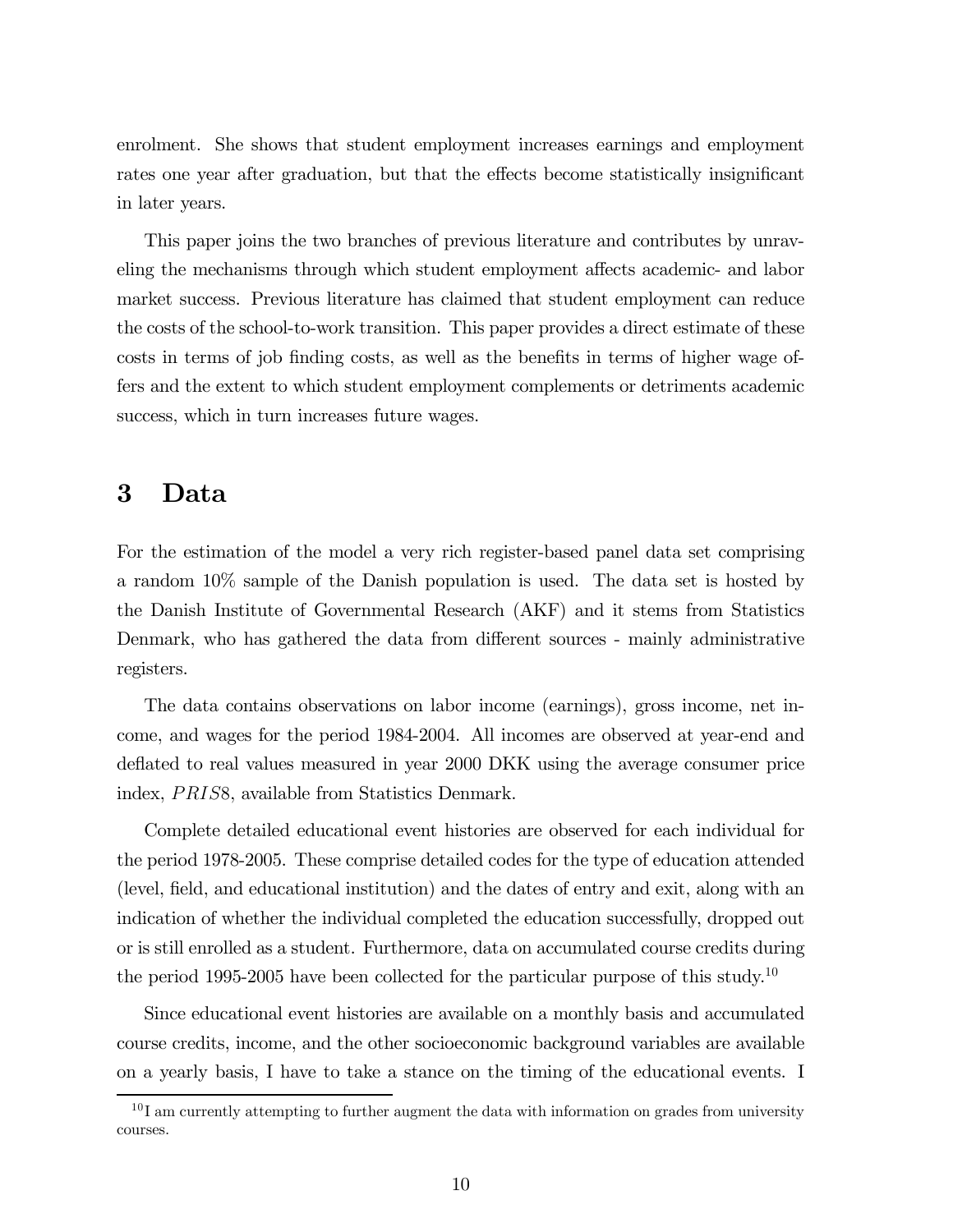enrolment. She shows that student employment increases earnings and employment rates one year after graduation, but that the effects become statistically insignificant in later years.

This paper joins the two branches of previous literature and contributes by unraveling the mechanisms through which student employment affects academic- and labor market success. Previous literature has claimed that student employment can reduce the costs of the school-to-work transition. This paper provides a direct estimate of these costs in terms of job finding costs, as well as the benefits in terms of higher wage offers and the extent to which student employment complements or detriments academic success, which in turn increases future wages.

## 3 Data

For the estimation of the model a very rich register-based panel data set comprising a random 10% sample of the Danish population is used. The data set is hosted by the Danish Institute of Governmental Research (AKF) and it stems from Statistics Denmark, who has gathered the data from different sources - mainly administrative registers.

The data contains observations on labor income (earnings), gross income, net income, and wages for the period 1984-2004. All incomes are observed at year-end and deflated to real values measured in year 2000 DKK using the average consumer price index, *PRIS8*, available from Statistics Denmark.

Complete detailed educational event histories are observed for each individual for the period 1978-2005. These comprise detailed codes for the type of education attended (level, field, and educational institution) and the dates of entry and exit, along with an indication of whether the individual completed the education successfully, dropped out or is still enrolled as a student. Furthermore, data on accumulated course credits during the period 1995-2005 have been collected for the particular purpose of this study.<sup>10</sup>

Since educational event histories are available on a monthly basis and accumulated course credits, income, and the other socioeconomic background variables are available on a yearly basis, I have to take a stance on the timing of the educational events. I

 $10$  I am currently attempting to further augment the data with information on grades from university courses.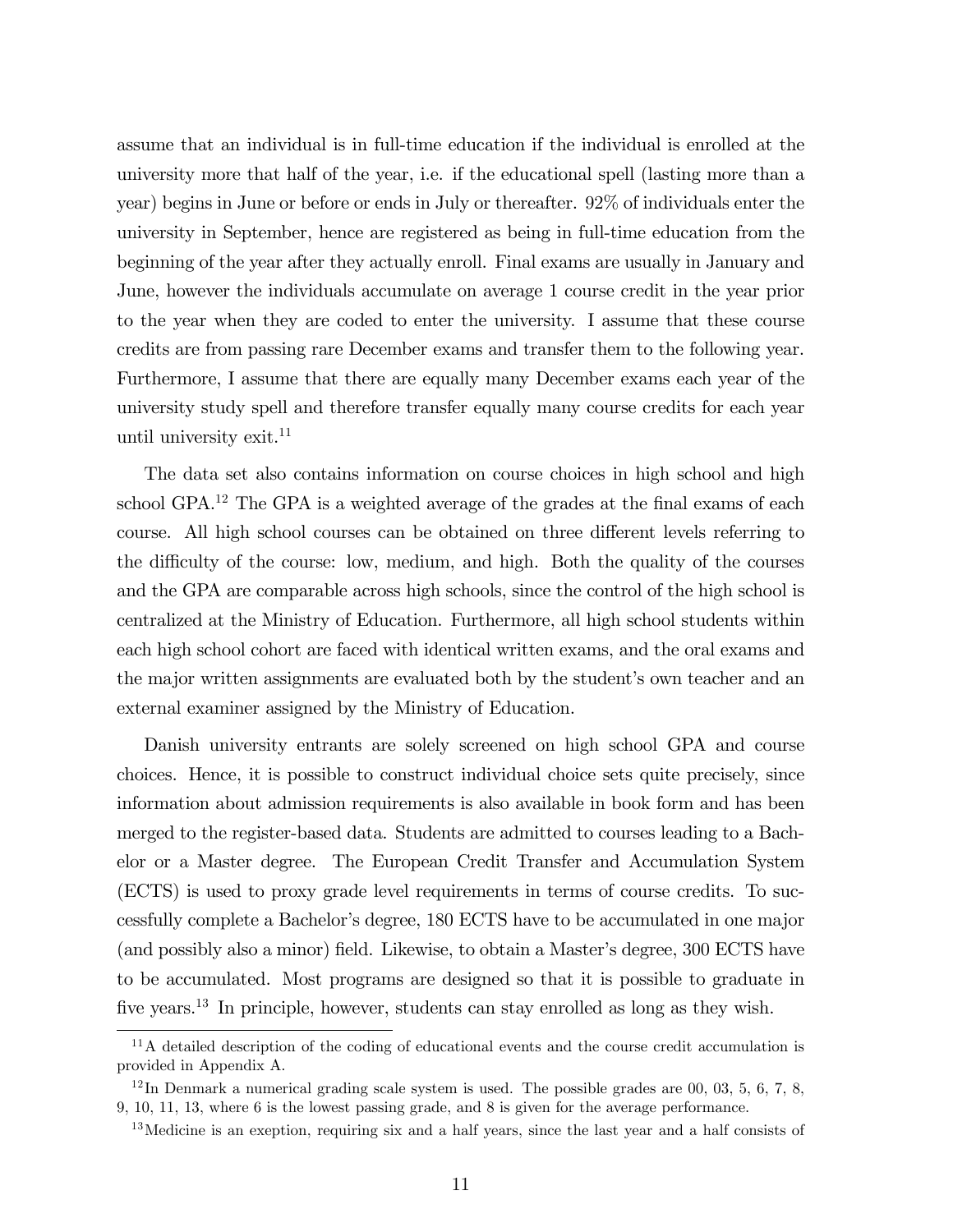assume that an individual is in full-time education if the individual is enrolled at the university more that half of the year, i.e. if the educational spell (lasting more than a year) begins in June or before or ends in July or thereafter. 92% of individuals enter the university in September, hence are registered as being in full-time education from the beginning of the year after they actually enroll. Final exams are usually in January and June, however the individuals accumulate on average 1 course credit in the year prior to the year when they are coded to enter the university. I assume that these course credits are from passing rare December exams and transfer them to the following year. Furthermore, I assume that there are equally many December exams each year of the university study spell and therefore transfer equally many course credits for each year until university exit. $11$ 

The data set also contains information on course choices in high school and high school GPA.12 The GPA is a weighted average of the grades at the final exams of each course. All high school courses can be obtained on three different levels referring to the difficulty of the course: low, medium, and high. Both the quality of the courses and the GPA are comparable across high schools, since the control of the high school is centralized at the Ministry of Education. Furthermore, all high school students within each high school cohort are faced with identical written exams, and the oral exams and the major written assignments are evaluated both by the student's own teacher and an external examiner assigned by the Ministry of Education.

Danish university entrants are solely screened on high school GPA and course choices. Hence, it is possible to construct individual choice sets quite precisely, since information about admission requirements is also available in book form and has been merged to the register-based data. Students are admitted to courses leading to a Bachelor or a Master degree. The European Credit Transfer and Accumulation System (ECTS) is used to proxy grade level requirements in terms of course credits. To successfully complete a Bachelor's degree, 180 ECTS have to be accumulated in one major (and possibly also a minor) field. Likewise, to obtain a Master's degree, 300 ECTS have to be accumulated. Most programs are designed so that it is possible to graduate in five years.13 In principle, however, students can stay enrolled as long as they wish.

<sup>&</sup>lt;sup>11</sup>A detailed description of the coding of educational events and the course credit accumulation is provided in Appendix A.

 $12 \text{ In Denmark a numerical grading scale system is used. The possible grades are 00, 03, 5, 6, 7, 8,$ 9, 10, 11, 13, where 6 is the lowest passing grade, and 8 is given for the average performance.

 $13$ Medicine is an exeption, requiring six and a half years, since the last year and a half consists of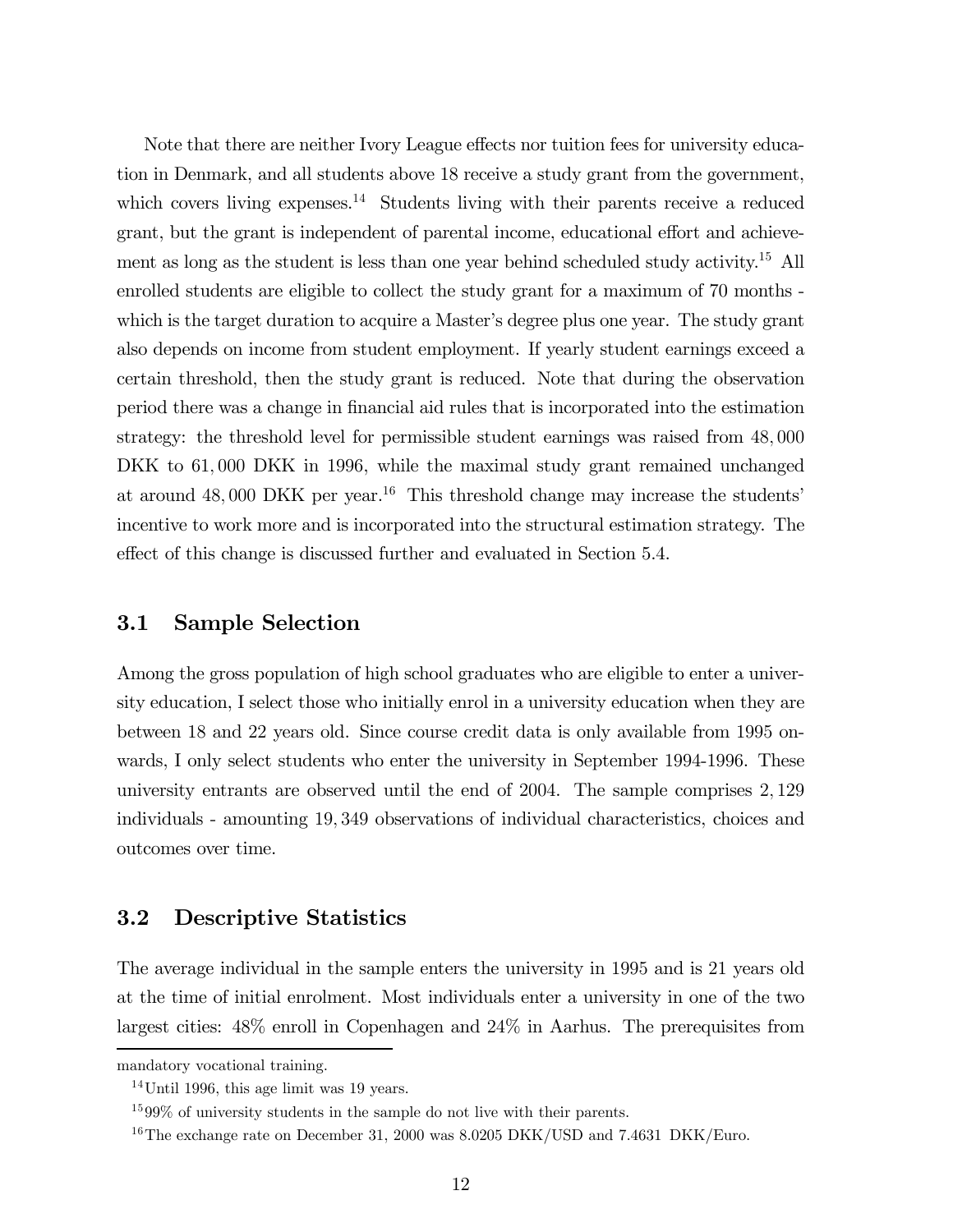Note that there are neither Ivory League effects nor tuition fees for university education in Denmark, and all students above 18 receive a study grant from the government, which covers living expenses.<sup>14</sup> Students living with their parents receive a reduced grant, but the grant is independent of parental income, educational effort and achievement as long as the student is less than one year behind scheduled study activity.<sup>15</sup> All enrolled students are eligible to collect the study grant for a maximum of 70 months which is the target duration to acquire a Master's degree plus one year. The study grant also depends on income from student employment. If yearly student earnings exceed a certain threshold, then the study grant is reduced. Note that during the observation period there was a change in financial aid rules that is incorporated into the estimation strategy: the threshold level for permissible student earnings was raised from 48, 000 DKK to  $61,000$  DKK in 1996, while the maximal study grant remained unchanged at around  $48,000$  DKK per year.<sup>16</sup> This threshold change may increase the students' incentive to work more and is incorporated into the structural estimation strategy. The effect of this change is discussed further and evaluated in Section 5.4.

#### 3.1 Sample Selection

Among the gross population of high school graduates who are eligible to enter a university education, I select those who initially enrol in a university education when they are between 18 and 22 years old. Since course credit data is only available from 1995 onwards, I only select students who enter the university in September 1994-1996. These university entrants are observed until the end of 2004. The sample comprises 2, 129 individuals - amounting 19, 349 observations of individual characteristics, choices and outcomes over time.

## 3.2 Descriptive Statistics

The average individual in the sample enters the university in 1995 and is 21 years old at the time of initial enrolment. Most individuals enter a university in one of the two largest cities: 48% enroll in Copenhagen and 24% in Aarhus. The prerequisites from

mandatory vocational training.

 $14$ Until 1996, this age limit was 19 years.

<sup>15</sup> 99% of university students in the sample do not live with their parents.

<sup>&</sup>lt;sup>16</sup>The exchange rate on December 31, 2000 was 8.0205 DKK/USD and 7.4631 DKK/Euro.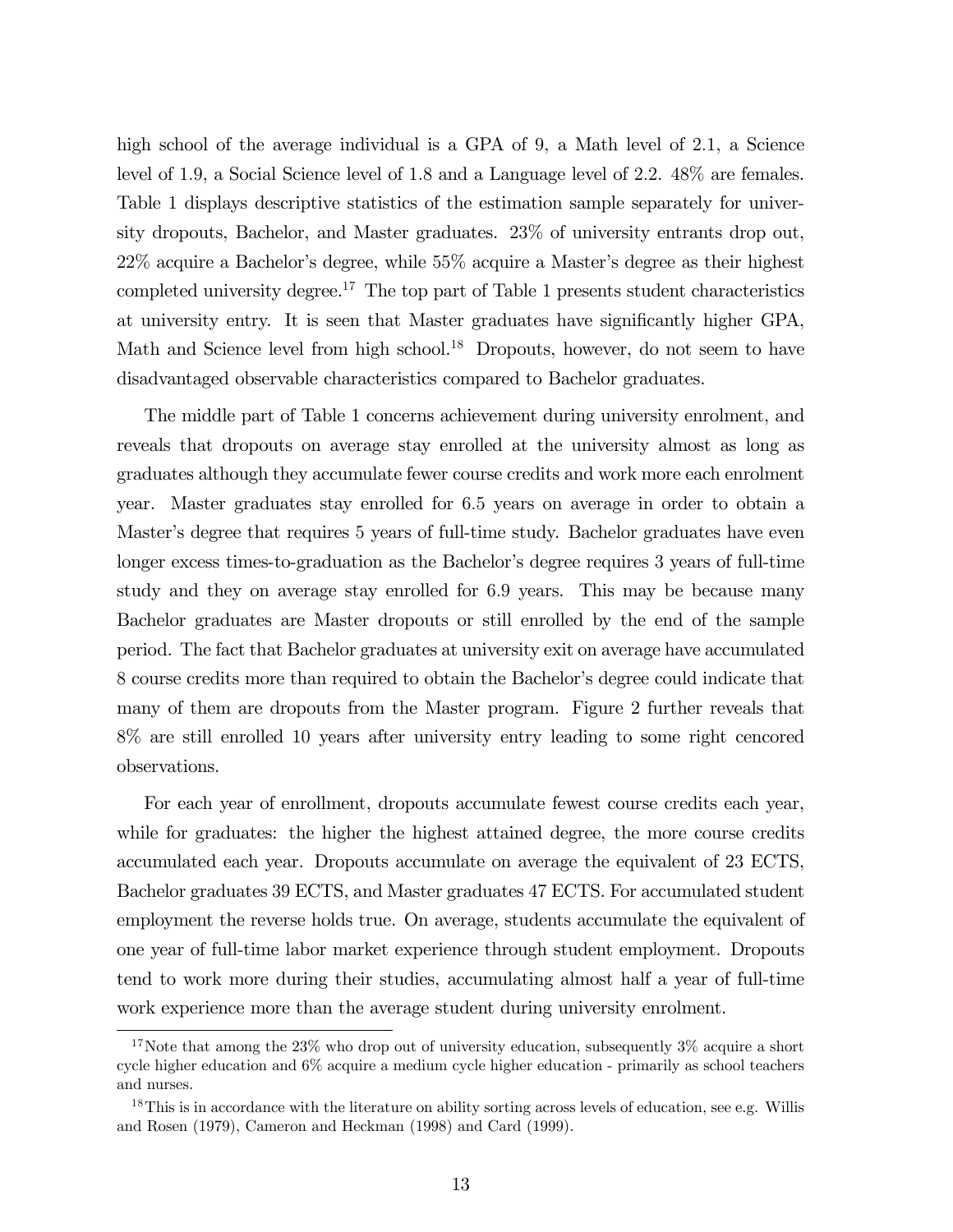high school of the average individual is a GPA of 9, a Math level of 2.1, a Science level of 1.9, a Social Science level of 1.8 and a Language level of 2.2. 48% are females. Table 1 displays descriptive statistics of the estimation sample separately for university dropouts, Bachelor, and Master graduates. 23% of university entrants drop out, 22% acquire a Bachelor's degree, while 55% acquire a Master's degree as their highest completed university degree.<sup>17</sup> The top part of Table 1 presents student characteristics at university entry. It is seen that Master graduates have significantly higher GPA, Math and Science level from high school.<sup>18</sup> Dropouts, however, do not seem to have disadvantaged observable characteristics compared to Bachelor graduates.

The middle part of Table 1 concerns achievement during university enrolment, and reveals that dropouts on average stay enrolled at the university almost as long as graduates although they accumulate fewer course credits and work more each enrolment year. Master graduates stay enrolled for 6.5 years on average in order to obtain a Master's degree that requires 5 years of full-time study. Bachelor graduates have even longer excess times-to-graduation as the Bachelor's degree requires 3 years of full-time study and they on average stay enrolled for 6.9 years. This may be because many Bachelor graduates are Master dropouts or still enrolled by the end of the sample period. The fact that Bachelor graduates at university exit on average have accumulated 8 course credits more than required to obtain the Bachelor's degree could indicate that many of them are dropouts from the Master program. Figure 2 further reveals that 8% are still enrolled 10 years after university entry leading to some right cencored observations.

For each year of enrollment, dropouts accumulate fewest course credits each year, while for graduates: the higher the highest attained degree, the more course credits accumulated each year. Dropouts accumulate on average the equivalent of 23 ECTS, Bachelor graduates 39 ECTS, and Master graduates 47 ECTS. For accumulated student employment the reverse holds true. On average, students accumulate the equivalent of one year of full-time labor market experience through student employment. Dropouts tend to work more during their studies, accumulating almost half a year of full-time work experience more than the average student during university enrolment.

<sup>&</sup>lt;sup>17</sup>Note that among the 23% who drop out of university education, subsequently  $3\%$  acquire a short cycle higher education and 6% acquire a medium cycle higher education - primarily as school teachers and nurses.

<sup>&</sup>lt;sup>18</sup>This is in accordance with the literature on ability sorting across levels of education, see e.g. Willis and Rosen (1979), Cameron and Heckman (1998) and Card (1999).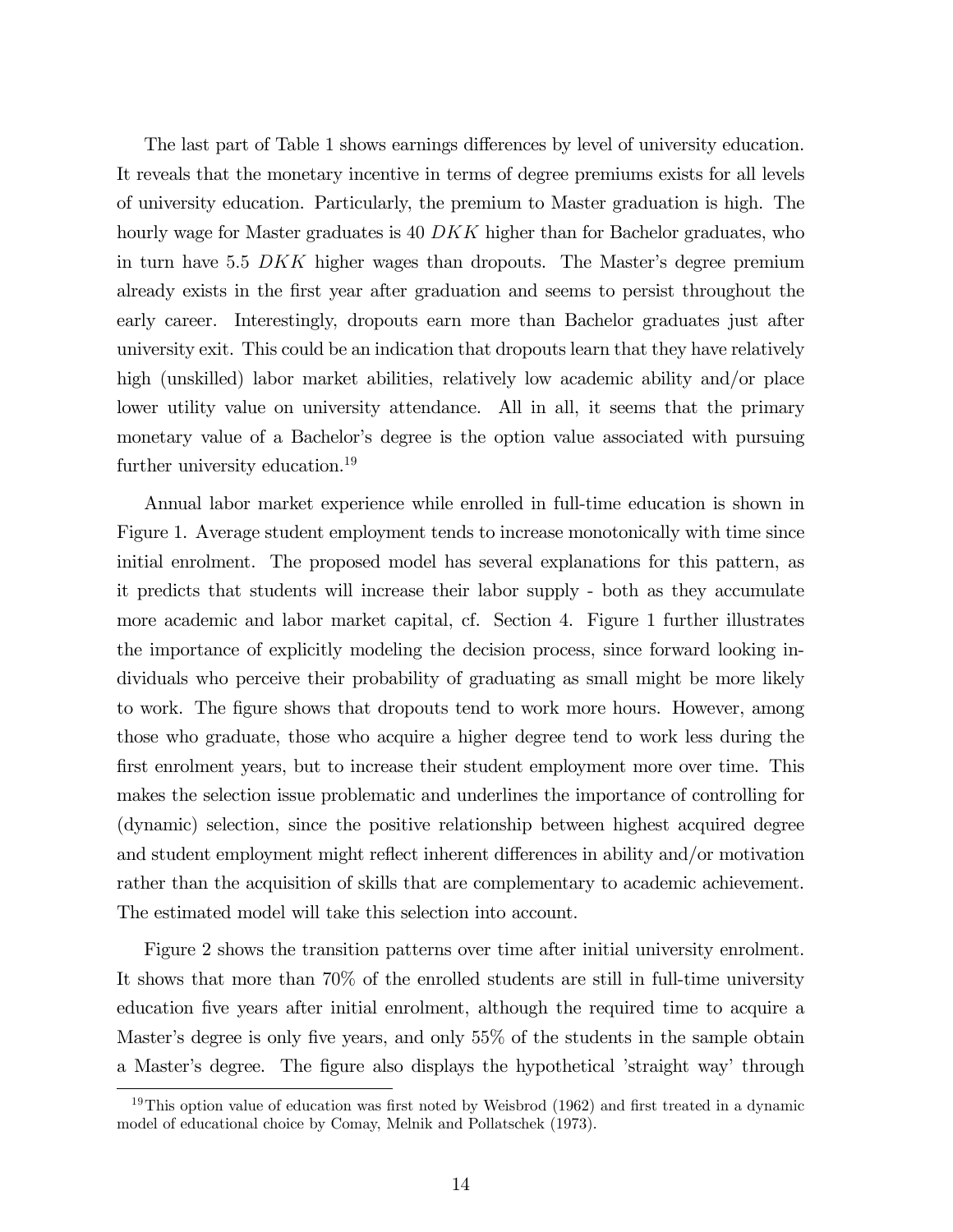The last part of Table 1 shows earnings differences by level of university education. It reveals that the monetary incentive in terms of degree premiums exists for all levels of university education. Particularly, the premium to Master graduation is high. The hourly wage for Master graduates is 40 DKK higher than for Bachelor graduates, who in turn have 5.5 DKK higher wages than dropouts. The Master's degree premium already exists in the first year after graduation and seems to persist throughout the early career. Interestingly, dropouts earn more than Bachelor graduates just after university exit. This could be an indication that dropouts learn that they have relatively high (unskilled) labor market abilities, relatively low academic ability and/or place lower utility value on university attendance. All in all, it seems that the primary monetary value of a Bachelor's degree is the option value associated with pursuing further university education.<sup>19</sup>

Annual labor market experience while enrolled in full-time education is shown in Figure 1. Average student employment tends to increase monotonically with time since initial enrolment. The proposed model has several explanations for this pattern, as it predicts that students will increase their labor supply - both as they accumulate more academic and labor market capital, cf. Section 4. Figure 1 further illustrates the importance of explicitly modeling the decision process, since forward looking individuals who perceive their probability of graduating as small might be more likely to work. The figure shows that dropouts tend to work more hours. However, among those who graduate, those who acquire a higher degree tend to work less during the first enrolment years, but to increase their student employment more over time. This makes the selection issue problematic and underlines the importance of controlling for (dynamic) selection, since the positive relationship between highest acquired degree and student employment might reflect inherent differences in ability and/or motivation rather than the acquisition of skills that are complementary to academic achievement. The estimated model will take this selection into account.

Figure 2 shows the transition patterns over time after initial university enrolment. It shows that more than 70% of the enrolled students are still in full-time university education five years after initial enrolment, although the required time to acquire a Master's degree is only five years, and only 55% of the students in the sample obtain a Master's degree. The figure also displays the hypothetical 'straight way' through

<sup>&</sup>lt;sup>19</sup>This option value of education was first noted by Weisbrod (1962) and first treated in a dynamic model of educational choice by Comay, Melnik and Pollatschek (1973).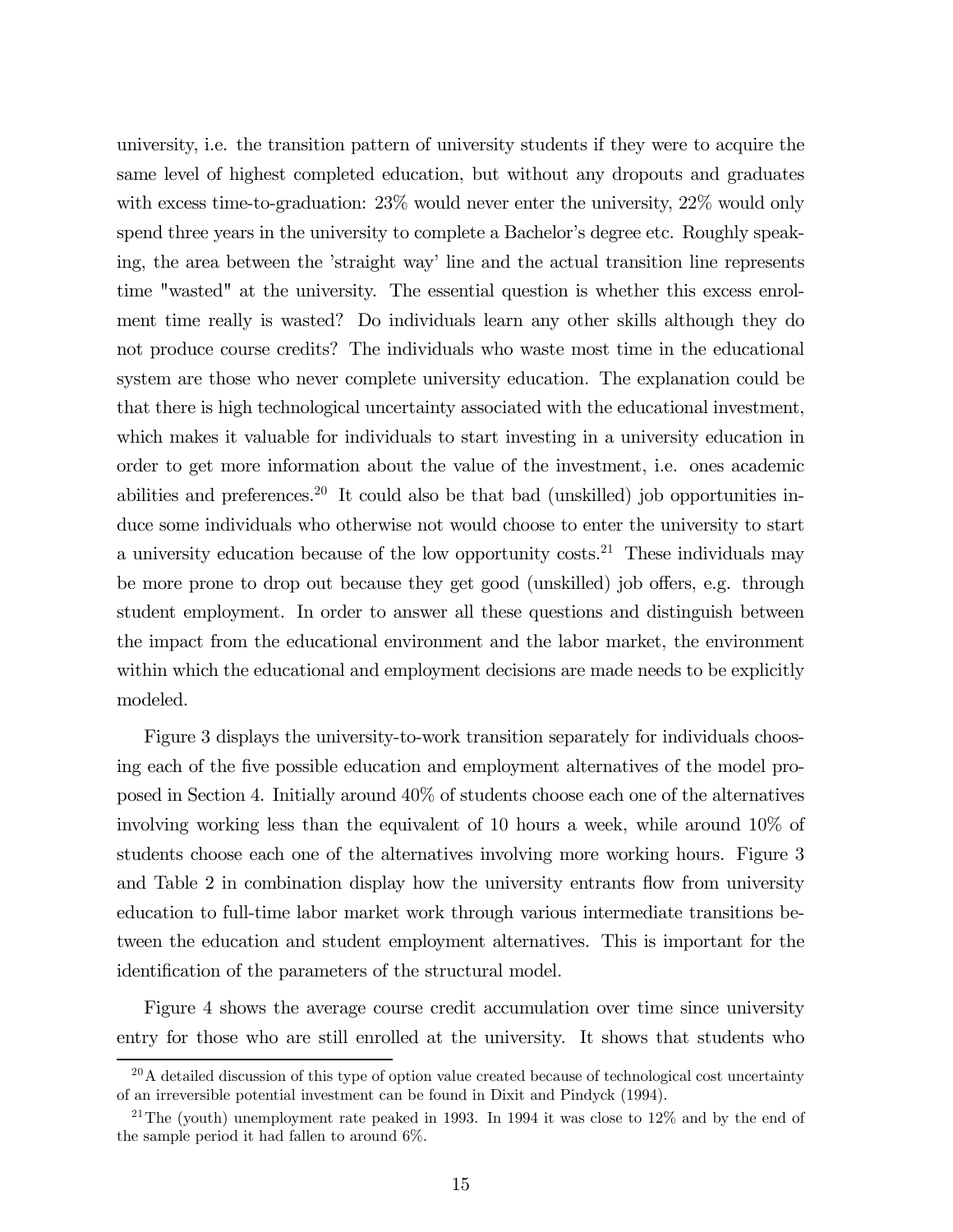university, i.e. the transition pattern of university students if they were to acquire the same level of highest completed education, but without any dropouts and graduates with excess time-to-graduation: 23% would never enter the university, 22% would only spend three years in the university to complete a Bachelor's degree etc. Roughly speaking, the area between the 'straight way' line and the actual transition line represents time "wasted" at the university. The essential question is whether this excess enrolment time really is wasted? Do individuals learn any other skills although they do not produce course credits? The individuals who waste most time in the educational system are those who never complete university education. The explanation could be that there is high technological uncertainty associated with the educational investment, which makes it valuable for individuals to start investing in a university education in order to get more information about the value of the investment, i.e. ones academic abilities and preferences.<sup>20</sup> It could also be that bad (unskilled) job opportunities induce some individuals who otherwise not would choose to enter the university to start a university education because of the low opportunity costs.<sup>21</sup> These individuals may be more prone to drop out because they get good (unskilled) job offers, e.g. through student employment. In order to answer all these questions and distinguish between the impact from the educational environment and the labor market, the environment within which the educational and employment decisions are made needs to be explicitly modeled.

Figure 3 displays the university-to-work transition separately for individuals choosing each of the five possible education and employment alternatives of the model proposed in Section 4. Initially around 40% of students choose each one of the alternatives involving working less than the equivalent of 10 hours a week, while around 10% of students choose each one of the alternatives involving more working hours. Figure 3 and Table 2 in combination display how the university entrants flow from university education to full-time labor market work through various intermediate transitions between the education and student employment alternatives. This is important for the identification of the parameters of the structural model.

Figure 4 shows the average course credit accumulation over time since university entry for those who are still enrolled at the university. It shows that students who

 $^{20}$ A detailed discussion of this type of option value created because of technological cost uncertainty of an irreversible potential investment can be found in Dixit and Pindyck (1994).

<sup>&</sup>lt;sup>21</sup>The (youth) unemployment rate peaked in 1993. In 1994 it was close to  $12\%$  and by the end of the sample period it had fallen to around 6%.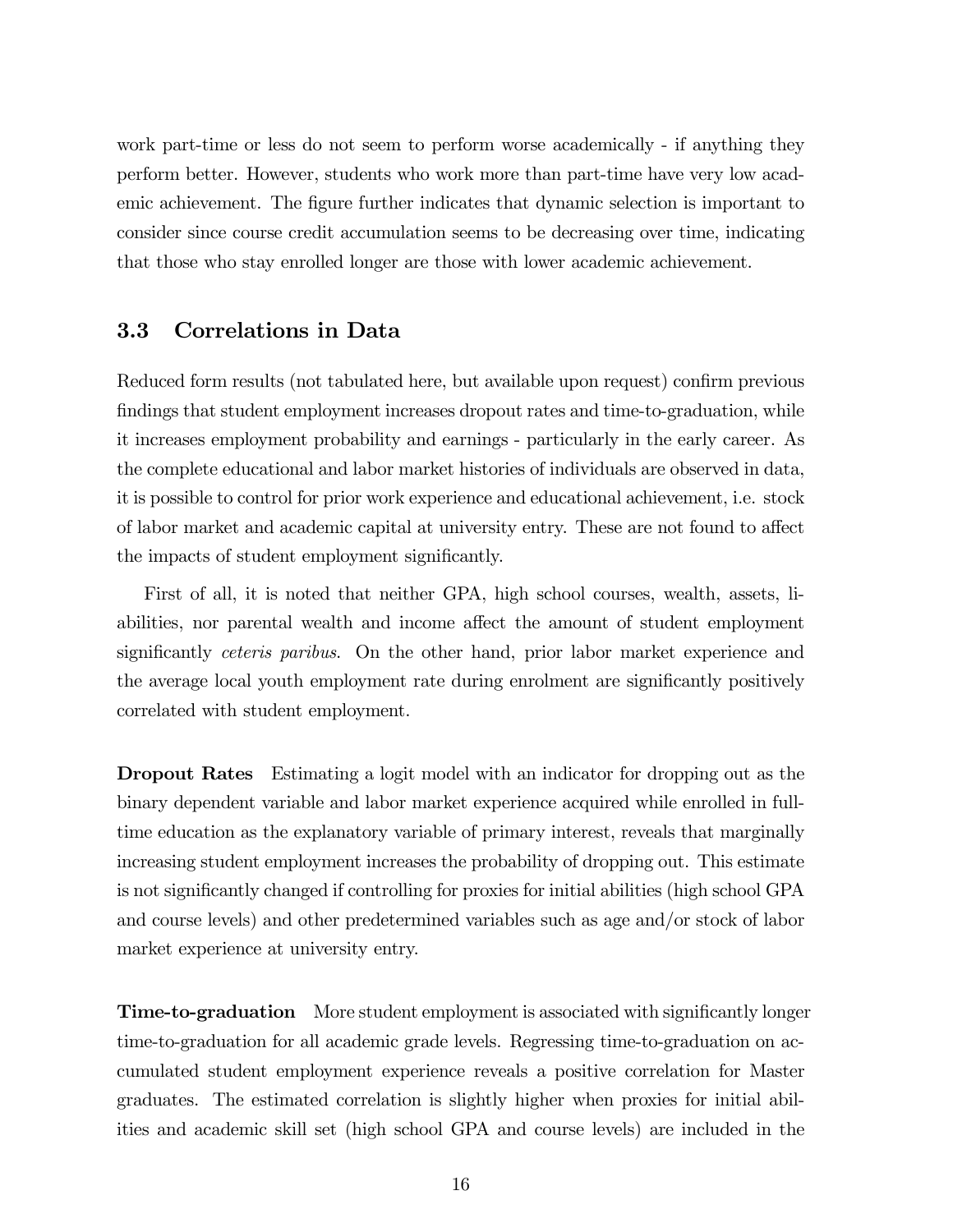work part-time or less do not seem to perform worse academically - if anything they perform better. However, students who work more than part-time have very low academic achievement. The figure further indicates that dynamic selection is important to consider since course credit accumulation seems to be decreasing over time, indicating that those who stay enrolled longer are those with lower academic achievement.

#### 3.3 Correlations in Data

Reduced form results (not tabulated here, but available upon request) confirm previous findings that student employment increases dropout rates and time-to-graduation, while it increases employment probability and earnings - particularly in the early career. As the complete educational and labor market histories of individuals are observed in data, it is possible to control for prior work experience and educational achievement, i.e. stock of labor market and academic capital at university entry. These are not found to affect the impacts of student employment significantly.

First of all, it is noted that neither GPA, high school courses, wealth, assets, liabilities, nor parental wealth and income affect the amount of student employment significantly ceteris paribus. On the other hand, prior labor market experience and the average local youth employment rate during enrolment are significantly positively correlated with student employment.

Dropout Rates Estimating a logit model with an indicator for dropping out as the binary dependent variable and labor market experience acquired while enrolled in fulltime education as the explanatory variable of primary interest, reveals that marginally increasing student employment increases the probability of dropping out. This estimate is not significantly changed if controlling for proxies for initial abilities (high school GPA and course levels) and other predetermined variables such as age and/or stock of labor market experience at university entry.

Time-to-graduation More student employment is associated with significantly longer time-to-graduation for all academic grade levels. Regressing time-to-graduation on accumulated student employment experience reveals a positive correlation for Master graduates. The estimated correlation is slightly higher when proxies for initial abilities and academic skill set (high school GPA and course levels) are included in the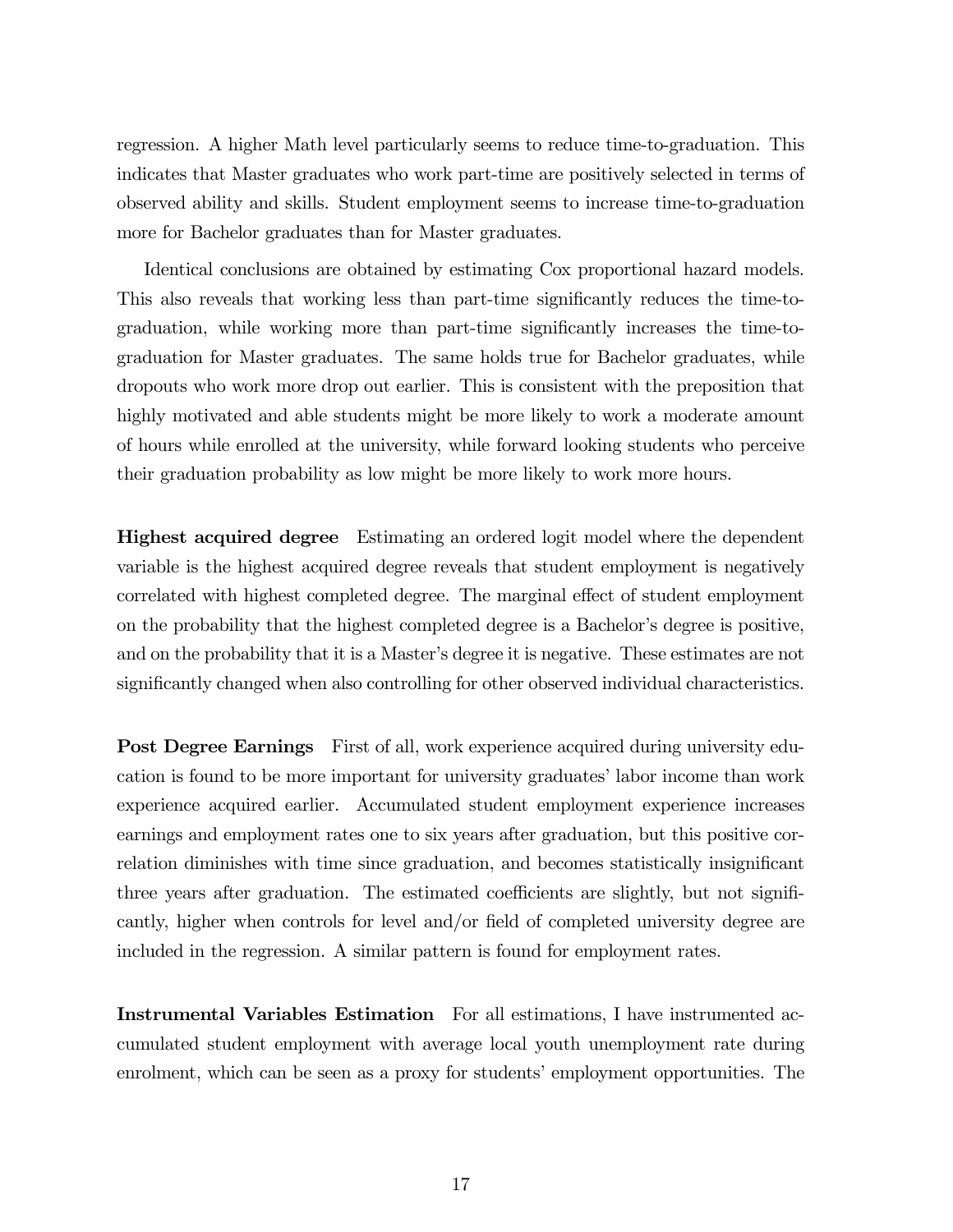regression. A higher Math level particularly seems to reduce time-to-graduation. This indicates that Master graduates who work part-time are positively selected in terms of observed ability and skills. Student employment seems to increase time-to-graduation more for Bachelor graduates than for Master graduates.

Identical conclusions are obtained by estimating Cox proportional hazard models. This also reveals that working less than part-time significantly reduces the time-tograduation, while working more than part-time significantly increases the time-tograduation for Master graduates. The same holds true for Bachelor graduates, while dropouts who work more drop out earlier. This is consistent with the preposition that highly motivated and able students might be more likely to work a moderate amount of hours while enrolled at the university, while forward looking students who perceive their graduation probability as low might be more likely to work more hours.

Highest acquired degree Estimating an ordered logit model where the dependent variable is the highest acquired degree reveals that student employment is negatively correlated with highest completed degree. The marginal effect of student employment on the probability that the highest completed degree is a Bachelor's degree is positive, and on the probability that it is a Master's degree it is negative. These estimates are not significantly changed when also controlling for other observed individual characteristics.

**Post Degree Earnings** First of all, work experience acquired during university education is found to be more important for university graduates' labor income than work experience acquired earlier. Accumulated student employment experience increases earnings and employment rates one to six years after graduation, but this positive correlation diminishes with time since graduation, and becomes statistically insignificant three years after graduation. The estimated coefficients are slightly, but not significantly, higher when controls for level and/or field of completed university degree are included in the regression. A similar pattern is found for employment rates.

Instrumental Variables Estimation For all estimations, I have instrumented accumulated student employment with average local youth unemployment rate during enrolment, which can be seen as a proxy for students' employment opportunities. The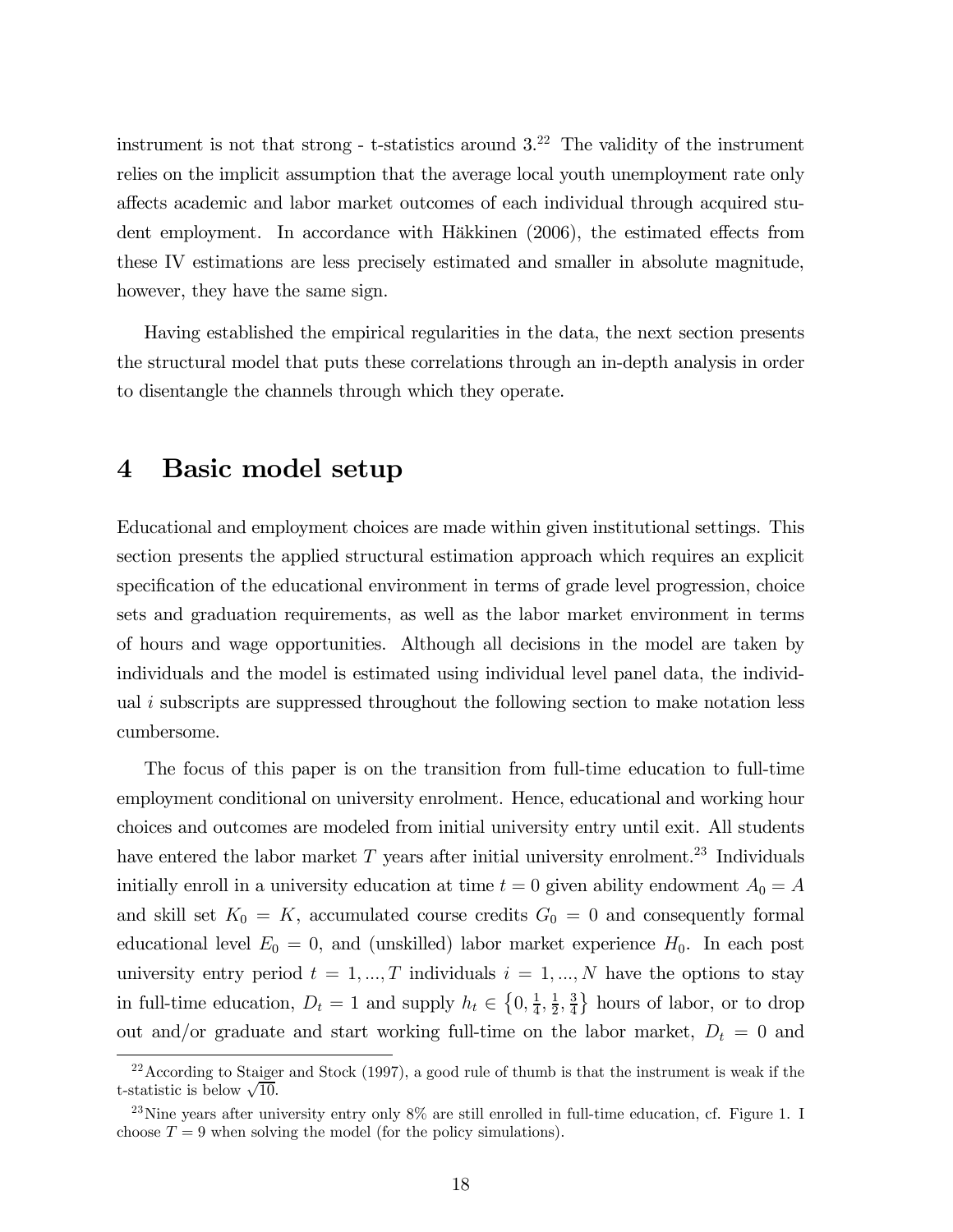instrument is not that strong - t-statistics around  $3<sup>22</sup>$  The validity of the instrument relies on the implicit assumption that the average local youth unemployment rate only affects academic and labor market outcomes of each individual through acquired student employment. In accordance with Häkkinen (2006), the estimated effects from these IV estimations are less precisely estimated and smaller in absolute magnitude, however, they have the same sign.

Having established the empirical regularities in the data, the next section presents the structural model that puts these correlations through an in-depth analysis in order to disentangle the channels through which they operate.

## 4 Basic model setup

Educational and employment choices are made within given institutional settings. This section presents the applied structural estimation approach which requires an explicit specification of the educational environment in terms of grade level progression, choice sets and graduation requirements, as well as the labor market environment in terms of hours and wage opportunities. Although all decisions in the model are taken by individuals and the model is estimated using individual level panel data, the individual  $i$  subscripts are suppressed throughout the following section to make notation less cumbersome.

The focus of this paper is on the transition from full-time education to full-time employment conditional on university enrolment. Hence, educational and working hour choices and outcomes are modeled from initial university entry until exit. All students have entered the labor market  $T$  years after initial university enrolment.<sup>23</sup> Individuals initially enroll in a university education at time  $t = 0$  given ability endowment  $A_0 = A$ and skill set  $K_0 = K$ , accumulated course credits  $G_0 = 0$  and consequently formal educational level  $E_0 = 0$ , and (unskilled) labor market experience  $H_0$ . In each post university entry period  $t = 1, ..., T$  individuals  $i = 1, ..., N$  have the options to stay in full-time education,  $D_t = 1$  and supply  $h_t \in \left\{0, \frac{1}{4}, \frac{1}{2}, \frac{3}{4}\right\}$  hours of labor, or to drop out and/or graduate and start working full-time on the labor market,  $D_t = 0$  and

 $22$ According to Staiger and Stock (1997), a good rule of thumb is that the instrument is weak if the t-statistic is below  $\sqrt{10}$ .

<sup>&</sup>lt;sup>23</sup>Nine years after university entry only  $8\%$  are still enrolled in full-time education, cf. Figure 1. I choose  $T = 9$  when solving the model (for the policy simulations).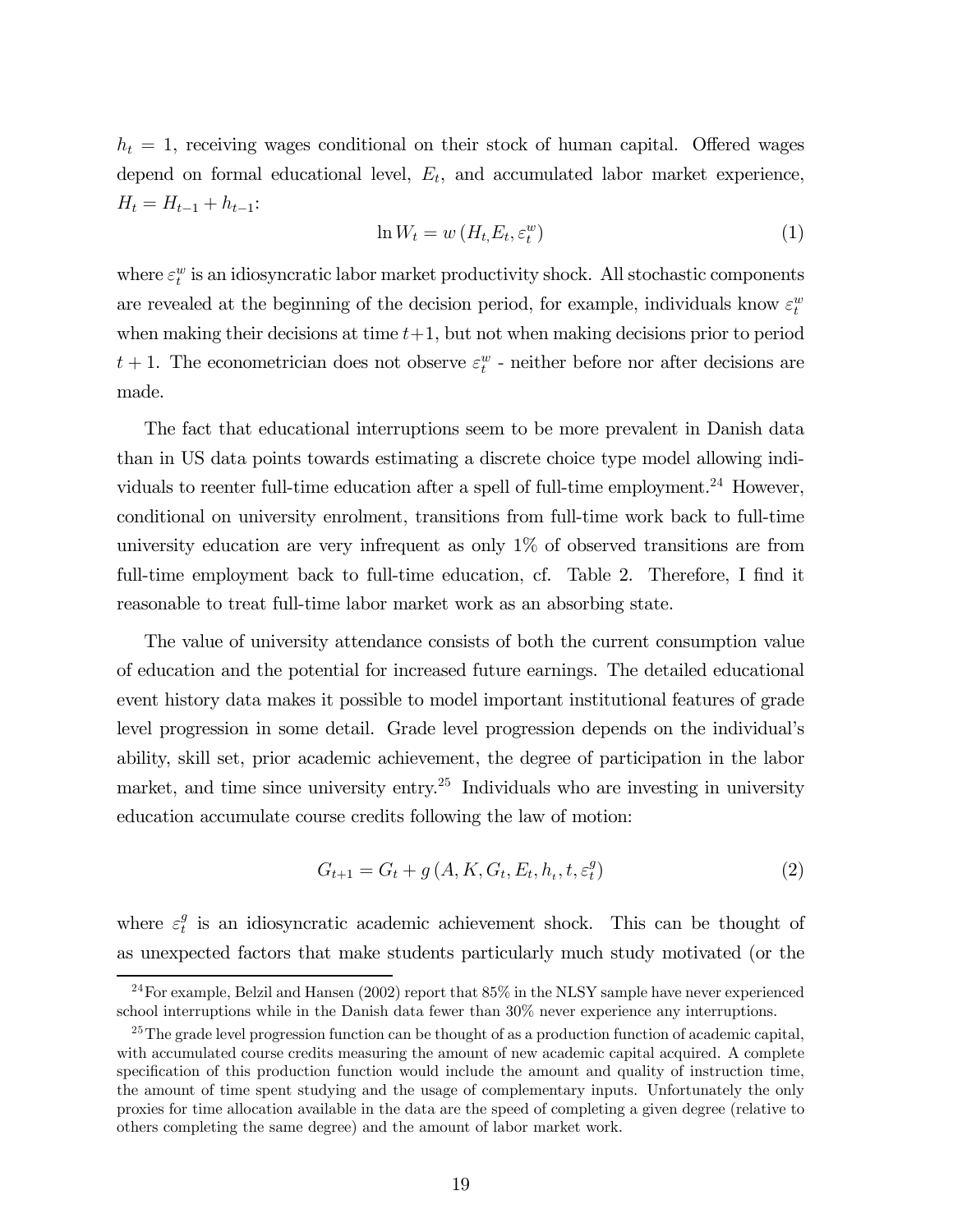$h_t = 1$ , receiving wages conditional on their stock of human capital. Offered wages depend on formal educational level,  $E_t$ , and accumulated labor market experience,  $H_t = H_{t-1} + h_{t-1}:$ 

$$
\ln W_t = w\left(H_t, E_t, \varepsilon_t^w\right) \tag{1}
$$

where  $\varepsilon_t^w$  is an idiosyncratic labor market productivity shock. All stochastic components are revealed at the beginning of the decision period, for example, individuals know  $\varepsilon_t^w$ when making their decisions at time  $t+1$ , but not when making decisions prior to period  $t + 1$ . The econometrician does not observe  $\varepsilon_t^w$  - neither before nor after decisions are made.

The fact that educational interruptions seem to be more prevalent in Danish data than in US data points towards estimating a discrete choice type model allowing individuals to reenter full-time education after a spell of full-time employment.<sup>24</sup> However, conditional on university enrolment, transitions from full-time work back to full-time university education are very infrequent as only 1% of observed transitions are from full-time employment back to full-time education, cf. Table 2. Therefore, I find it reasonable to treat full-time labor market work as an absorbing state.

The value of university attendance consists of both the current consumption value of education and the potential for increased future earnings. The detailed educational event history data makes it possible to model important institutional features of grade level progression in some detail. Grade level progression depends on the individual's ability, skill set, prior academic achievement, the degree of participation in the labor market, and time since university entry.<sup>25</sup> Individuals who are investing in university education accumulate course credits following the law of motion:

$$
G_{t+1} = G_t + g\left(A, K, G_t, E_t, h_t, t, \varepsilon_t^g\right)
$$
\n
$$
(2)
$$

where  $\varepsilon_t^g$  is an idiosyncratic academic achievement shock. This can be thought of as unexpected factors that make students particularly much study motivated (or the

<sup>24</sup>For example, Belzil and Hansen (2002) report that 85% in the NLSY sample have never experienced school interruptions while in the Danish data fewer than 30% never experience any interruptions.

<sup>&</sup>lt;sup>25</sup>The grade level progression function can be thought of as a production function of academic capital, with accumulated course credits measuring the amount of new academic capital acquired. A complete specification of this production function would include the amount and quality of instruction time, the amount of time spent studying and the usage of complementary inputs. Unfortunately the only proxies for time allocation available in the data are the speed of completing a given degree (relative to others completing the same degree) and the amount of labor market work.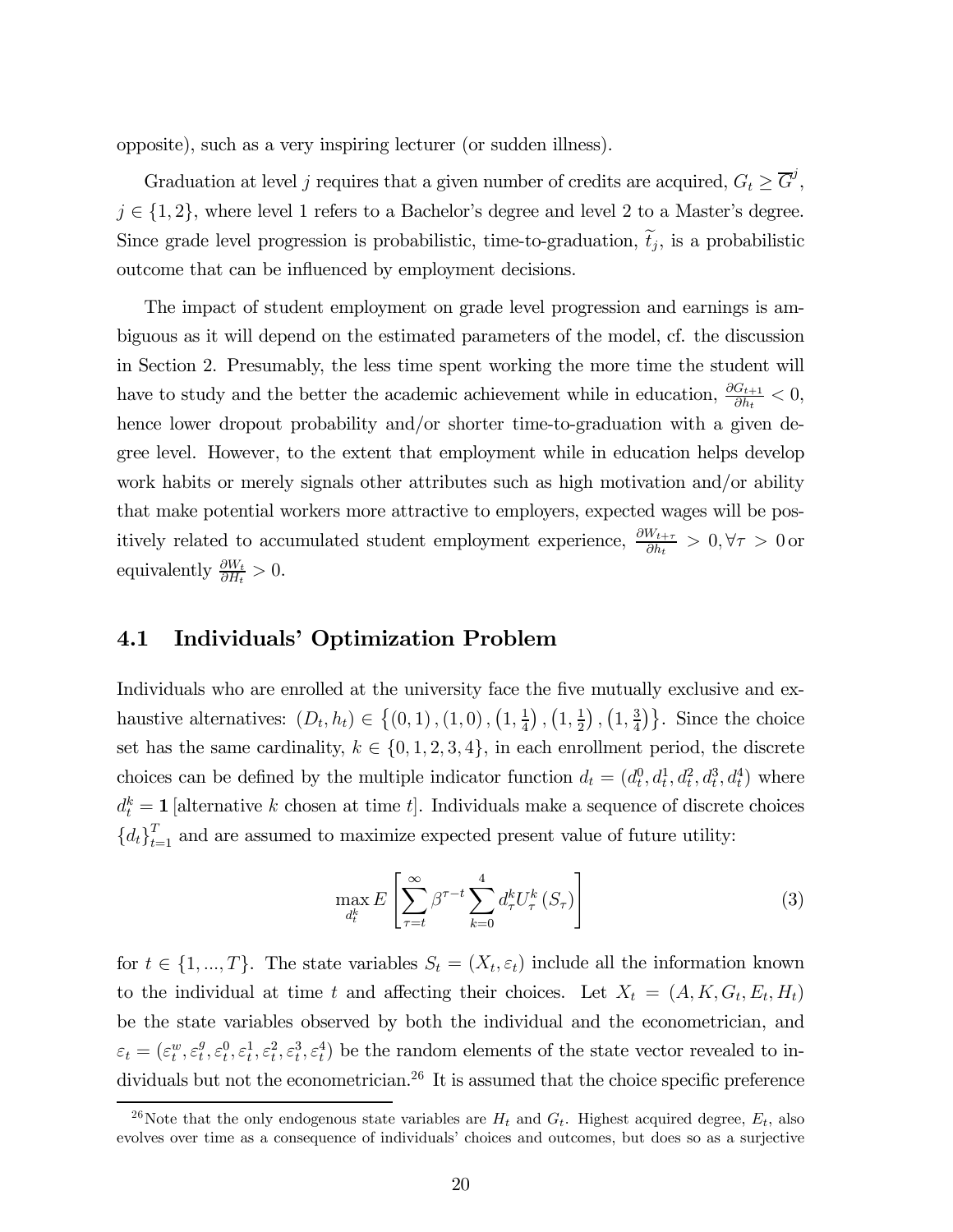opposite), such as a very inspiring lecturer (or sudden illness).

Graduation at level j requires that a given number of credits are acquired,  $G_t \geq \overline{G}^j$ ,  $j \in \{1, 2\}$ , where level 1 refers to a Bachelor's degree and level 2 to a Master's degree. Since grade level progression is probabilistic, time-to-graduation,  $\tilde{t}_j$ , is a probabilistic outcome that can be influenced by employment decisions.

The impact of student employment on grade level progression and earnings is ambiguous as it will depend on the estimated parameters of the model, cf. the discussion in Section 2. Presumably, the less time spent working the more time the student will have to study and the better the academic achievement while in education,  $\frac{\partial G_{t+1}}{\partial h_t} < 0$ , hence lower dropout probability and/or shorter time-to-graduation with a given degree level. However, to the extent that employment while in education helps develop work habits or merely signals other attributes such as high motivation and/or ability that make potential workers more attractive to employers, expected wages will be positively related to accumulated student employment experience,  $\frac{\partial W_{t+\tau}}{\partial h_t} > 0, \forall \tau > 0$  or equivalently  $\frac{\partial W_t}{\partial H_t} > 0$ .

#### 4.1 Individuals' Optimization Problem

Individuals who are enrolled at the university face the five mutually exclusive and exhaustive alternatives:  $(D_t, h_t) \in \{(0, 1), (1, 0), (1, \frac{1}{4}), (1, \frac{1}{2}), (1, \frac{3}{4})\}$ . Since the choice set has the same cardinality,  $k \in \{0, 1, 2, 3, 4\}$ , in each enrollment period, the discrete choices can be defined by the multiple indicator function  $d_t = (d_t^0, d_t^1, d_t^2, d_t^3, d_t^4)$  where  $d_t^k = 1$  [alternative k chosen at time t]. Individuals make a sequence of discrete choices  ${d_t}_{t=1}^T$  and are assumed to maximize expected present value of future utility:

$$
\max_{d_t^k} E\left[\sum_{\tau=t}^{\infty} \beta^{\tau-t} \sum_{k=0}^4 d_{\tau}^k U_{\tau}^k(S_{\tau})\right]
$$
\n(3)

for  $t \in \{1, ..., T\}$ . The state variables  $S_t = (X_t, \varepsilon_t)$  include all the information known to the individual at time t and affecting their choices. Let  $X_t = (A, K, G_t, E_t, H_t)$ be the state variables observed by both the individual and the econometrician, and  $\varepsilon_t = (\varepsilon_t^w, \varepsilon_t^g, \varepsilon_t^1, \varepsilon_t^2, \varepsilon_t^3, \varepsilon_t^4)$  be the random elements of the state vector revealed to individuals but not the econometrician.<sup>26</sup> It is assumed that the choice specific preference

<sup>&</sup>lt;sup>26</sup>Note that the only endogenous state variables are  $H_t$  and  $G_t$ . Highest acquired degree,  $E_t$ , also evolves over time as a consequence of individuals' choices and outcomes, but does so as a surjective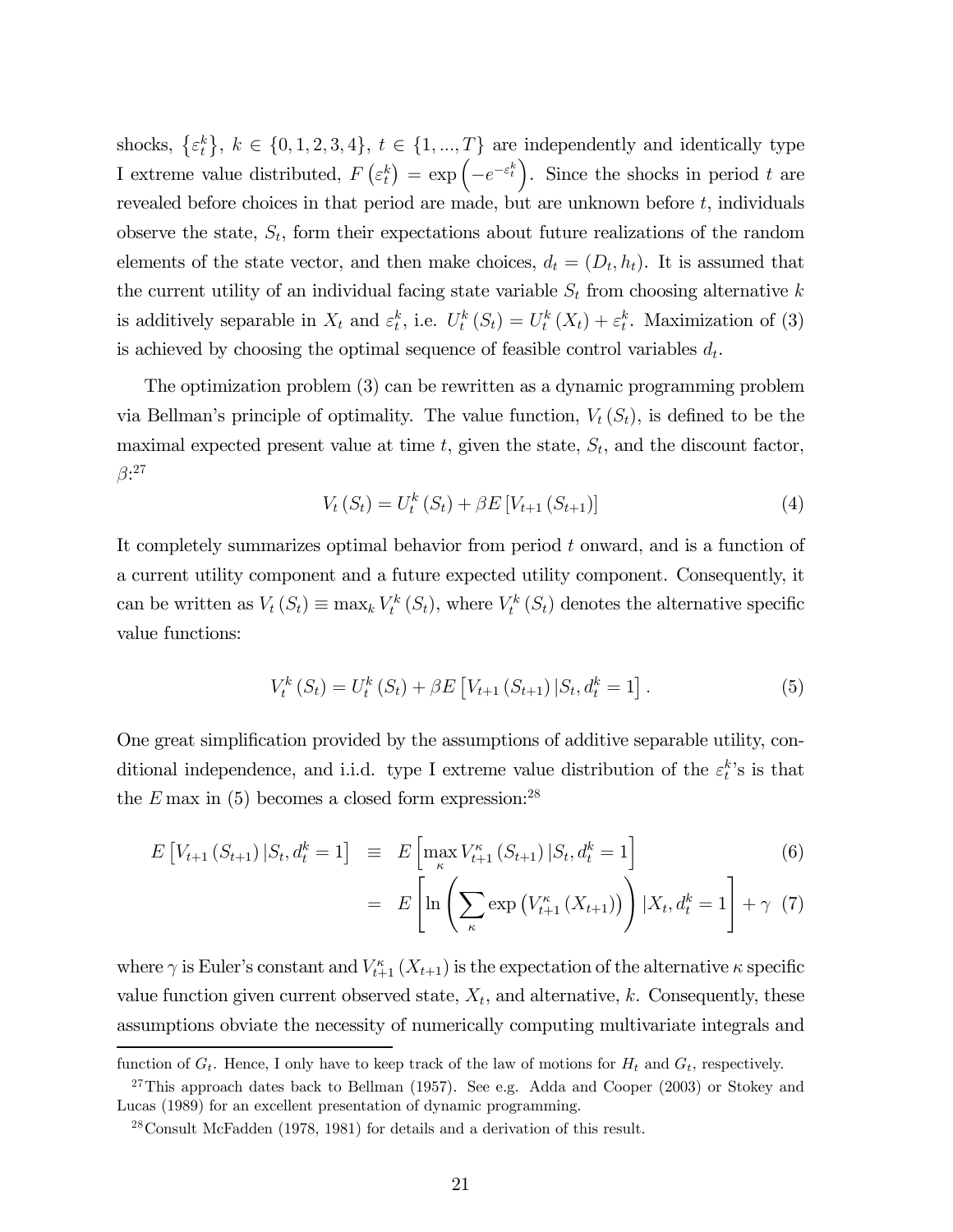shocks,  $\{\varepsilon_t^k\}, k \in \{0, 1, 2, 3, 4\}, t \in \{1, ..., T\}$  are independently and identically type I extreme value distributed,  $F\left(\varepsilon_t^k\right) = \exp\left(-e^{-\varepsilon_t^k}\right)$ . Since the shocks in period t are revealed before choices in that period are made, but are unknown before  $t$ , individuals observe the state,  $S_t$ , form their expectations about future realizations of the random elements of the state vector, and then make choices,  $d_t = (D_t, h_t)$ . It is assumed that the current utility of an individual facing state variable  $S_t$  from choosing alternative k is additively separable in  $X_t$  and  $\varepsilon_t^k$ , i.e.  $U_t^k(S_t) = U_t^k(X_t) + \varepsilon_t^k$ . Maximization of (3) is achieved by choosing the optimal sequence of feasible control variables  $d_t$ .

The optimization problem (3) can be rewritten as a dynamic programming problem via Bellman's principle of optimality. The value function,  $V_t(S_t)$ , is defined to be the maximal expected present value at time  $t$ , given the state,  $S_t$ , and the discount factor,  $\beta$ :27

$$
V_t(S_t) = U_t^k(S_t) + \beta E[V_{t+1}(S_{t+1})]
$$
\n(4)

It completely summarizes optimal behavior from period t onward, and is a function of a current utility component and a future expected utility component. Consequently, it can be written as  $V_t(S_t) \equiv \max_k V_t^k(S_t)$ , where  $V_t^k(S_t)$  denotes the alternative specific value functions:

$$
V_t^k(S_t) = U_t^k(S_t) + \beta E \left[ V_{t+1}(S_{t+1}) | S_t, d_t^k = 1 \right]. \tag{5}
$$

One great simplification provided by the assumptions of additive separable utility, conditional independence, and i.i.d. type I extreme value distribution of the  $\varepsilon_t^k$ 's is that the  $E$  max in (5) becomes a closed form expression:<sup>28</sup>

$$
E\left[V_{t+1}\left(S_{t+1}\right)|S_t, d_t^k = 1\right] \equiv E\left[\max_{\kappa} V_{t+1}^{\kappa}\left(S_{t+1}\right)|S_t, d_t^k = 1\right] \tag{6}
$$

$$
= E\left[\ln\left(\sum_{\kappa} \exp\left(V_{t+1}^{\kappa}\left(X_{t+1}\right)\right)\right) | X_t, d_t^k = 1\right] + \gamma \tag{7}
$$

where  $\gamma$  is Euler's constant and  $V_{t+1}^{\kappa}(X_{t+1})$  is the expectation of the alternative  $\kappa$  specific value function given current observed state,  $X_t$ , and alternative, k. Consequently, these assumptions obviate the necessity of numerically computing multivariate integrals and

function of  $G_t$ . Hence, I only have to keep track of the law of motions for  $H_t$  and  $G_t$ , respectively.

 $27$ This approach dates back to Bellman (1957). See e.g. Adda and Cooper (2003) or Stokey and Lucas (1989) for an excellent presentation of dynamic programming.

<sup>28</sup>Consult McFadden (1978, 1981) for details and a derivation of this result.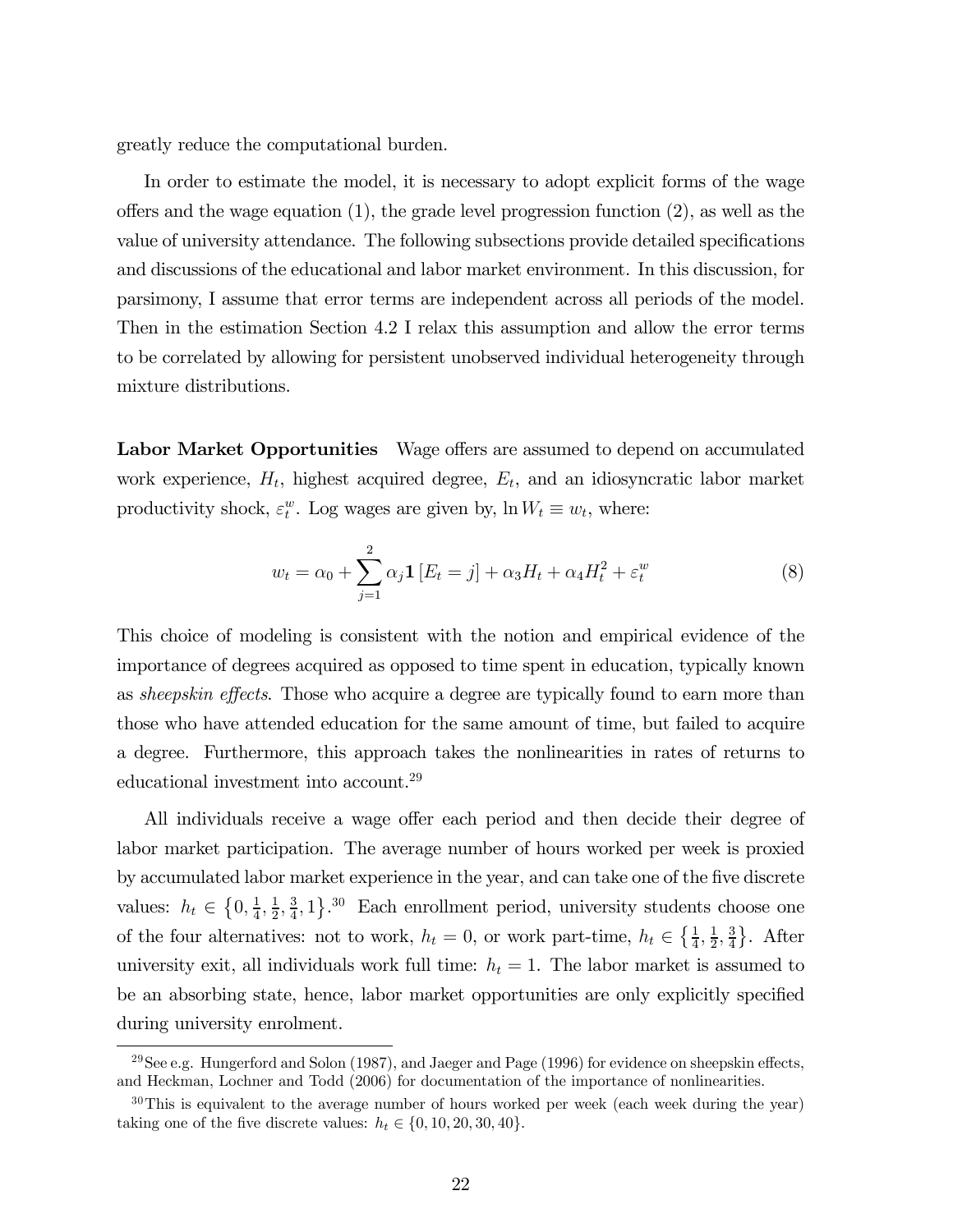greatly reduce the computational burden.

In order to estimate the model, it is necessary to adopt explicit forms of the wage offers and the wage equation  $(1)$ , the grade level progression function  $(2)$ , as well as the value of university attendance. The following subsections provide detailed specifications and discussions of the educational and labor market environment. In this discussion, for parsimony, I assume that error terms are independent across all periods of the model. Then in the estimation Section 4.2 I relax this assumption and allow the error terms to be correlated by allowing for persistent unobserved individual heterogeneity through mixture distributions.

Labor Market Opportunities Wage offers are assumed to depend on accumulated work experience,  $H_t$ , highest acquired degree,  $E_t$ , and an idiosyncratic labor market productivity shock,  $\varepsilon_t^w$ . Log wages are given by,  $\ln W_t \equiv w_t$ , where:

$$
w_t = \alpha_0 + \sum_{j=1}^2 \alpha_j \mathbf{1} \left[ E_t = j \right] + \alpha_3 H_t + \alpha_4 H_t^2 + \varepsilon_t^w \tag{8}
$$

This choice of modeling is consistent with the notion and empirical evidence of the importance of degrees acquired as opposed to time spent in education, typically known as *sheepskin effects*. Those who acquire a degree are typically found to earn more than those who have attended education for the same amount of time, but failed to acquire a degree. Furthermore, this approach takes the nonlinearities in rates of returns to educational investment into account.<sup>29</sup>

All individuals receive a wage offer each period and then decide their degree of labor market participation. The average number of hours worked per week is proxied by accumulated labor market experience in the year, and can take one of the five discrete values:  $h_t \in \left\{0, \frac{1}{4}, \frac{1}{2}, \frac{3}{4}, 1\right\}$ .<sup>30</sup> Each enrollment period, university students choose one of the four alternatives: not to work,  $h_t = 0$ , or work part-time,  $h_t \in \{\frac{1}{4}, \frac{1}{2}, \frac{3}{4}\}.$  After university exit, all individuals work full time:  $h_t = 1$ . The labor market is assumed to be an absorbing state, hence, labor market opportunities are only explicitly specified during university enrolment.

 $^{29}$ See e.g. Hungerford and Solon (1987), and Jaeger and Page (1996) for evidence on sheepskin effects, and Heckman, Lochner and Todd (2006) for documentation of the importance of nonlinearities.

 $30$ This is equivalent to the average number of hours worked per week (each week during the year) taking one of the five discrete values:  $h_t \in \{0, 10, 20, 30, 40\}.$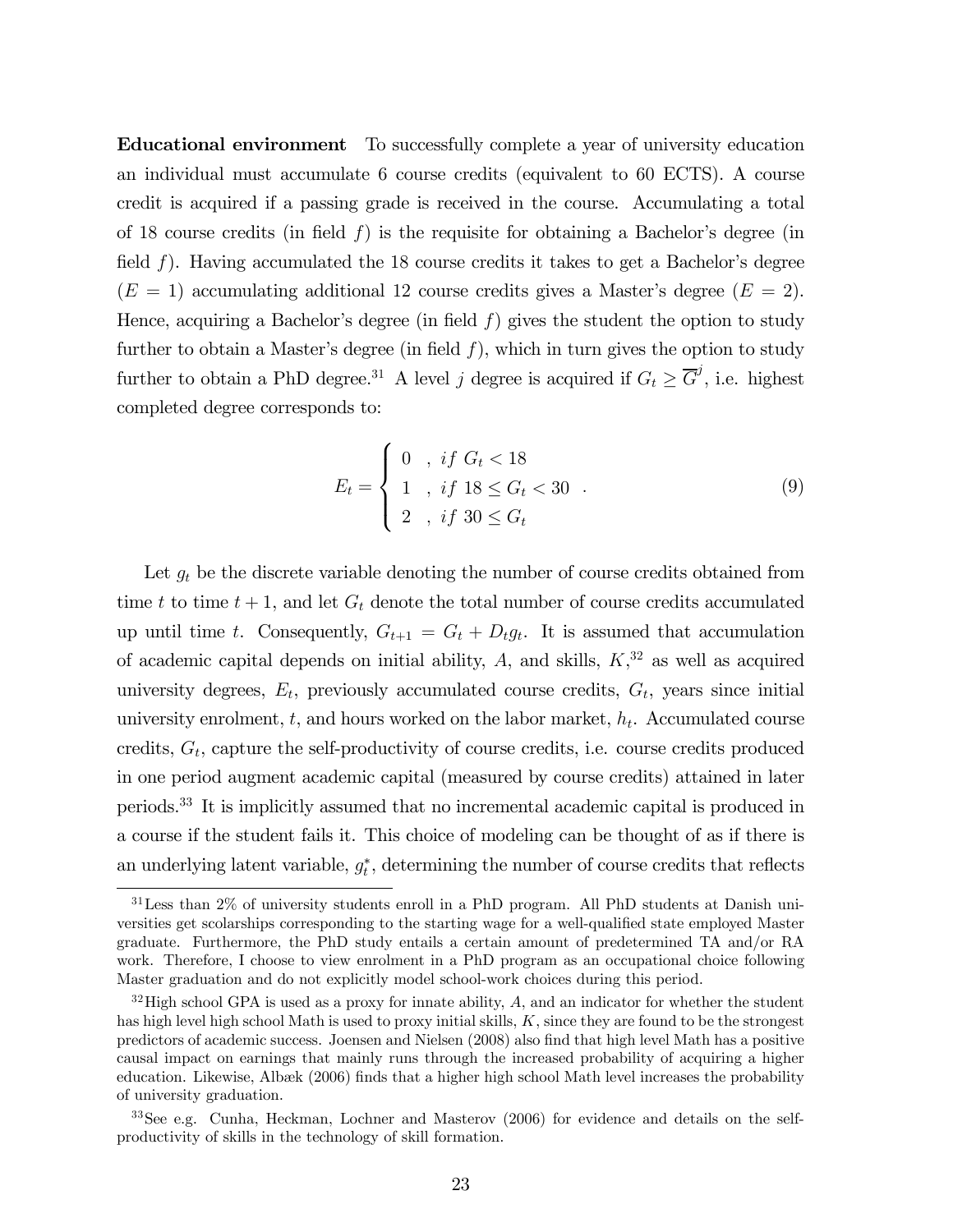Educational environment To successfully complete a year of university education an individual must accumulate 6 course credits (equivalent to 60 ECTS). A course credit is acquired if a passing grade is received in the course. Accumulating a total of 18 course credits (in field  $f$ ) is the requisite for obtaining a Bachelor's degree (in field f). Having accumulated the 18 course credits it takes to get a Bachelor's degree  $(E = 1)$  accumulating additional 12 course credits gives a Master's degree  $(E = 2)$ . Hence, acquiring a Bachelor's degree (in field  $f$ ) gives the student the option to study further to obtain a Master's degree (in field  $f$ ), which in turn gives the option to study further to obtain a PhD degree.<sup>31</sup> A level j degree is acquired if  $G_t \geq \overline{G}^j$ , i.e. highest completed degree corresponds to:

$$
E_t = \begin{cases} 0, & if \ G_t < 18 \\ 1, & if \ 18 \le G_t < 30 \\ 2, & if \ 30 \le G_t \end{cases} . \tag{9}
$$

Let  $g_t$  be the discrete variable denoting the number of course credits obtained from time t to time  $t + 1$ , and let  $G_t$  denote the total number of course credits accumulated up until time t. Consequently,  $G_{t+1} = G_t + D_t g_t$ . It is assumed that accumulation of academic capital depends on initial ability,  $A$ , and skills,  $K$ <sup>32</sup>, as well as acquired university degrees,  $E_t$ , previously accumulated course credits,  $G_t$ , years since initial university enrolment,  $t$ , and hours worked on the labor market,  $h_t$ . Accumulated course credits,  $G_t$ , capture the self-productivity of course credits, i.e. course credits produced in one period augment academic capital (measured by course credits) attained in later periods.33 It is implicitly assumed that no incremental academic capital is produced in a course if the student fails it. This choice of modeling can be thought of as if there is an underlying latent variable,  $g_t^*$ , determining the number of course credits that reflects

<sup>31</sup>Less than 2% of university students enroll in a PhD program. All PhD students at Danish universities get scolarships corresponding to the starting wage for a well-qualified state employed Master graduate. Furthermore, the PhD study entails a certain amount of predetermined TA and/or RA work. Therefore, I choose to view enrolment in a PhD program as an occupational choice following Master graduation and do not explicitly model school-work choices during this period.

 $32$  High school GPA is used as a proxy for innate ability, A, and an indicator for whether the student has high level high school Math is used to proxy initial skills,  $K$ , since they are found to be the strongest predictors of academic success. Joensen and Nielsen (2008) also find that high level Math has a positive causal impact on earnings that mainly runs through the increased probability of acquiring a higher education. Likewise, Albæk (2006) finds that a higher high school Math level increases the probability of university graduation.

<sup>33</sup>See e.g. Cunha, Heckman, Lochner and Masterov (2006) for evidence and details on the selfproductivity of skills in the technology of skill formation.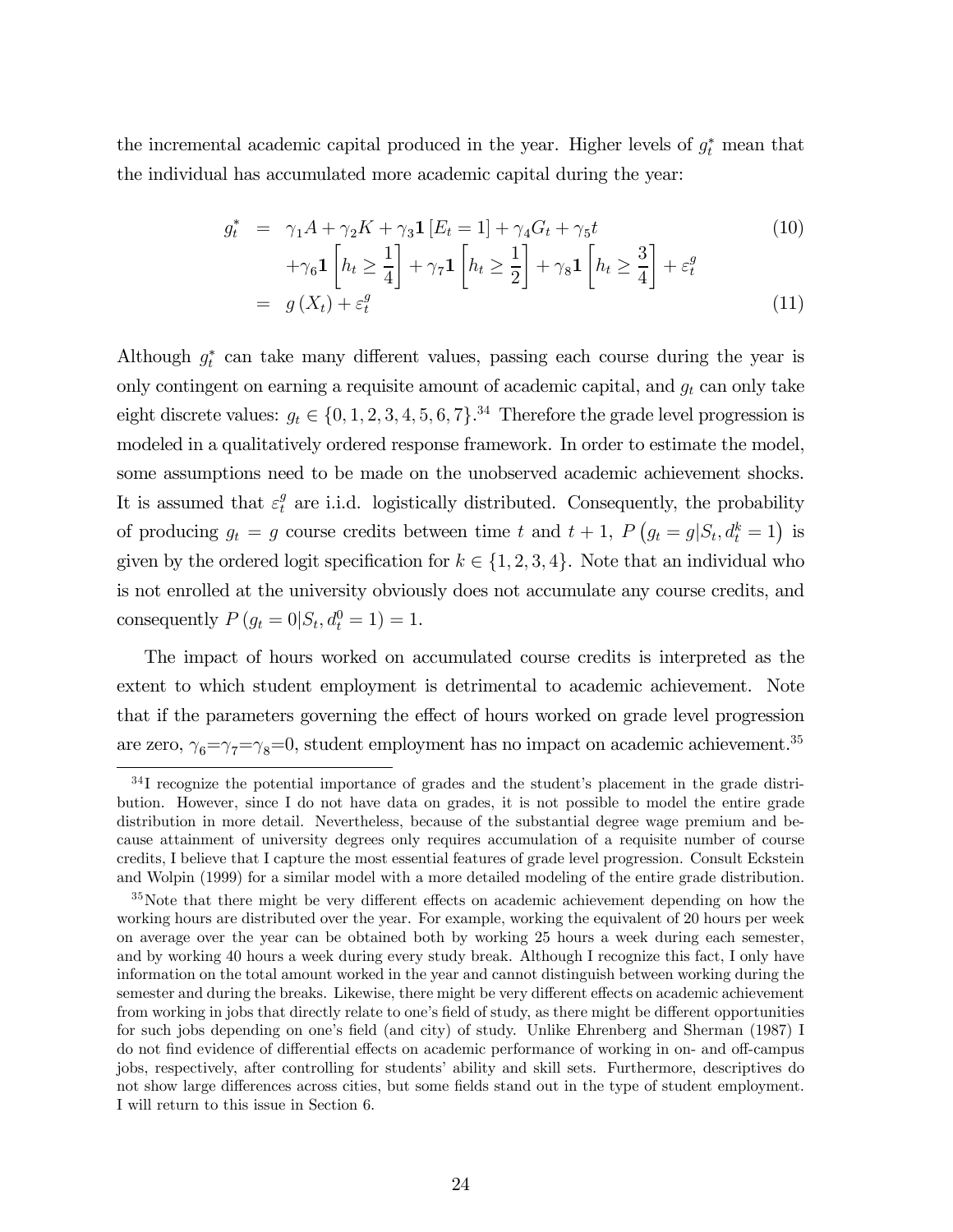the incremental academic capital produced in the year. Higher levels of  $g_t^*$  mean that the individual has accumulated more academic capital during the year:

$$
g_t^* = \gamma_1 A + \gamma_2 K + \gamma_3 \mathbf{1} \left[ E_t = 1 \right] + \gamma_4 G_t + \gamma_5 t
$$
  
+
$$
\gamma_6 \mathbf{1} \left[ h_t \ge \frac{1}{4} \right] + \gamma_7 \mathbf{1} \left[ h_t \ge \frac{1}{2} \right] + \gamma_8 \mathbf{1} \left[ h_t \ge \frac{3}{4} \right] + \varepsilon_t^g
$$
  
= 
$$
g(X_t) + \varepsilon_t^g
$$
 (11)

Although  $g_t^*$  can take many different values, passing each course during the year is only contingent on earning a requisite amount of academic capital, and  $g_t$  can only take eight discrete values:  $g_t \in \{0, 1, 2, 3, 4, 5, 6, 7\}$ .<sup>34</sup> Therefore the grade level progression is modeled in a qualitatively ordered response framework. In order to estimate the model, some assumptions need to be made on the unobserved academic achievement shocks. It is assumed that  $\varepsilon_t^g$  are i.i.d. logistically distributed. Consequently, the probability of producing  $g_t = g$  course credits between time t and  $t + 1$ ,  $P(g_t = g | S_t, d_t^k = 1)$  is given by the ordered logit specification for  $k \in \{1, 2, 3, 4\}$ . Note that an individual who is not enrolled at the university obviously does not accumulate any course credits, and consequently  $P(g_t = 0 | S_t, d_t^0 = 1) = 1$ .

The impact of hours worked on accumulated course credits is interpreted as the extent to which student employment is detrimental to academic achievement. Note that if the parameters governing the effect of hours worked on grade level progression are zero,  $\gamma_6=\gamma_7=\gamma_8=0$ , student employment has no impact on academic achievement.<sup>35</sup>

<sup>&</sup>lt;sup>34</sup>I recognize the potential importance of grades and the student's placement in the grade distribution. However, since I do not have data on grades, it is not possible to model the entire grade distribution in more detail. Nevertheless, because of the substantial degree wage premium and because attainment of university degrees only requires accumulation of a requisite number of course credits, I believe that I capture the most essential features of grade level progression. Consult Eckstein and Wolpin (1999) for a similar model with a more detailed modeling of the entire grade distribution.

<sup>&</sup>lt;sup>35</sup>Note that there might be very different effects on academic achievement depending on how the working hours are distributed over the year. For example, working the equivalent of 20 hours per week on average over the year can be obtained both by working 25 hours a week during each semester, and by working 40 hours a week during every study break. Although I recognize this fact, I only have information on the total amount worked in the year and cannot distinguish between working during the semester and during the breaks. Likewise, there might be very different effects on academic achievement from working in jobs that directly relate to one's field of study, as there might be different opportunities for such jobs depending on one's field (and city) of study. Unlike Ehrenberg and Sherman (1987) I do not find evidence of differential effects on academic performance of working in on- and off-campus jobs, respectively, after controlling for students' ability and skill sets. Furthermore, descriptives do not show large differences across cities, but some fields stand out in the type of student employment. I will return to this issue in Section 6.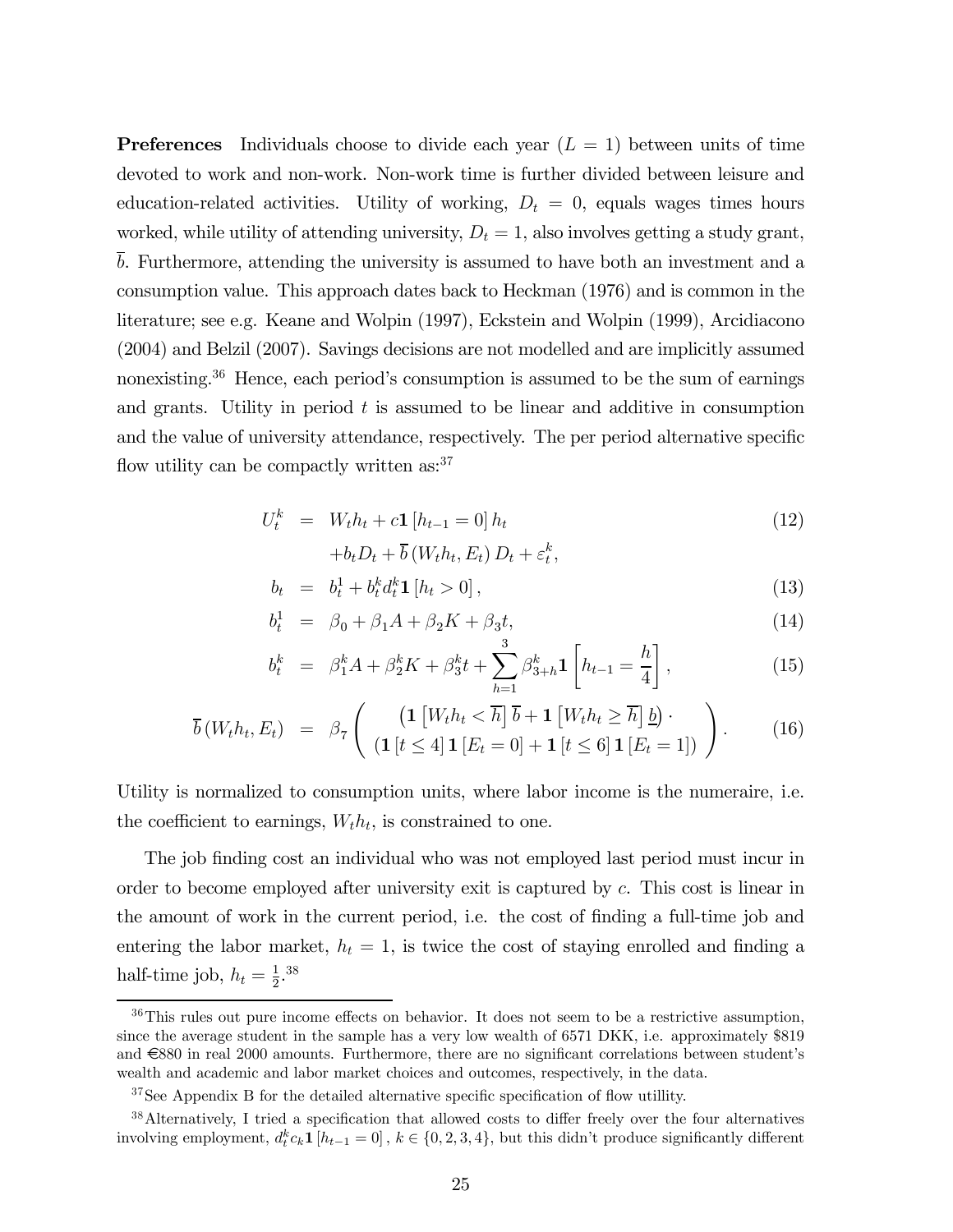**Preferences** Individuals choose to divide each year  $(L = 1)$  between units of time devoted to work and non-work. Non-work time is further divided between leisure and education-related activities. Utility of working,  $D_t = 0$ , equals wages times hours worked, while utility of attending university,  $D_t = 1$ , also involves getting a study grant, b. Furthermore, attending the university is assumed to have both an investment and a consumption value. This approach dates back to Heckman (1976) and is common in the literature; see e.g. Keane and Wolpin (1997), Eckstein and Wolpin (1999), Arcidiacono (2004) and Belzil (2007). Savings decisions are not modelled and are implicitly assumed nonexisting.36 Hence, each period's consumption is assumed to be the sum of earnings and grants. Utility in period  $t$  is assumed to be linear and additive in consumption and the value of university attendance, respectively. The per period alternative specific flow utility can be compactly written as: $37$ 

$$
U_t^k = W_t h_t + c \mathbf{1} \left[ h_{t-1} = 0 \right] h_t
$$
  
+ $b_t D_t + \overline{b} \left( W_t h_t, E_t \right) D_t + \varepsilon_t^k,$  (12)

$$
b_t = b_t^1 + b_t^k d_t^k \mathbf{1} [h_t > 0], \qquad (13)
$$

$$
b_t^1 = \beta_0 + \beta_1 A + \beta_2 K + \beta_3 t, \tag{14}
$$

$$
b_t^k = \beta_1^k A + \beta_2^k K + \beta_3^k t + \sum_{h=1}^3 \beta_{3+h}^k \mathbf{1}\left[h_{t-1} = \frac{h}{4}\right],\tag{15}
$$

$$
\overline{b}(W_t h_t, E_t) = \beta_7 \left( \frac{\left( \mathbf{1} \left[ W_t h_t < \overline{h} \right] \overline{b} + \mathbf{1} \left[ W_t h_t \geq \overline{h} \right] \underline{b} \right) \cdot}{\left( \mathbf{1} \left[ t \leq 4 \right] \mathbf{1} \left[ E_t = 0 \right] + \mathbf{1} \left[ t \leq 6 \right] \mathbf{1} \left[ E_t = 1 \right] \right)} \right). \tag{16}
$$

Utility is normalized to consumption units, where labor income is the numeraire, i.e. the coefficient to earnings,  $W_t h_t$ , is constrained to one.

The job finding cost an individual who was not employed last period must incur in order to become employed after university exit is captured by c. This cost is linear in the amount of work in the current period, i.e. the cost of finding a full-time job and entering the labor market,  $h_t = 1$ , is twice the cost of staying enrolled and finding a half-time job,  $h_t = \frac{1}{2}$ .<sup>38</sup>

<sup>36</sup>This rules out pure income effects on behavior. It does not seem to be a restrictive assumption, since the average student in the sample has a very low wealth of 6571 DKK, i.e. approximately \$819 and €880 in real 2000 amounts. Furthermore, there are no significant correlations between student's wealth and academic and labor market choices and outcomes, respectively, in the data.

 $37$ See Appendix B for the detailed alternative specific specification of flow utillity.

<sup>38</sup>Alternatively, I tried a specification that allowed costs to differ freely over the four alternatives involving employment,  $d_t^k c_k \mathbf{1}$  [ $h_{t-1} = 0$ ],  $k \in \{0, 2, 3, 4\}$ , but this didn't produce significantly different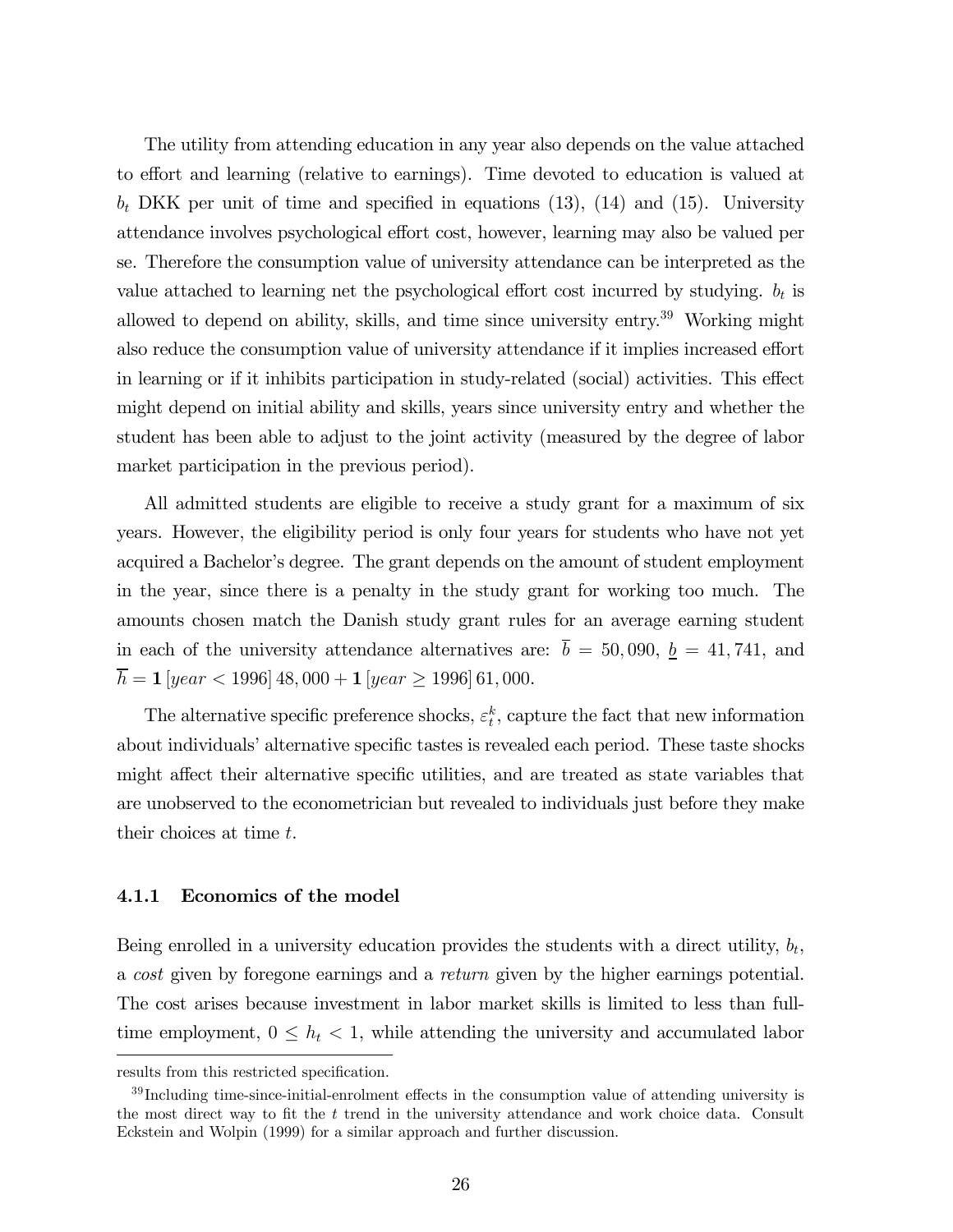The utility from attending education in any year also depends on the value attached to effort and learning (relative to earnings). Time devoted to education is valued at  $b_t$  DKK per unit of time and specified in equations (13), (14) and (15). University attendance involves psychological effort cost, however, learning may also be valued per se. Therefore the consumption value of university attendance can be interpreted as the value attached to learning net the psychological effort cost incurred by studying.  $b_t$  is allowed to depend on ability, skills, and time since university entry.<sup>39</sup> Working might also reduce the consumption value of university attendance if it implies increased effort in learning or if it inhibits participation in study-related (social) activities. This effect might depend on initial ability and skills, years since university entry and whether the student has been able to adjust to the joint activity (measured by the degree of labor market participation in the previous period).

All admitted students are eligible to receive a study grant for a maximum of six years. However, the eligibility period is only four years for students who have not yet acquired a Bachelor's degree. The grant depends on the amount of student employment in the year, since there is a penalty in the study grant for working too much. The amounts chosen match the Danish study grant rules for an average earning student in each of the university attendance alternatives are:  $\bar{b} = 50,090, \underline{b} = 41,741,$  and  $\overline{h} = \mathbf{1} \left[ year < 1996 \right] 48,000 + \mathbf{1} \left[ year \geq 1996 \right] 61,000.$ 

The alternative specific preference shocks,  $\varepsilon_t^k$ , capture the fact that new information about individuals' alternative specific tastes is revealed each period. These taste shocks might affect their alternative specific utilities, and are treated as state variables that are unobserved to the econometrician but revealed to individuals just before they make their choices at time t.

#### 4.1.1 Economics of the model

Being enrolled in a university education provides the students with a direct utility,  $b_t$ , a cost given by foregone earnings and a return given by the higher earnings potential. The cost arises because investment in labor market skills is limited to less than fulltime employment,  $0 \leq h_t < 1$ , while attending the university and accumulated labor

results from this restricted specification.

 $39$  Including time-since-initial-enrolment effects in the consumption value of attending university is the most direct way to fit the  $t$  trend in the university attendance and work choice data. Consult Eckstein and Wolpin (1999) for a similar approach and further discussion.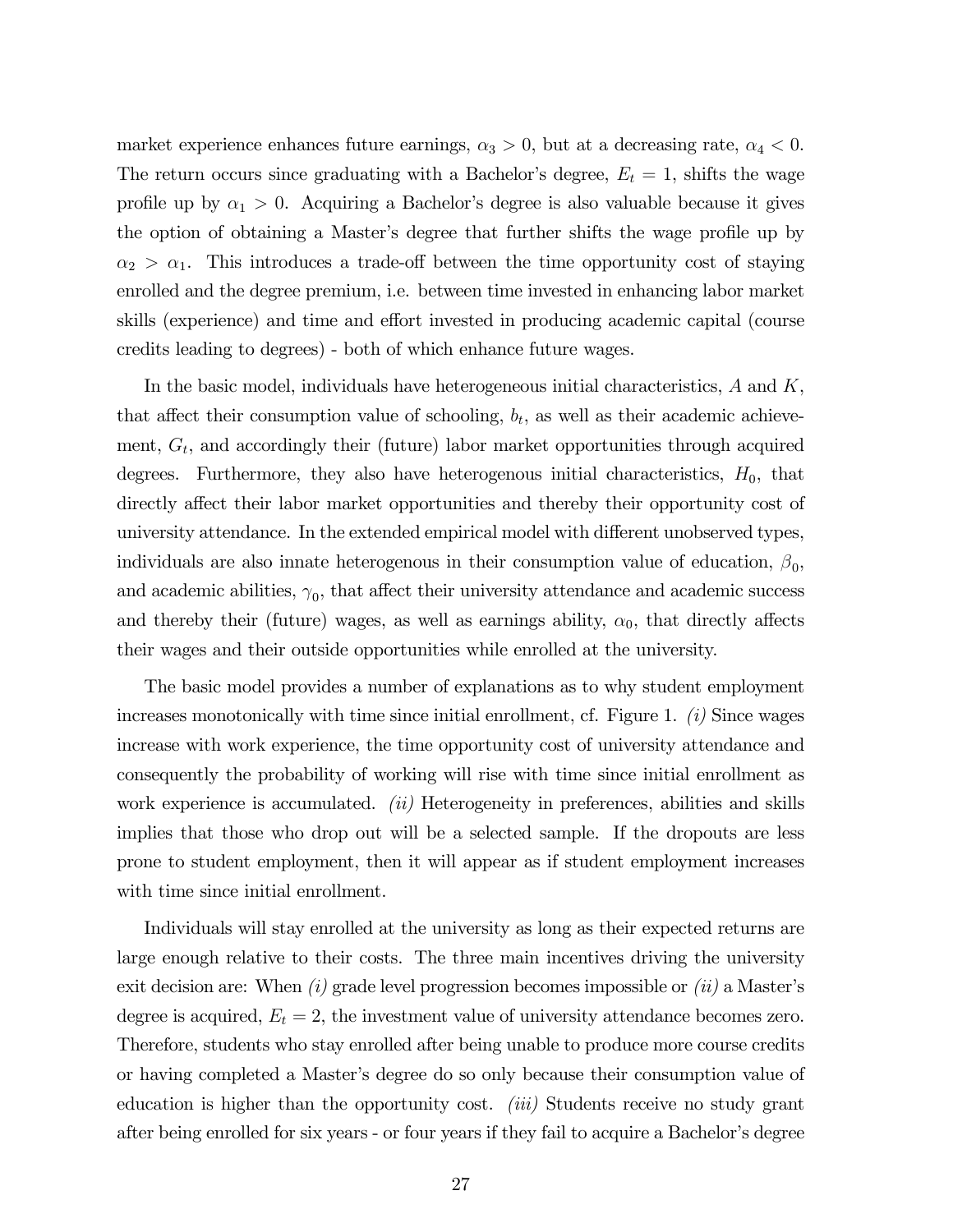market experience enhances future earnings,  $\alpha_3 > 0$ , but at a decreasing rate,  $\alpha_4 < 0$ . The return occurs since graduating with a Bachelor's degree,  $E_t = 1$ , shifts the wage profile up by  $\alpha_1 > 0$ . Acquiring a Bachelor's degree is also valuable because it gives the option of obtaining a Master's degree that further shifts the wage profile up by  $\alpha_2 > \alpha_1$ . This introduces a trade-off between the time opportunity cost of staying enrolled and the degree premium, i.e. between time invested in enhancing labor market skills (experience) and time and effort invested in producing academic capital (course credits leading to degrees) - both of which enhance future wages.

In the basic model, individuals have heterogeneous initial characteristics,  $A$  and  $K$ , that affect their consumption value of schooling,  $b_t$ , as well as their academic achievement,  $G_t$ , and accordingly their (future) labor market opportunities through acquired degrees. Furthermore, they also have heterogenous initial characteristics,  $H_0$ , that directly affect their labor market opportunities and thereby their opportunity cost of university attendance. In the extended empirical model with different unobserved types, individuals are also innate heterogenous in their consumption value of education,  $\beta_0$ , and academic abilities,  $\gamma_0$ , that affect their university attendance and academic success and thereby their (future) wages, as well as earnings ability,  $\alpha_0$ , that directly affects their wages and their outside opportunities while enrolled at the university.

The basic model provides a number of explanations as to why student employment increases monotonically with time since initial enrollment, cf. Figure 1.  $(i)$  Since wages increase with work experience, the time opportunity cost of university attendance and consequently the probability of working will rise with time since initial enrollment as work experience is accumulated.  $(ii)$  Heterogeneity in preferences, abilities and skills implies that those who drop out will be a selected sample. If the dropouts are less prone to student employment, then it will appear as if student employment increases with time since initial enrollment.

Individuals will stay enrolled at the university as long as their expected returns are large enough relative to their costs. The three main incentives driving the university exit decision are: When  $(i)$  grade level progression becomes impossible or  $(ii)$  a Master's degree is acquired,  $E_t = 2$ , the investment value of university attendance becomes zero. Therefore, students who stay enrolled after being unable to produce more course credits or having completed a Master's degree do so only because their consumption value of education is higher than the opportunity cost. *(iii)* Students receive no study grant after being enrolled for six years - or four years if they fail to acquire a Bachelor's degree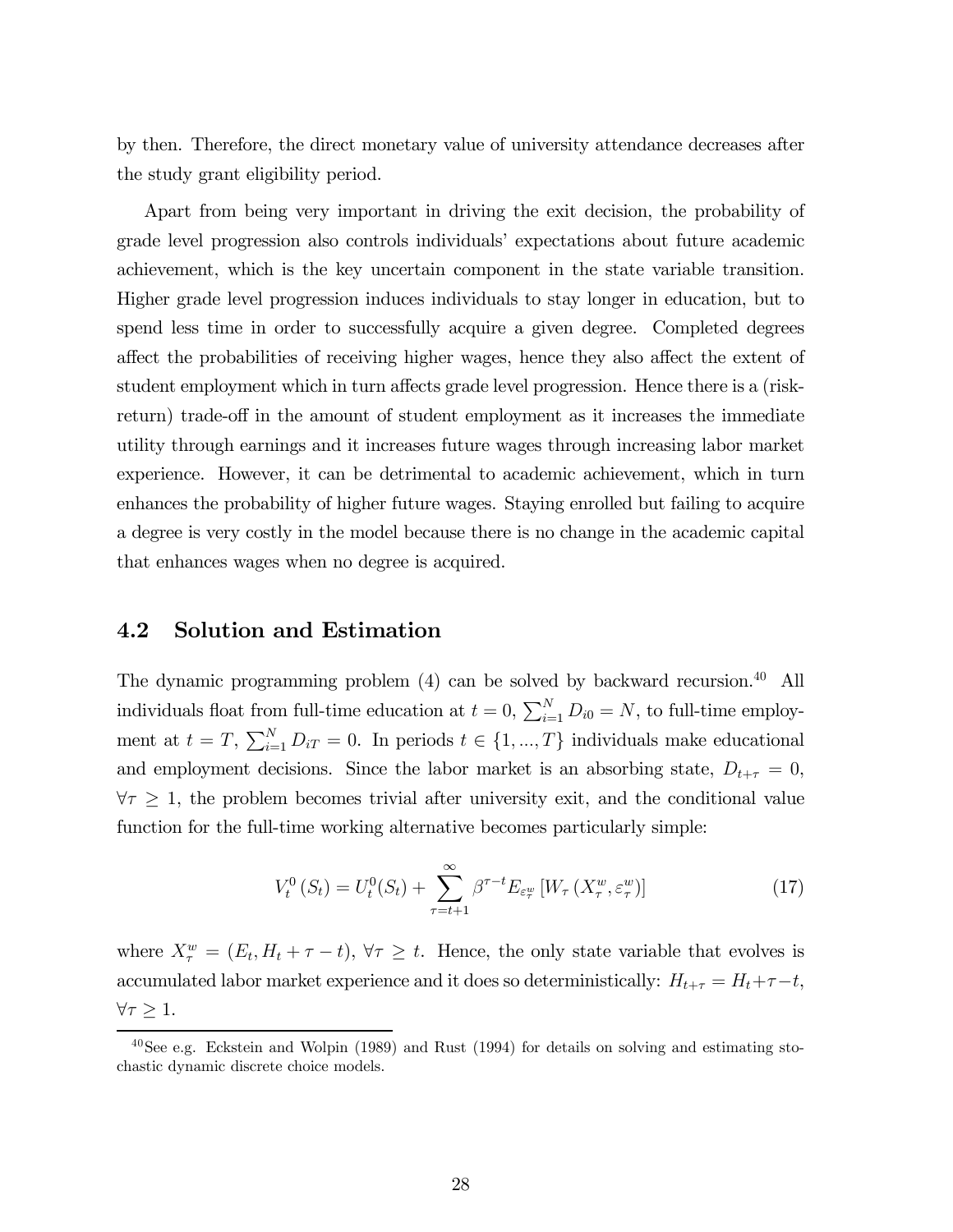by then. Therefore, the direct monetary value of university attendance decreases after the study grant eligibility period.

Apart from being very important in driving the exit decision, the probability of grade level progression also controls individuals' expectations about future academic achievement, which is the key uncertain component in the state variable transition. Higher grade level progression induces individuals to stay longer in education, but to spend less time in order to successfully acquire a given degree. Completed degrees affect the probabilities of receiving higher wages, hence they also affect the extent of student employment which in turn affects grade level progression. Hence there is a (riskreturn) trade-off in the amount of student employment as it increases the immediate utility through earnings and it increases future wages through increasing labor market experience. However, it can be detrimental to academic achievement, which in turn enhances the probability of higher future wages. Staying enrolled but failing to acquire a degree is very costly in the model because there is no change in the academic capital that enhances wages when no degree is acquired.

### 4.2 Solution and Estimation

The dynamic programming problem (4) can be solved by backward recursion.40 All individuals float from full-time education at  $t = 0$ ,  $\sum_{i=1}^{N} D_{i0} = N$ , to full-time employment at  $t = T$ ,  $\sum_{i=1}^{N} D_{iT} = 0$ . In periods  $t \in \{1, ..., T\}$  individuals make educational and employment decisions. Since the labor market is an absorbing state,  $D_{t+\tau} = 0$ ,  $\forall \tau \geq 1$ , the problem becomes trivial after university exit, and the conditional value function for the full-time working alternative becomes particularly simple:

$$
V_t^0(S_t) = U_t^0(S_t) + \sum_{\tau=t+1}^{\infty} \beta^{\tau-t} E_{\varepsilon_\tau^w} \left[ W_\tau(X_\tau^w, \varepsilon_\tau^w) \right]
$$
(17)

where  $X_{\tau}^{w} = (E_t, H_t + \tau - t), \forall \tau \geq t$ . Hence, the only state variable that evolves is accumulated labor market experience and it does so deterministically:  $H_{t+\tau} = H_t + \tau - t$ ,  $\forall \tau \geq 1.$ 

 $^{40}$ See e.g. Eckstein and Wolpin (1989) and Rust (1994) for details on solving and estimating stochastic dynamic discrete choice models.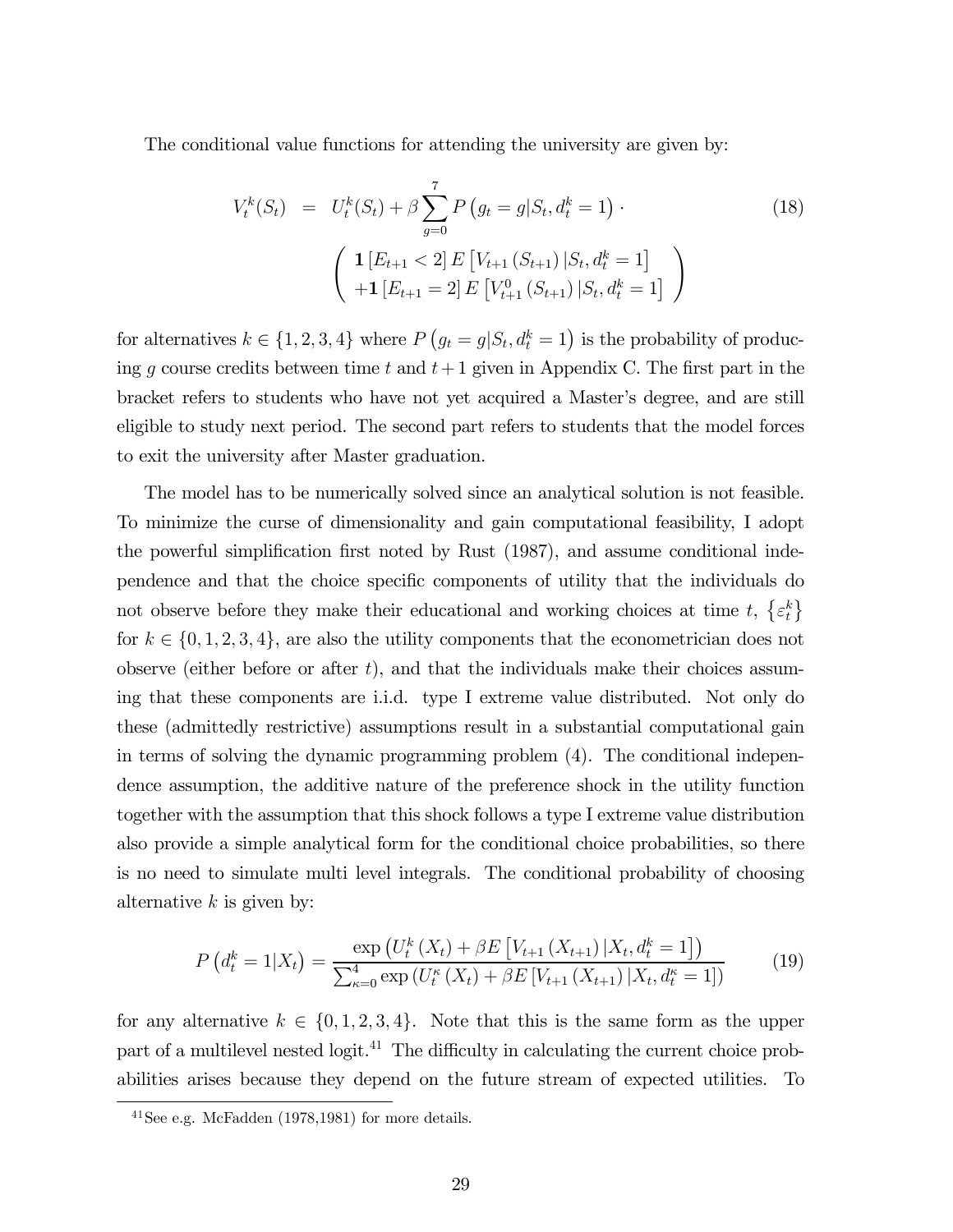The conditional value functions for attending the university are given by:

$$
V_t^k(S_t) = U_t^k(S_t) + \beta \sum_{g=0}^7 P(g_t = g | S_t, d_t^k = 1)
$$
\n
$$
\begin{pmatrix}\n\mathbf{1}[E_{t+1} < 2] E \left[ V_{t+1}(S_{t+1}) | S_t, d_t^k = 1 \right] \\
+ \mathbf{1}[E_{t+1} = 2] E \left[ V_{t+1}^0(S_{t+1}) | S_t, d_t^k = 1 \right]\n\end{pmatrix}
$$
\n
$$
(18)
$$

for alternatives  $k \in \{1, 2, 3, 4\}$  where  $P(g_t = g | S_t, d_t^k = 1)$  is the probability of producing g course credits between time t and  $t+1$  given in Appendix C. The first part in the bracket refers to students who have not yet acquired a Master's degree, and are still eligible to study next period. The second part refers to students that the model forces to exit the university after Master graduation.

The model has to be numerically solved since an analytical solution is not feasible. To minimize the curse of dimensionality and gain computational feasibility, I adopt the powerful simplification first noted by Rust (1987), and assume conditional independence and that the choice specific components of utility that the individuals do not observe before they make their educational and working choices at time  $t, \{\varepsilon_t^k\}$ for  $k \in \{0, 1, 2, 3, 4\}$ , are also the utility components that the econometrician does not observe (either before or after  $t$ ), and that the individuals make their choices assuming that these components are i.i.d. type I extreme value distributed. Not only do these (admittedly restrictive) assumptions result in a substantial computational gain in terms of solving the dynamic programming problem (4). The conditional independence assumption, the additive nature of the preference shock in the utility function together with the assumption that this shock follows a type I extreme value distribution also provide a simple analytical form for the conditional choice probabilities, so there is no need to simulate multi level integrals. The conditional probability of choosing alternative  $k$  is given by:

$$
P\left(d_t^k = 1 | X_t\right) = \frac{\exp\left(U_t^k \left(X_t\right) + \beta E\left[V_{t+1} \left(X_{t+1}\right) | X_t, d_t^k = 1\right]\right)}{\sum_{\kappa=0}^4 \exp\left(U_t^{\kappa}\left(X_t\right) + \beta E\left[V_{t+1} \left(X_{t+1}\right) | X_t, d_t^{\kappa} = 1\right]\right)}
$$
(19)

for any alternative  $k \in \{0, 1, 2, 3, 4\}$ . Note that this is the same form as the upper part of a multilevel nested logit.<sup>41</sup> The difficulty in calculating the current choice probabilities arises because they depend on the future stream of expected utilities. To

 $^{41}$ See e.g. McFadden (1978,1981) for more details.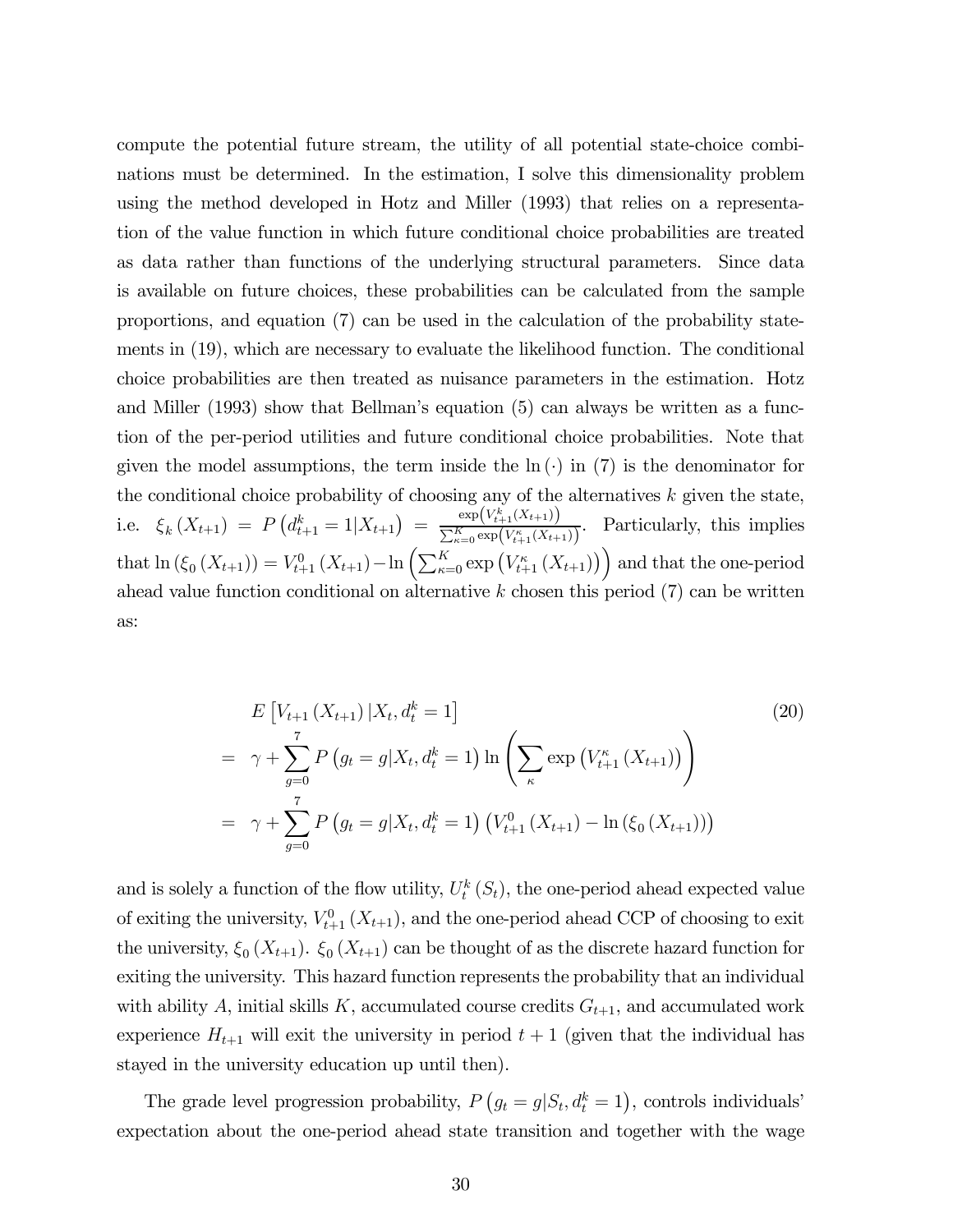compute the potential future stream, the utility of all potential state-choice combinations must be determined. In the estimation, I solve this dimensionality problem using the method developed in Hotz and Miller (1993) that relies on a representation of the value function in which future conditional choice probabilities are treated as data rather than functions of the underlying structural parameters. Since data is available on future choices, these probabilities can be calculated from the sample proportions, and equation (7) can be used in the calculation of the probability statements in (19), which are necessary to evaluate the likelihood function. The conditional choice probabilities are then treated as nuisance parameters in the estimation. Hotz and Miller (1993) show that Bellman's equation (5) can always be written as a function of the per-period utilities and future conditional choice probabilities. Note that given the model assumptions, the term inside the  $\ln(\cdot)$  in (7) is the denominator for the conditional choice probability of choosing any of the alternatives  $k$  given the state, i.e.  $\xi_k(X_{t+1}) = P\left(d_{t+1}^k = 1 | X_{t+1}\right) = \frac{\exp(V_{t+1}^k(X_{t+1}))}{\sum_{k=0}^K \exp(V_{t+1}^k(X_{t+1}))}$  $\frac{C_{\alpha}K_{\ell}(\nu_{t+1}(\lambda t+1))}{\sum_{\kappa=0}^K \exp(V_{\ell+1}^{\kappa}(\lambda t+1))}$ . Particularly, this implies that  $\ln (\xi_0(X_{t+1})) = V_{t+1}^0(X_{t+1}) - \ln \left( \sum_{\kappa=0}^K \exp (V_{t+1}^{\kappa}(X_{t+1})) \right)$  and that the one-period ahead value function conditional on alternative  $k$  chosen this period  $(7)$  can be written as:

$$
E\left[V_{t+1}\left(X_{t+1}\right)|X_t, d_t^k = 1\right]
$$
\n
$$
= \gamma + \sum_{g=0}^7 P\left(g_t = g|X_t, d_t^k = 1\right) \ln\left(\sum_{\kappa} \exp\left(V_{t+1}^{\kappa}\left(X_{t+1}\right)\right)\right)
$$
\n
$$
= \gamma + \sum_{g=0}^7 P\left(g_t = g|X_t, d_t^k = 1\right) \left(V_{t+1}^0\left(X_{t+1}\right) - \ln\left(\xi_0\left(X_{t+1}\right)\right)\right)
$$
\n(20)

and is solely a function of the flow utility,  $U_t^k(S_t)$ , the one-period ahead expected value of exiting the university,  $V_{t+1}^0(X_{t+1})$ , and the one-period ahead CCP of choosing to exit the university,  $\xi_0 (X_{t+1})$ .  $\xi_0 (X_{t+1})$  can be thought of as the discrete hazard function for exiting the university. This hazard function represents the probability that an individual with ability A, initial skills K, accumulated course credits  $G_{t+1}$ , and accumulated work experience  $H_{t+1}$  will exit the university in period  $t+1$  (given that the individual has stayed in the university education up until then).

The grade level progression probability,  $P(g_t = g | S_t, d_t^k = 1)$ , controls individuals' expectation about the one-period ahead state transition and together with the wage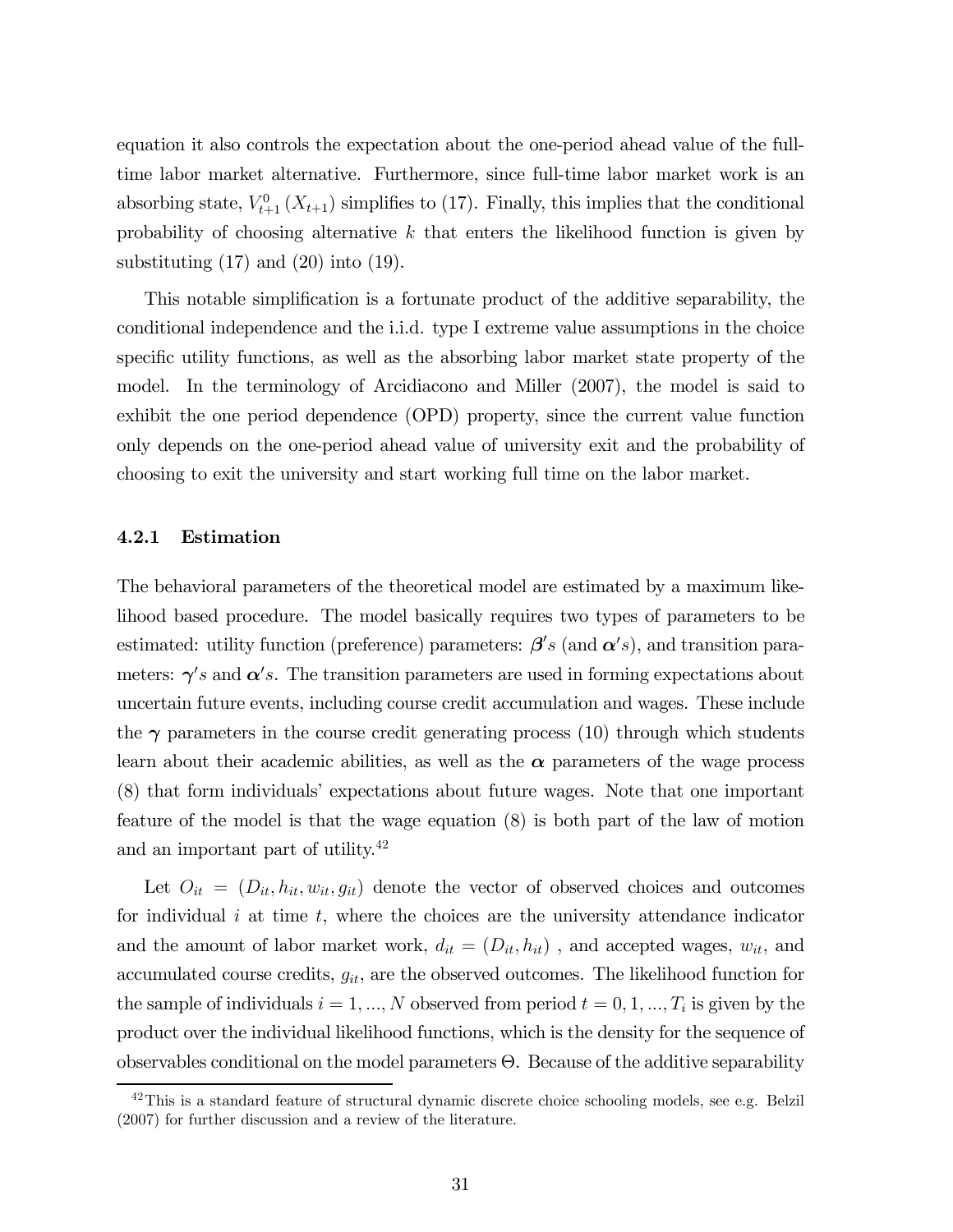equation it also controls the expectation about the one-period ahead value of the fulltime labor market alternative. Furthermore, since full-time labor market work is an absorbing state,  $V_{t+1}^0(X_{t+1})$  simplifies to (17). Finally, this implies that the conditional probability of choosing alternative  $k$  that enters the likelihood function is given by substituting  $(17)$  and  $(20)$  into  $(19)$ .

This notable simplification is a fortunate product of the additive separability, the conditional independence and the i.i.d. type I extreme value assumptions in the choice specific utility functions, as well as the absorbing labor market state property of the model. In the terminology of Arcidiacono and Miller (2007), the model is said to exhibit the one period dependence (OPD) property, since the current value function only depends on the one-period ahead value of university exit and the probability of choosing to exit the university and start working full time on the labor market.

#### 4.2.1 Estimation

The behavioral parameters of the theoretical model are estimated by a maximum likelihood based procedure. The model basically requires two types of parameters to be estimated: utility function (preference) parameters:  $\beta' s$  (and  $\alpha' s$ ), and transition parameters:  $\gamma's$  and  $\alpha's$ . The transition parameters are used in forming expectations about uncertain future events, including course credit accumulation and wages. These include the  $\gamma$  parameters in the course credit generating process (10) through which students learn about their academic abilities, as well as the  $\alpha$  parameters of the wage process (8) that form individuals' expectations about future wages. Note that one important feature of the model is that the wage equation (8) is both part of the law of motion and an important part of utility.<sup>42</sup>

Let  $O_{it} = (D_{it}, h_{it}, w_{it}, g_{it})$  denote the vector of observed choices and outcomes for individual  $i$  at time  $t$ , where the choices are the university attendance indicator and the amount of labor market work,  $d_{it} = (D_{it}, h_{it})$  , and accepted wages,  $w_{it}$ , and accumulated course credits,  $g_{it}$ , are the observed outcomes. The likelihood function for the sample of individuals  $i = 1, ..., N$  observed from period  $t = 0, 1, ..., T_i$  is given by the product over the individual likelihood functions, which is the density for the sequence of observables conditional on the model parameters Θ. Because of the additive separability

 $42$ This is a standard feature of structural dynamic discrete choice schooling models, see e.g. Belzil (2007) for further discussion and a review of the literature.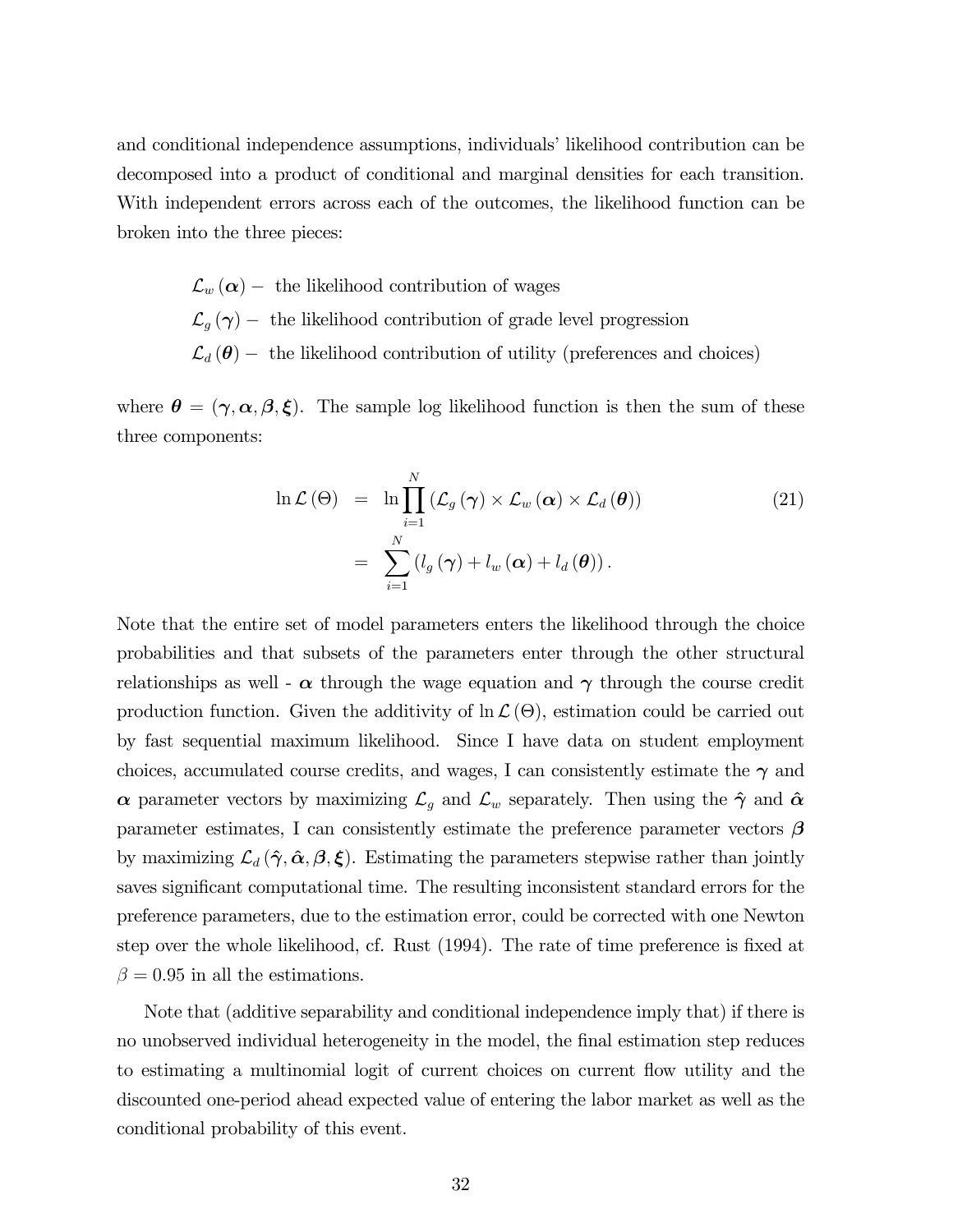and conditional independence assumptions, individuals' likelihood contribution can be decomposed into a product of conditional and marginal densities for each transition. With independent errors across each of the outcomes, the likelihood function can be broken into the three pieces:

> $\mathcal{L}_w(\boldsymbol{\alpha})$  – the likelihood contribution of wages  $\mathcal{L}_g(\gamma)$  – the likelihood contribution of grade level progression  $\mathcal{L}_d(\boldsymbol{\theta})$  – the likelihood contribution of utility (preferences and choices)

where  $\theta = (\gamma, \alpha, \beta, \xi)$ . The sample log likelihood function is then the sum of these three components:

$$
\ln \mathcal{L}(\Theta) = \ln \prod_{i=1}^{N} (\mathcal{L}_{g}(\gamma) \times \mathcal{L}_{w}(\alpha) \times \mathcal{L}_{d}(\theta))
$$
\n
$$
= \sum_{i=1}^{N} (l_{g}(\gamma) + l_{w}(\alpha) + l_{d}(\theta)).
$$
\n(21)

Note that the entire set of model parameters enters the likelihood through the choice probabilities and that subsets of the parameters enter through the other structural relationships as well -  $\alpha$  through the wage equation and  $\gamma$  through the course credit production function. Given the additivity of  $\ln\mathcal{L}(\Theta)$ , estimation could be carried out by fast sequential maximum likelihood. Since I have data on student employment choices, accumulated course credits, and wages, I can consistently estimate the  $\gamma$  and α parameter vectors by maximizing  $\mathcal{L}_g$  and  $\mathcal{L}_w$  separately. Then using the  $\hat{\gamma}$  and  $\hat{\alpha}$ parameter estimates, I can consistently estimate the preference parameter vectors  $\beta$ by maximizing  $\mathcal{L}_d(\hat{\gamma}, \hat{\alpha}, \beta, \xi)$ . Estimating the parameters stepwise rather than jointly saves significant computational time. The resulting inconsistent standard errors for the preference parameters, due to the estimation error, could be corrected with one Newton step over the whole likelihood, cf. Rust (1994). The rate of time preference is fixed at  $\beta = 0.95$  in all the estimations.

Note that (additive separability and conditional independence imply that) if there is no unobserved individual heterogeneity in the model, the final estimation step reduces to estimating a multinomial logit of current choices on current flow utility and the discounted one-period ahead expected value of entering the labor market as well as the conditional probability of this event.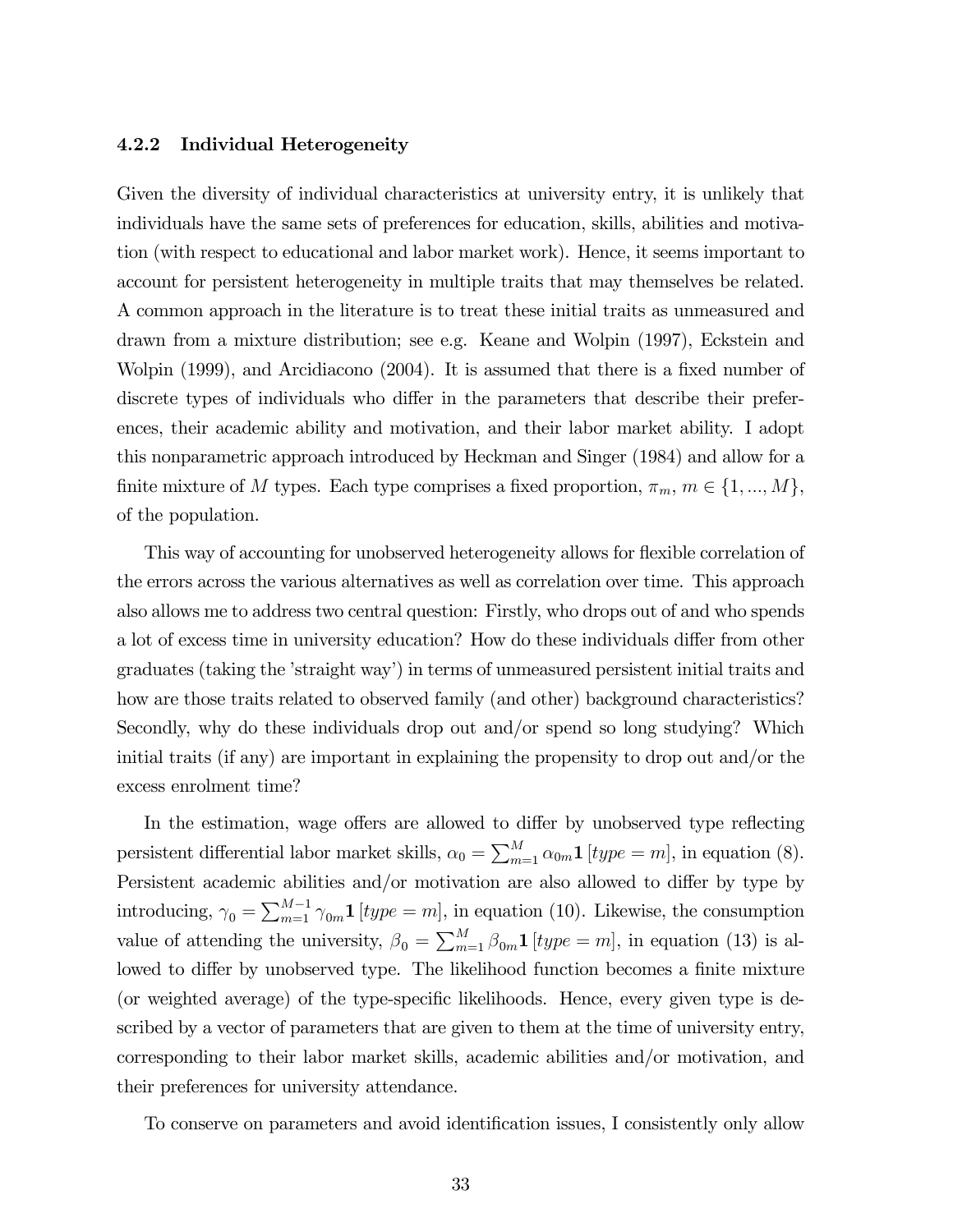#### 4.2.2 Individual Heterogeneity

Given the diversity of individual characteristics at university entry, it is unlikely that individuals have the same sets of preferences for education, skills, abilities and motivation (with respect to educational and labor market work). Hence, it seems important to account for persistent heterogeneity in multiple traits that may themselves be related. A common approach in the literature is to treat these initial traits as unmeasured and drawn from a mixture distribution; see e.g. Keane and Wolpin (1997), Eckstein and Wolpin (1999), and Arcidiacono (2004). It is assumed that there is a fixed number of discrete types of individuals who differ in the parameters that describe their preferences, their academic ability and motivation, and their labor market ability. I adopt this nonparametric approach introduced by Heckman and Singer (1984) and allow for a finite mixture of M types. Each type comprises a fixed proportion,  $\pi_m$ ,  $m \in \{1, ..., M\}$ , of the population.

This way of accounting for unobserved heterogeneity allows for flexible correlation of the errors across the various alternatives as well as correlation over time. This approach also allows me to address two central question: Firstly, who drops out of and who spends a lot of excess time in university education? How do these individuals differ from other graduates (taking the 'straight way') in terms of unmeasured persistent initial traits and how are those traits related to observed family (and other) background characteristics? Secondly, why do these individuals drop out and/or spend so long studying? Which initial traits (if any) are important in explaining the propensity to drop out and/or the excess enrolment time?

In the estimation, wage offers are allowed to differ by unobserved type reflecting persistent differential labor market skills,  $\alpha_0 = \sum_{m=1}^{M} \alpha_{0m} \mathbf{1}$  [type = m], in equation (8). Persistent academic abilities and/or motivation are also allowed to differ by type by introducing,  $\gamma_0 = \sum_{m=1}^{M-1} \gamma_{0m} \mathbf{1}$  [type = m], in equation (10). Likewise, the consumption value of attending the university,  $\beta_0 = \sum_{m=1}^{M} \beta_{0m} \mathbf{1}$  [type = m], in equation (13) is allowed to differ by unobserved type. The likelihood function becomes a finite mixture (or weighted average) of the type-specific likelihoods. Hence, every given type is described by a vector of parameters that are given to them at the time of university entry, corresponding to their labor market skills, academic abilities and/or motivation, and their preferences for university attendance.

To conserve on parameters and avoid identification issues, I consistently only allow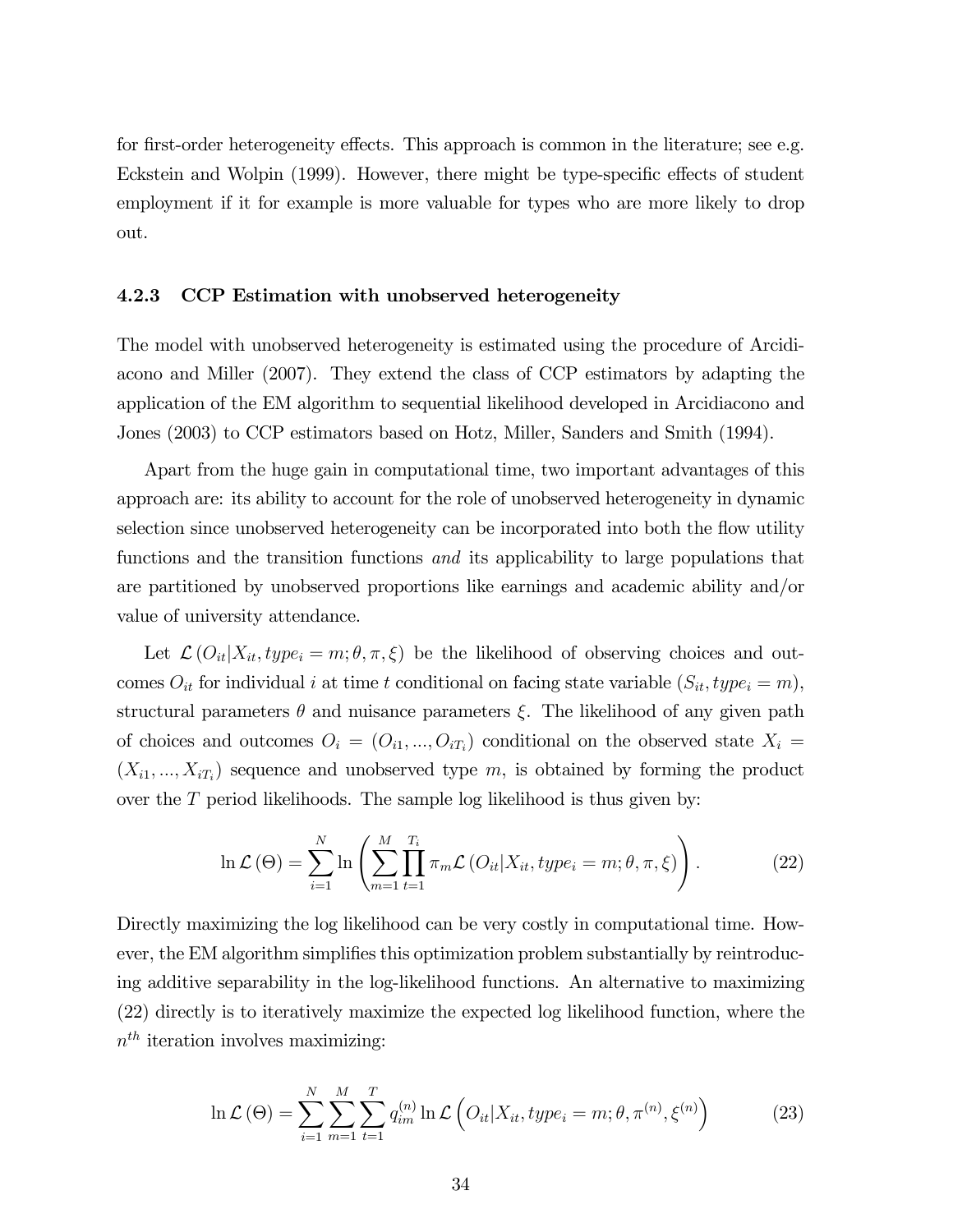for first-order heterogeneity effects. This approach is common in the literature; see e.g. Eckstein and Wolpin (1999). However, there might be type-specific effects of student employment if it for example is more valuable for types who are more likely to drop out.

#### 4.2.3 CCP Estimation with unobserved heterogeneity

The model with unobserved heterogeneity is estimated using the procedure of Arcidiacono and Miller (2007). They extend the class of CCP estimators by adapting the application of the EM algorithm to sequential likelihood developed in Arcidiacono and Jones (2003) to CCP estimators based on Hotz, Miller, Sanders and Smith (1994).

Apart from the huge gain in computational time, two important advantages of this approach are: its ability to account for the role of unobserved heterogeneity in dynamic selection since unobserved heterogeneity can be incorporated into both the flow utility functions and the transition functions and its applicability to large populations that are partitioned by unobserved proportions like earnings and academic ability and/or value of university attendance.

Let  $\mathcal{L}(O_{it}|X_{it}, type_i = m; \theta, \pi, \xi)$  be the likelihood of observing choices and outcomes  $O_{it}$  for individual i at time t conditional on facing state variable  $(S_{it}, type_i = m)$ , structural parameters  $\theta$  and nuisance parameters  $\xi$ . The likelihood of any given path of choices and outcomes  $O_i = (O_{i1}, ..., O_{iT_i})$  conditional on the observed state  $X_i =$  $(X_{i1},..., X_{iT_i})$  sequence and unobserved type m, is obtained by forming the product over the  $T$  period likelihoods. The sample log likelihood is thus given by:

$$
\ln \mathcal{L}(\Theta) = \sum_{i=1}^{N} \ln \left( \sum_{m=1}^{M} \prod_{t=1}^{T_i} \pi_m \mathcal{L} \left( O_{it} | X_{it}, type_i = m; \theta, \pi, \xi \right) \right). \tag{22}
$$

Directly maximizing the log likelihood can be very costly in computational time. However, the EM algorithm simplifies this optimization problem substantially by reintroducing additive separability in the log-likelihood functions. An alternative to maximizing (22) directly is to iteratively maximize the expected log likelihood function, where the  $n<sup>th</sup>$  iteration involves maximizing:

$$
\ln \mathcal{L}(\Theta) = \sum_{i=1}^{N} \sum_{m=1}^{M} \sum_{t=1}^{T} q_{im}^{(n)} \ln \mathcal{L} \left( O_{it} | X_{it}, type_i = m; \theta, \pi^{(n)}, \xi^{(n)} \right)
$$
(23)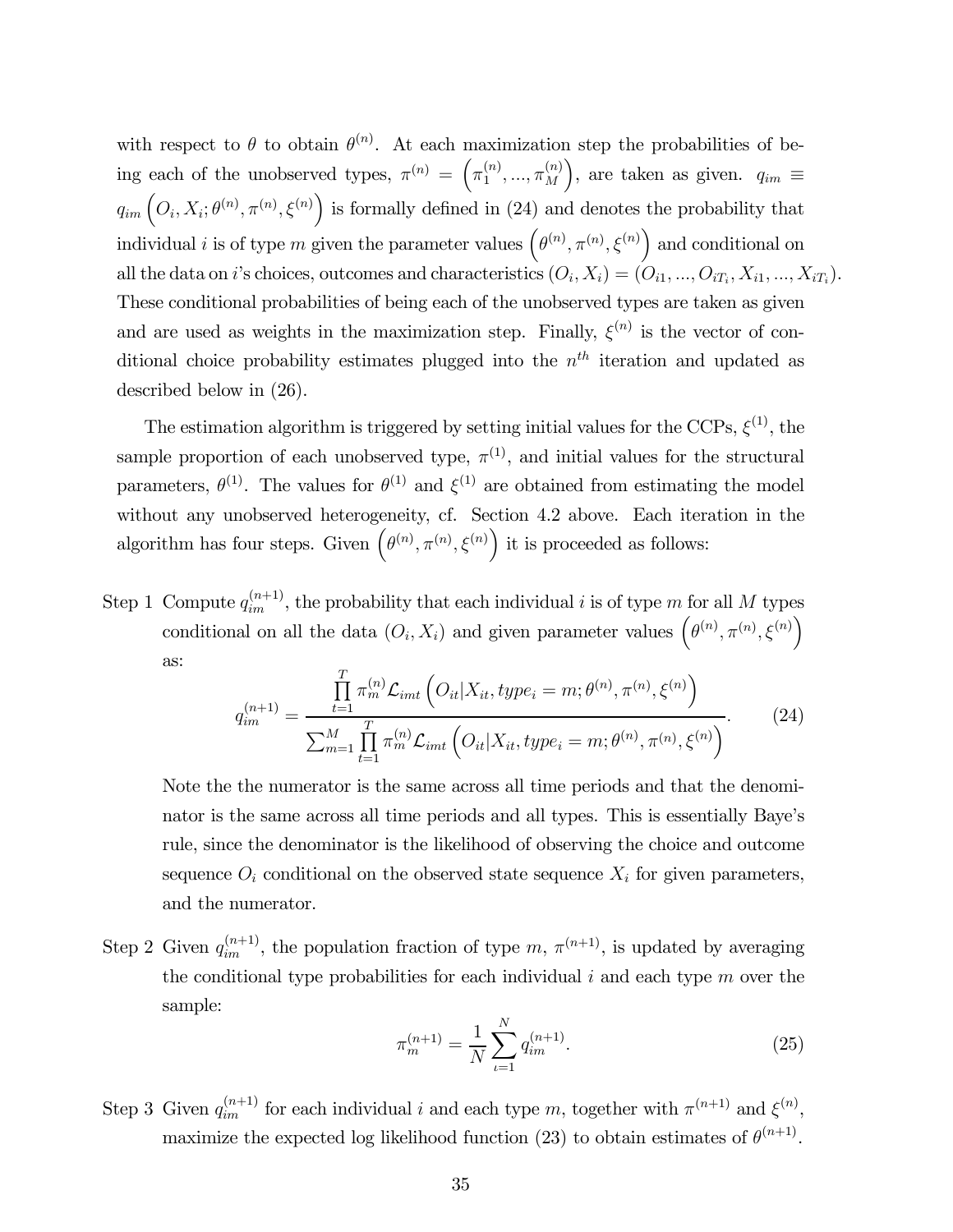with respect to  $\theta$  to obtain  $\theta^{(n)}$ . At each maximization step the probabilities of being each of the unobserved types,  $\pi^{(n)} = \left(\pi_1^{(n)}, ..., \pi_M^{(n)}\right)$ ), are taken as given.  $q_{im} \equiv$  $q_{im}$   $\left(O_i, X_i; \theta^{(n)}, \pi^{(n)}, \xi^{(n)}\right)$  is formally defined in (24) and denotes the probability that individual *i* is of type m given the parameter values  $(\theta^{(n)}, \pi^{(n)}, \xi^{(n)})$  and conditional on all the data on *i*'s choices, outcomes and characteristics  $(O_i, X_i) = (O_{i1}, ..., O_{iT_i}, X_{i1}, ..., X_{iT_i}).$ These conditional probabilities of being each of the unobserved types are taken as given and are used as weights in the maximization step. Finally,  $\xi^{(n)}$  is the vector of conditional choice probability estimates plugged into the  $n<sup>th</sup>$  iteration and updated as described below in (26).

The estimation algorithm is triggered by setting initial values for the CCPs,  $\xi^{(1)}$ , the sample proportion of each unobserved type,  $\pi^{(1)}$ , and initial values for the structural parameters,  $\theta^{(1)}$ . The values for  $\theta^{(1)}$  and  $\xi^{(1)}$  are obtained from estimating the model without any unobserved heterogeneity, cf. Section 4.2 above. Each iteration in the algorithm has four steps. Given  $(\theta^{(n)}, \pi^{(n)}, \xi^{(n)})$  it is proceeded as follows:

Step 1 Compute  $q_{im}^{(n+1)}$ , the probability that each individual i is of type m for all M types conditional on all the data  $(O_i, X_i)$  and given parameter values  $(\theta^{(n)}, \pi^{(n)}, \xi^{(n)})$ as:

$$
q_{im}^{(n+1)} = \frac{\prod_{t=1}^{T} \pi_{m}^{(n)} \mathcal{L}_{imt} \left( O_{it} | X_{it}, type_{i} = m; \theta^{(n)}, \pi^{(n)}, \xi^{(n)} \right)}{\sum_{m=1}^{M} \prod_{t=1}^{T} \pi_{m}^{(n)} \mathcal{L}_{imt} \left( O_{it} | X_{it}, type_{i} = m; \theta^{(n)}, \pi^{(n)}, \xi^{(n)} \right)}.
$$
(24)

Note the the numerator is the same across all time periods and that the denominator is the same across all time periods and all types. This is essentially Baye's rule, since the denominator is the likelihood of observing the choice and outcome sequence  $O_i$  conditional on the observed state sequence  $X_i$  for given parameters, and the numerator.

Step 2 Given  $q_{im}^{(n+1)}$ , the population fraction of type  $m, \pi^{(n+1)}$ , is updated by averaging the conditional type probabilities for each individual  $i$  and each type  $m$  over the sample:

$$
\pi_m^{(n+1)} = \frac{1}{N} \sum_{\iota=1}^N q_{im}^{(n+1)}.
$$
\n(25)

Step 3 Given  $q_{im}^{(n+1)}$  for each individual i and each type m, together with  $\pi^{(n+1)}$  and  $\xi^{(n)}$ , maximize the expected log likelihood function (23) to obtain estimates of  $\theta^{(n+1)}$ .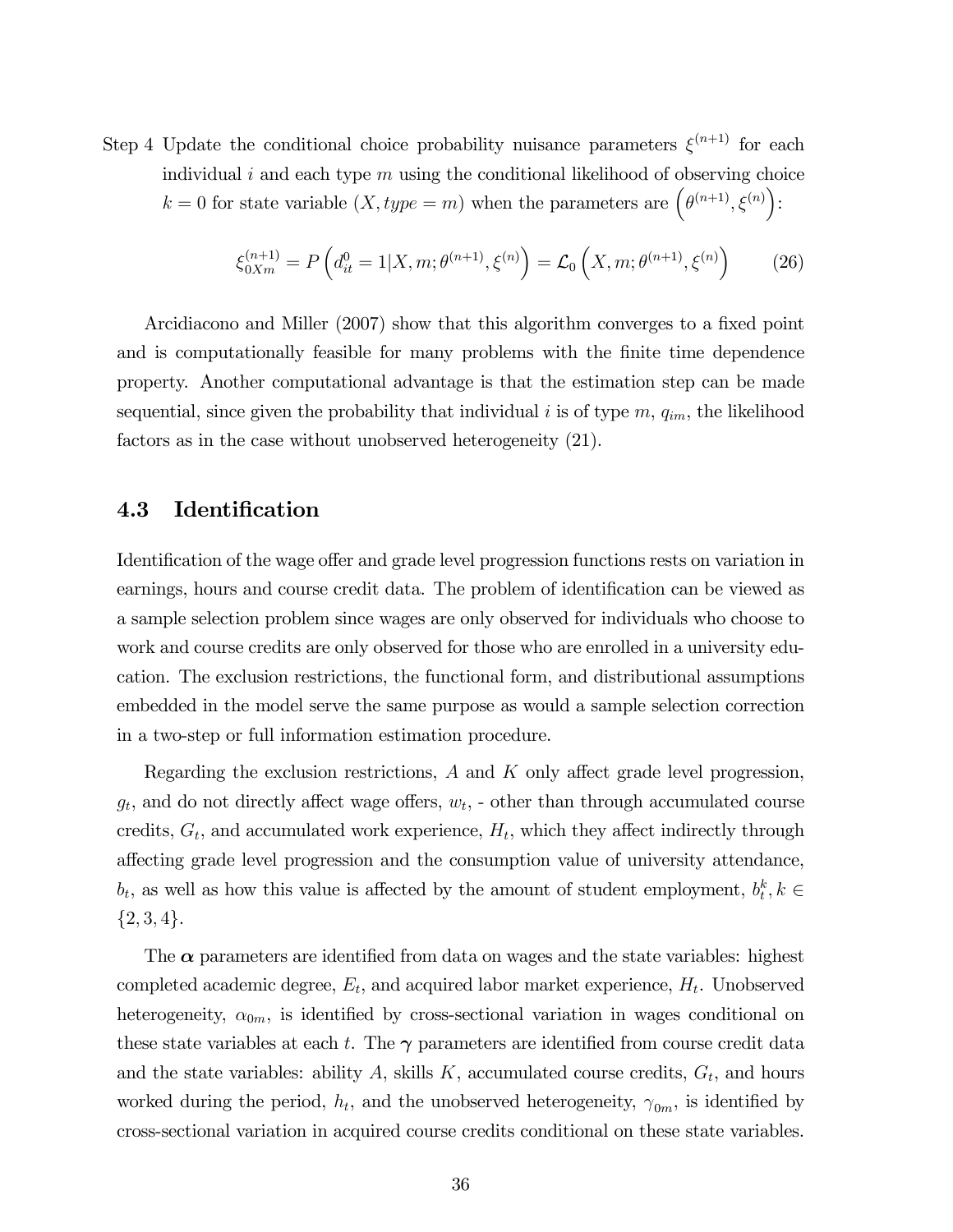Step 4 Update the conditional choice probability nuisance parameters  $\xi^{(n+1)}$  for each individual i and each type  $m$  using the conditional likelihood of observing choice  $k = 0$  for state variable  $(X, type = m)$  when the parameters are  $(\theta^{(n+1)}, \xi^{(n)})$ :

$$
\xi_{0Xm}^{(n+1)} = P\left(d_{it}^0 = 1 | X, m; \theta^{(n+1)}, \xi^{(n)}\right) = \mathcal{L}_0\left(X, m; \theta^{(n+1)}, \xi^{(n)}\right) \tag{26}
$$

Arcidiacono and Miller (2007) show that this algorithm converges to a fixed point and is computationally feasible for many problems with the finite time dependence property. Another computational advantage is that the estimation step can be made sequential, since given the probability that individual i is of type  $m$ ,  $q_{im}$ , the likelihood factors as in the case without unobserved heterogeneity (21).

## 4.3 Identification

Identification of the wage offer and grade level progression functions rests on variation in earnings, hours and course credit data. The problem of identification can be viewed as a sample selection problem since wages are only observed for individuals who choose to work and course credits are only observed for those who are enrolled in a university education. The exclusion restrictions, the functional form, and distributional assumptions embedded in the model serve the same purpose as would a sample selection correction in a two-step or full information estimation procedure.

Regarding the exclusion restrictions, A and K only affect grade level progression,  $g_t$ , and do not directly affect wage offers,  $w_t$ ,  $\cdot$  other than through accumulated course credits,  $G_t$ , and accumulated work experience,  $H_t$ , which they affect indirectly through affecting grade level progression and the consumption value of university attendance,  $b_t$ , as well as how this value is affected by the amount of student employment,  $b_t^k$ ,  $k \in$  ${2, 3, 4}.$ 

The  $\alpha$  parameters are identified from data on wages and the state variables: highest completed academic degree,  $E_t$ , and acquired labor market experience,  $H_t$ . Unobserved heterogeneity,  $\alpha_{0m}$ , is identified by cross-sectional variation in wages conditional on these state variables at each t. The  $\gamma$  parameters are identified from course credit data and the state variables: ability  $A$ , skills  $K$ , accumulated course credits,  $G_t$ , and hours worked during the period,  $h_t$ , and the unobserved heterogeneity,  $\gamma_{0m}$ , is identified by cross-sectional variation in acquired course credits conditional on these state variables.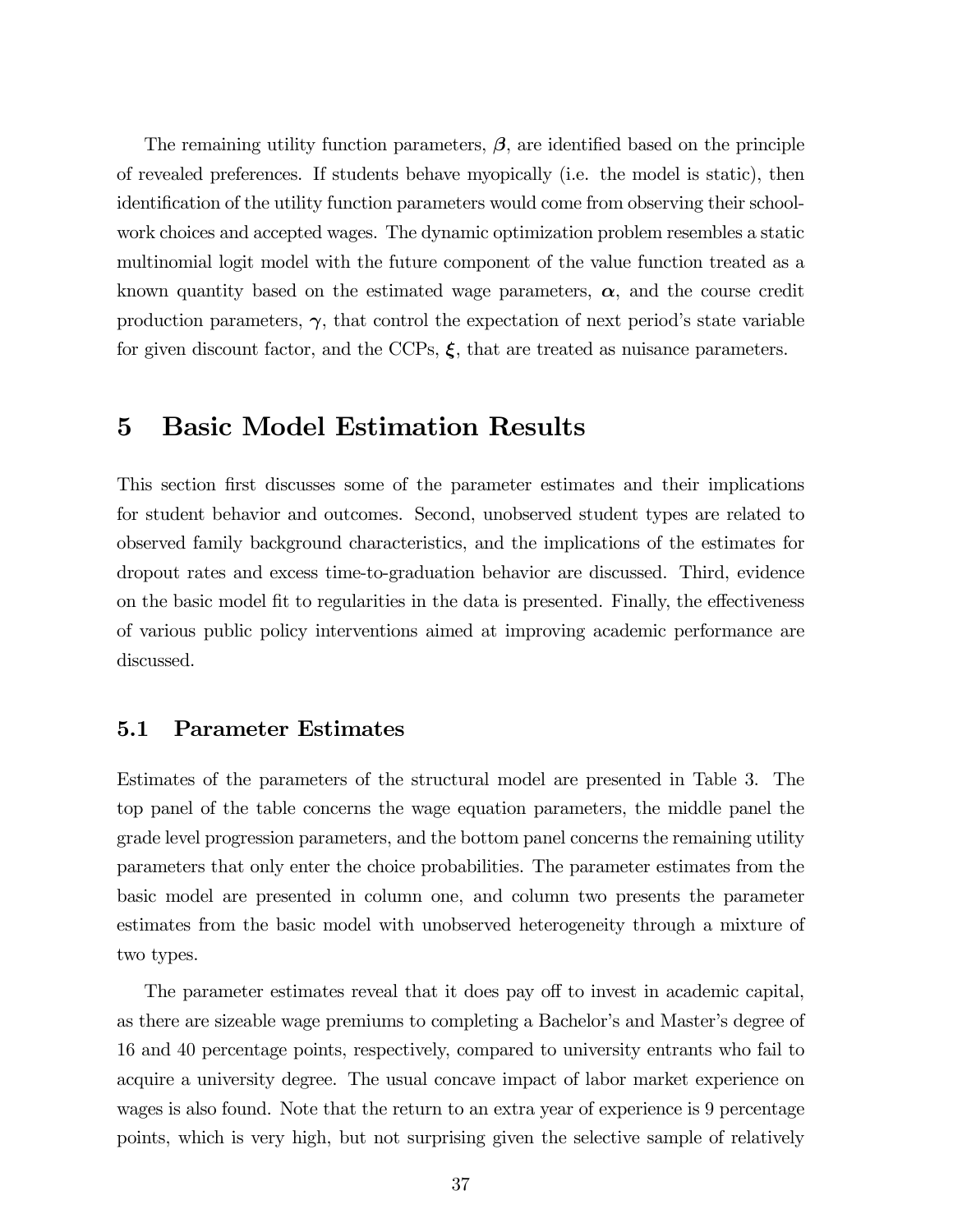The remaining utility function parameters,  $\beta$ , are identified based on the principle of revealed preferences. If students behave myopically (i.e. the model is static), then identification of the utility function parameters would come from observing their schoolwork choices and accepted wages. The dynamic optimization problem resembles a static multinomial logit model with the future component of the value function treated as a known quantity based on the estimated wage parameters,  $\alpha$ , and the course credit production parameters,  $\gamma$ , that control the expectation of next period's state variable for given discount factor, and the CCPs,  $\xi$ , that are treated as nuisance parameters.

## 5 Basic Model Estimation Results

This section first discusses some of the parameter estimates and their implications for student behavior and outcomes. Second, unobserved student types are related to observed family background characteristics, and the implications of the estimates for dropout rates and excess time-to-graduation behavior are discussed. Third, evidence on the basic model fit to regularities in the data is presented. Finally, the effectiveness of various public policy interventions aimed at improving academic performance are discussed.

### 5.1 Parameter Estimates

Estimates of the parameters of the structural model are presented in Table 3. The top panel of the table concerns the wage equation parameters, the middle panel the grade level progression parameters, and the bottom panel concerns the remaining utility parameters that only enter the choice probabilities. The parameter estimates from the basic model are presented in column one, and column two presents the parameter estimates from the basic model with unobserved heterogeneity through a mixture of two types.

The parameter estimates reveal that it does pay off to invest in academic capital, as there are sizeable wage premiums to completing a Bachelor's and Master's degree of 16 and 40 percentage points, respectively, compared to university entrants who fail to acquire a university degree. The usual concave impact of labor market experience on wages is also found. Note that the return to an extra year of experience is 9 percentage points, which is very high, but not surprising given the selective sample of relatively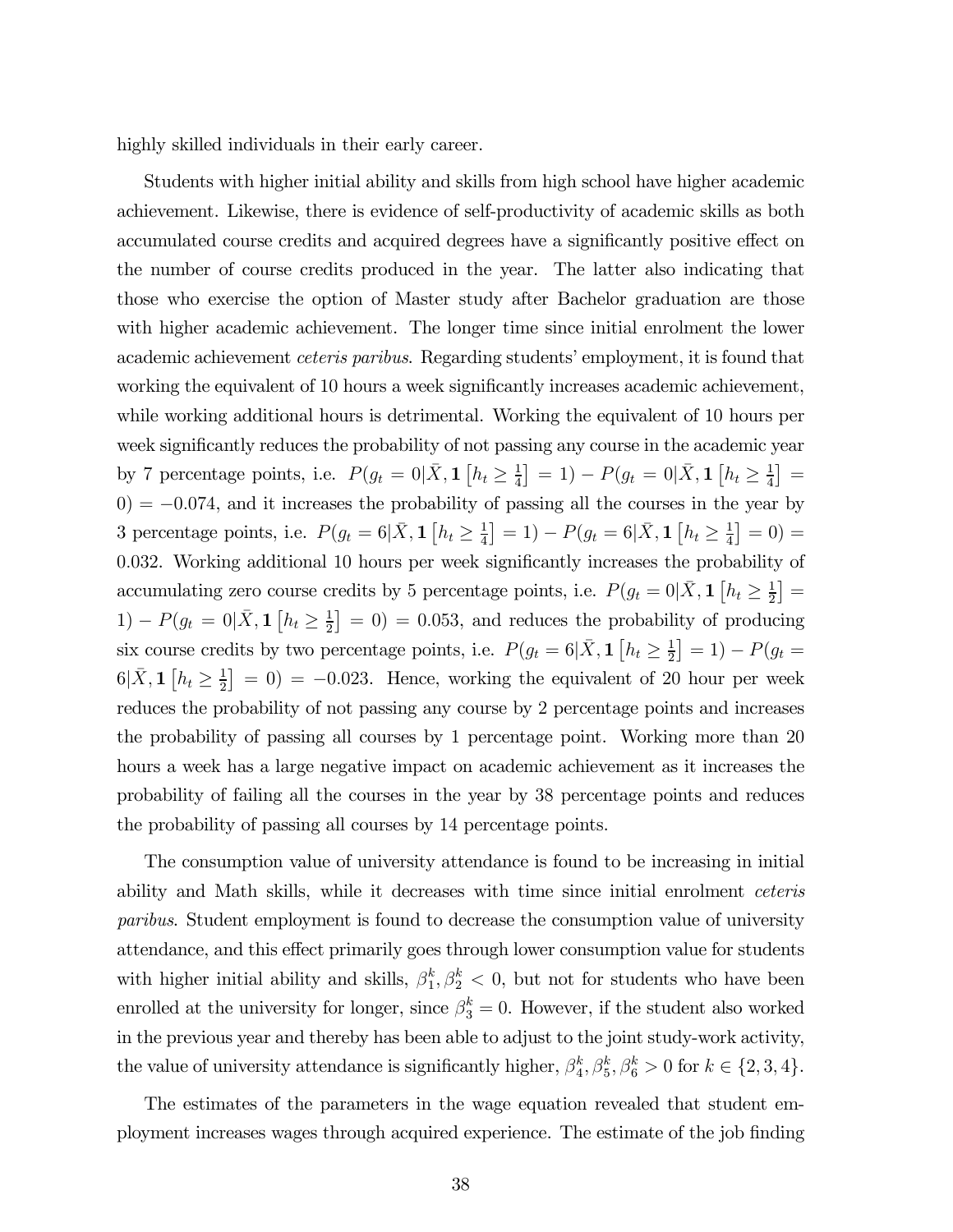highly skilled individuals in their early career.

Students with higher initial ability and skills from high school have higher academic achievement. Likewise, there is evidence of self-productivity of academic skills as both accumulated course credits and acquired degrees have a significantly positive effect on the number of course credits produced in the year. The latter also indicating that those who exercise the option of Master study after Bachelor graduation are those with higher academic achievement. The longer time since initial enrolment the lower academic achievement ceteris paribus. Regarding students' employment, it is found that working the equivalent of 10 hours a week significantly increases academic achievement, while working additional hours is detrimental. Working the equivalent of 10 hours per week significantly reduces the probability of not passing any course in the academic year by 7 percentage points, i.e.  $P(g_t = 0 | \bar{X}, \mathbf{1} [h_t \ge \frac{1}{4}] = 1) - P(g_t = 0 | \bar{X}, \mathbf{1} [h_t \ge \frac{1}{4}] =$  $(0) = -0.074$ , and it increases the probability of passing all the courses in the year by 3 percentage points, i.e.  $P(g_t = 6|\bar{X}, \mathbf{1}| [h_t \ge \frac{1}{4}] = 1) - P(g_t = 6|\bar{X}, \mathbf{1}| [h_t \ge \frac{1}{4}] = 0) =$ 0.032. Working additional 10 hours per week significantly increases the probability of accumulating zero course credits by 5 percentage points, i.e.  $P(g_t = 0 | \bar{X}, \mathbf{1} [h_t \ge \frac{1}{2}] =$ 1) –  $P(g_t = 0|\bar{X}, \mathbf{1}|[h_t \ge \frac{1}{2}] = 0) = 0.053$ , and reduces the probability of producing six course credits by two percentage points, i.e.  $P(g_t = 6|\bar{X}, \mathbf{1}| [h_t \ge \frac{1}{2}] = 1) - P(g_t =$  $6|\bar{X}, \mathbf{1}|_{h_t} \geq \frac{1}{2}$  = 0) = -0.023. Hence, working the equivalent of 20 hour per week reduces the probability of not passing any course by 2 percentage points and increases the probability of passing all courses by 1 percentage point. Working more than 20 hours a week has a large negative impact on academic achievement as it increases the probability of failing all the courses in the year by 38 percentage points and reduces the probability of passing all courses by 14 percentage points.

The consumption value of university attendance is found to be increasing in initial ability and Math skills, while it decreases with time since initial enrolment ceteris paribus. Student employment is found to decrease the consumption value of university attendance, and this effect primarily goes through lower consumption value for students with higher initial ability and skills,  $\beta_1^k, \beta_2^k < 0$ , but not for students who have been enrolled at the university for longer, since  $\beta_3^k = 0$ . However, if the student also worked in the previous year and thereby has been able to adjust to the joint study-work activity, the value of university attendance is significantly higher,  $\beta_4^k$ ,  $\beta_5^k$ ,  $\beta_6^k > 0$  for  $k \in \{2, 3, 4\}$ .

The estimates of the parameters in the wage equation revealed that student employment increases wages through acquired experience. The estimate of the job finding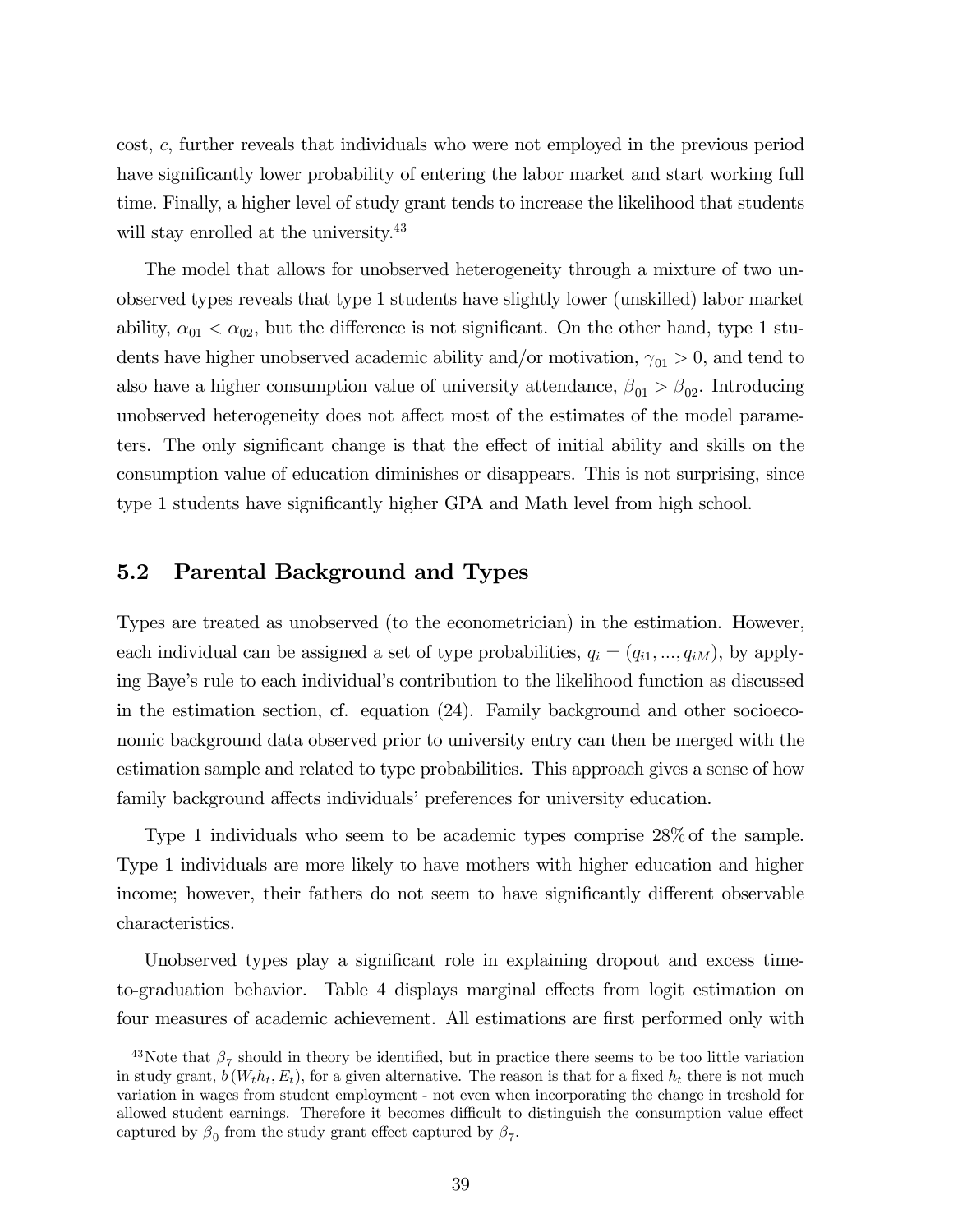cost, c, further reveals that individuals who were not employed in the previous period have significantly lower probability of entering the labor market and start working full time. Finally, a higher level of study grant tends to increase the likelihood that students will stay enrolled at the university.<sup>43</sup>

The model that allows for unobserved heterogeneity through a mixture of two unobserved types reveals that type 1 students have slightly lower (unskilled) labor market ability,  $\alpha_{01} < \alpha_{02}$ , but the difference is not significant. On the other hand, type 1 students have higher unobserved academic ability and/or motivation,  $\gamma_{01} > 0$ , and tend to also have a higher consumption value of university attendance,  $\beta_{01} > \beta_{02}$ . Introducing unobserved heterogeneity does not affect most of the estimates of the model parameters. The only significant change is that the effect of initial ability and skills on the consumption value of education diminishes or disappears. This is not surprising, since type 1 students have significantly higher GPA and Math level from high school.

### 5.2 Parental Background and Types

Types are treated as unobserved (to the econometrician) in the estimation. However, each individual can be assigned a set of type probabilities,  $q_i = (q_{i1}, ..., q_{iM})$ , by applying Baye's rule to each individual's contribution to the likelihood function as discussed in the estimation section, cf. equation (24). Family background and other socioeconomic background data observed prior to university entry can then be merged with the estimation sample and related to type probabilities. This approach gives a sense of how family background affects individuals' preferences for university education.

Type 1 individuals who seem to be academic types comprise 28% of the sample. Type 1 individuals are more likely to have mothers with higher education and higher income; however, their fathers do not seem to have significantly different observable characteristics.

Unobserved types play a significant role in explaining dropout and excess timeto-graduation behavior. Table 4 displays marginal effects from logit estimation on four measures of academic achievement. All estimations are first performed only with

<sup>&</sup>lt;sup>43</sup>Note that  $\beta_7$  should in theory be identified, but in practice there seems to be too little variation in study grant,  $b(W_t h_t, E_t)$ , for a given alternative. The reason is that for a fixed  $h_t$  there is not much variation in wages from student employment - not even when incorporating the change in treshold for allowed student earnings. Therefore it becomes difficult to distinguish the consumption value effect captured by  $\beta_0$  from the study grant effect captured by  $\beta_7$ .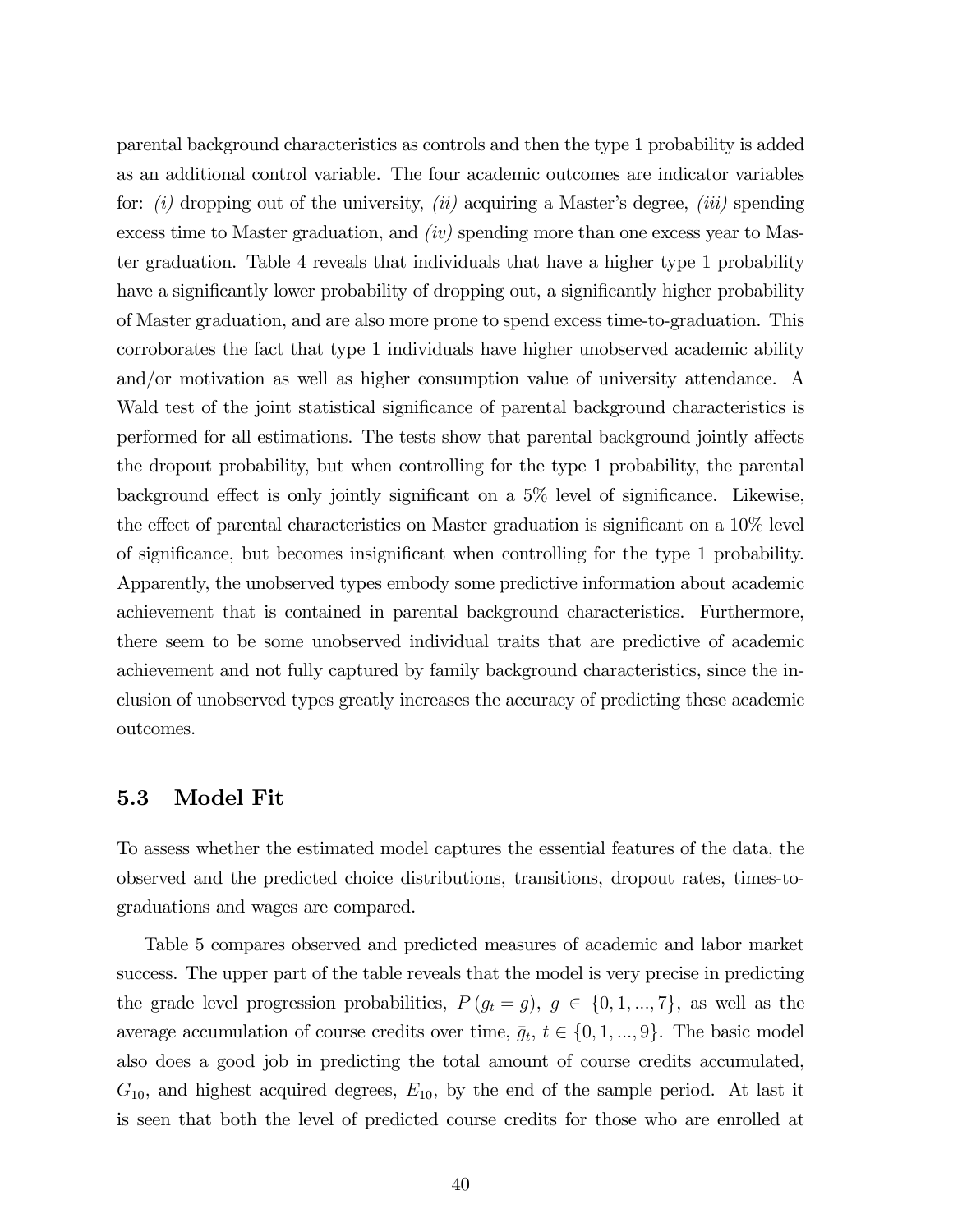parental background characteristics as controls and then the type 1 probability is added as an additional control variable. The four academic outcomes are indicator variables for:  $(i)$  dropping out of the university,  $(ii)$  acquiring a Master's degree,  $(iii)$  spending excess time to Master graduation, and (iv) spending more than one excess year to Master graduation. Table 4 reveals that individuals that have a higher type 1 probability have a significantly lower probability of dropping out, a significantly higher probability of Master graduation, and are also more prone to spend excess time-to-graduation. This corroborates the fact that type 1 individuals have higher unobserved academic ability and/or motivation as well as higher consumption value of university attendance. A Wald test of the joint statistical significance of parental background characteristics is performed for all estimations. The tests show that parental background jointly affects the dropout probability, but when controlling for the type 1 probability, the parental background effect is only jointly significant on a 5% level of significance. Likewise, the effect of parental characteristics on Master graduation is significant on a 10% level of significance, but becomes insignificant when controlling for the type 1 probability. Apparently, the unobserved types embody some predictive information about academic achievement that is contained in parental background characteristics. Furthermore, there seem to be some unobserved individual traits that are predictive of academic achievement and not fully captured by family background characteristics, since the inclusion of unobserved types greatly increases the accuracy of predicting these academic outcomes.

#### 5.3 Model Fit

To assess whether the estimated model captures the essential features of the data, the observed and the predicted choice distributions, transitions, dropout rates, times-tograduations and wages are compared.

Table 5 compares observed and predicted measures of academic and labor market success. The upper part of the table reveals that the model is very precise in predicting the grade level progression probabilities,  $P(g_t = g)$ ,  $g \in \{0, 1, ..., 7\}$ , as well as the average accumulation of course credits over time,  $\bar{g}_t$ ,  $t \in \{0, 1, ..., 9\}$ . The basic model also does a good job in predicting the total amount of course credits accumulated,  $G_{10}$ , and highest acquired degrees,  $E_{10}$ , by the end of the sample period. At last it is seen that both the level of predicted course credits for those who are enrolled at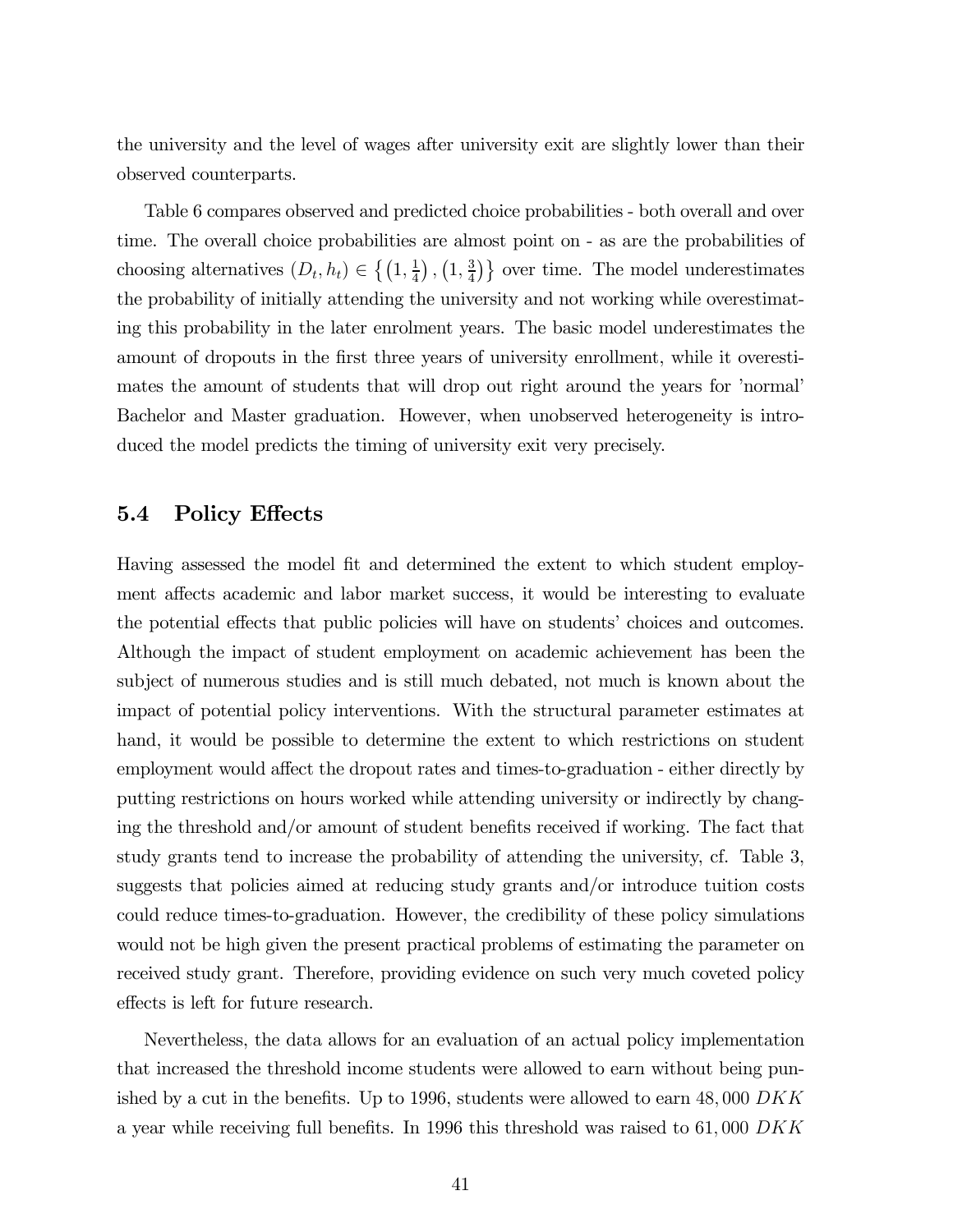the university and the level of wages after university exit are slightly lower than their observed counterparts.

Table 6 compares observed and predicted choice probabilities - both overall and over time. The overall choice probabilities are almost point on - as are the probabilities of choosing alternatives  $(D_t, h_t) \in \left\{ (1, \frac{1}{4}), (1, \frac{3}{4}) \right\}$  over time. The model underestimates the probability of initially attending the university and not working while overestimating this probability in the later enrolment years. The basic model underestimates the amount of dropouts in the first three years of university enrollment, while it overestimates the amount of students that will drop out right around the years for 'normal' Bachelor and Master graduation. However, when unobserved heterogeneity is introduced the model predicts the timing of university exit very precisely.

#### 5.4 Policy Effects

Having assessed the model fit and determined the extent to which student employment affects academic and labor market success, it would be interesting to evaluate the potential effects that public policies will have on students' choices and outcomes. Although the impact of student employment on academic achievement has been the subject of numerous studies and is still much debated, not much is known about the impact of potential policy interventions. With the structural parameter estimates at hand, it would be possible to determine the extent to which restrictions on student employment would affect the dropout rates and times-to-graduation - either directly by putting restrictions on hours worked while attending university or indirectly by changing the threshold and/or amount of student benefits received if working. The fact that study grants tend to increase the probability of attending the university, cf. Table 3, suggests that policies aimed at reducing study grants and/or introduce tuition costs could reduce times-to-graduation. However, the credibility of these policy simulations would not be high given the present practical problems of estimating the parameter on received study grant. Therefore, providing evidence on such very much coveted policy effects is left for future research.

Nevertheless, the data allows for an evaluation of an actual policy implementation that increased the threshold income students were allowed to earn without being punished by a cut in the benefits. Up to 1996, students were allowed to earn  $48,000$  DKK a year while receiving full benefits. In 1996 this threshold was raised to  $61,000$  DKK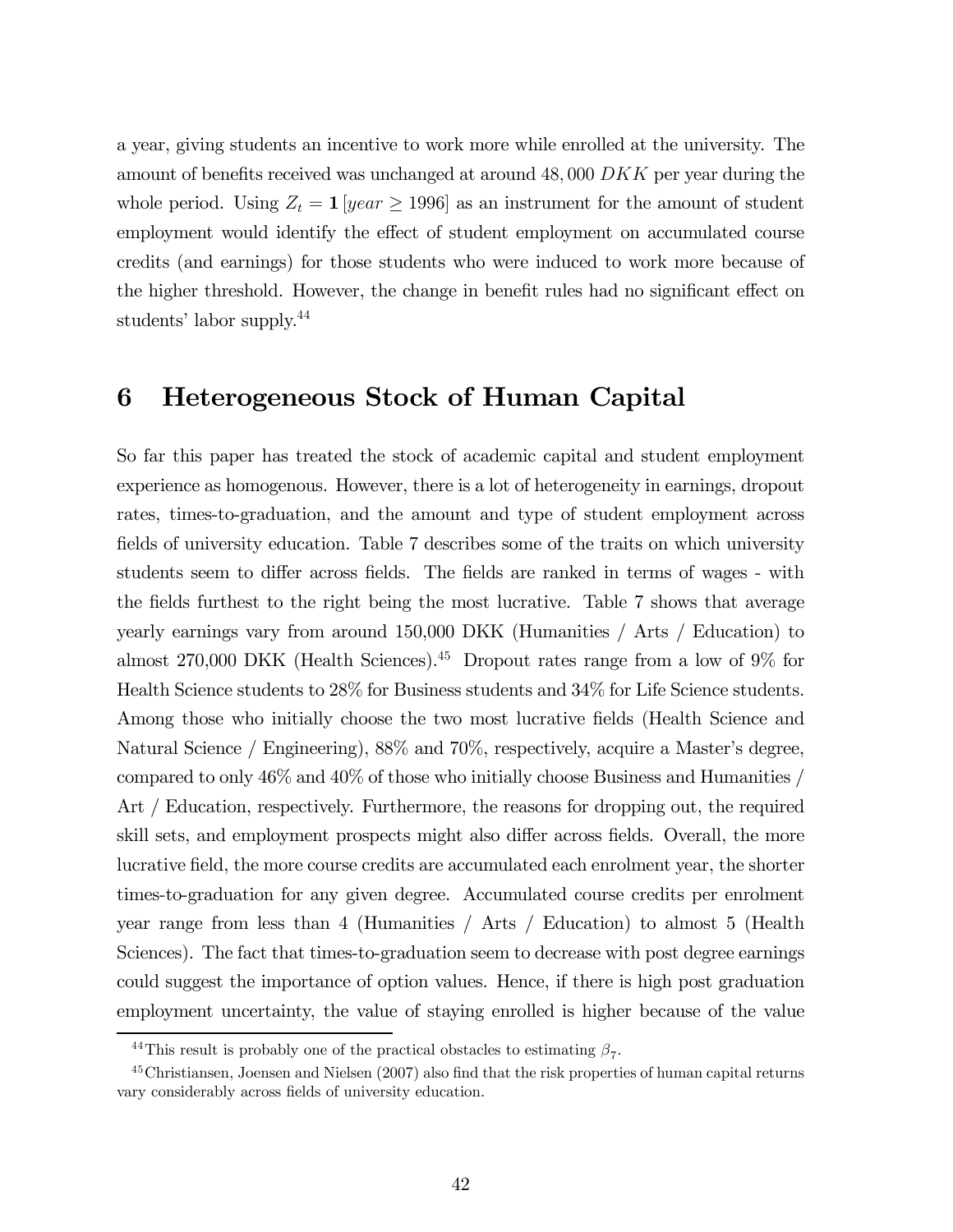a year, giving students an incentive to work more while enrolled at the university. The amount of benefits received was unchanged at around  $48,000$  DKK per year during the whole period. Using  $Z_t = 1$  [year  $\geq 1996$ ] as an instrument for the amount of student employment would identify the effect of student employment on accumulated course credits (and earnings) for those students who were induced to work more because of the higher threshold. However, the change in benefit rules had no significant effect on students' labor supply.44

## 6 Heterogeneous Stock of Human Capital

So far this paper has treated the stock of academic capital and student employment experience as homogenous. However, there is a lot of heterogeneity in earnings, dropout rates, times-to-graduation, and the amount and type of student employment across fields of university education. Table 7 describes some of the traits on which university students seem to differ across fields. The fields are ranked in terms of wages - with the fields furthest to the right being the most lucrative. Table 7 shows that average yearly earnings vary from around 150,000 DKK (Humanities / Arts / Education) to almost 270,000 DKK (Health Sciences).<sup>45</sup> Dropout rates range from a low of  $9\%$  for Health Science students to 28% for Business students and 34% for Life Science students. Among those who initially choose the two most lucrative fields (Health Science and Natural Science / Engineering), 88% and 70%, respectively, acquire a Master's degree, compared to only 46% and 40% of those who initially choose Business and Humanities / Art / Education, respectively. Furthermore, the reasons for dropping out, the required skill sets, and employment prospects might also differ across fields. Overall, the more lucrative field, the more course credits are accumulated each enrolment year, the shorter times-to-graduation for any given degree. Accumulated course credits per enrolment year range from less than 4 (Humanities / Arts / Education) to almost 5 (Health Sciences). The fact that times-to-graduation seem to decrease with post degree earnings could suggest the importance of option values. Hence, if there is high post graduation employment uncertainty, the value of staying enrolled is higher because of the value

<sup>&</sup>lt;sup>44</sup>This result is probably one of the practical obstacles to estimating  $\beta_7$ .

<sup>45</sup>Christiansen, Joensen and Nielsen (2007) also find that the risk properties of human capital returns vary considerably across fields of university education.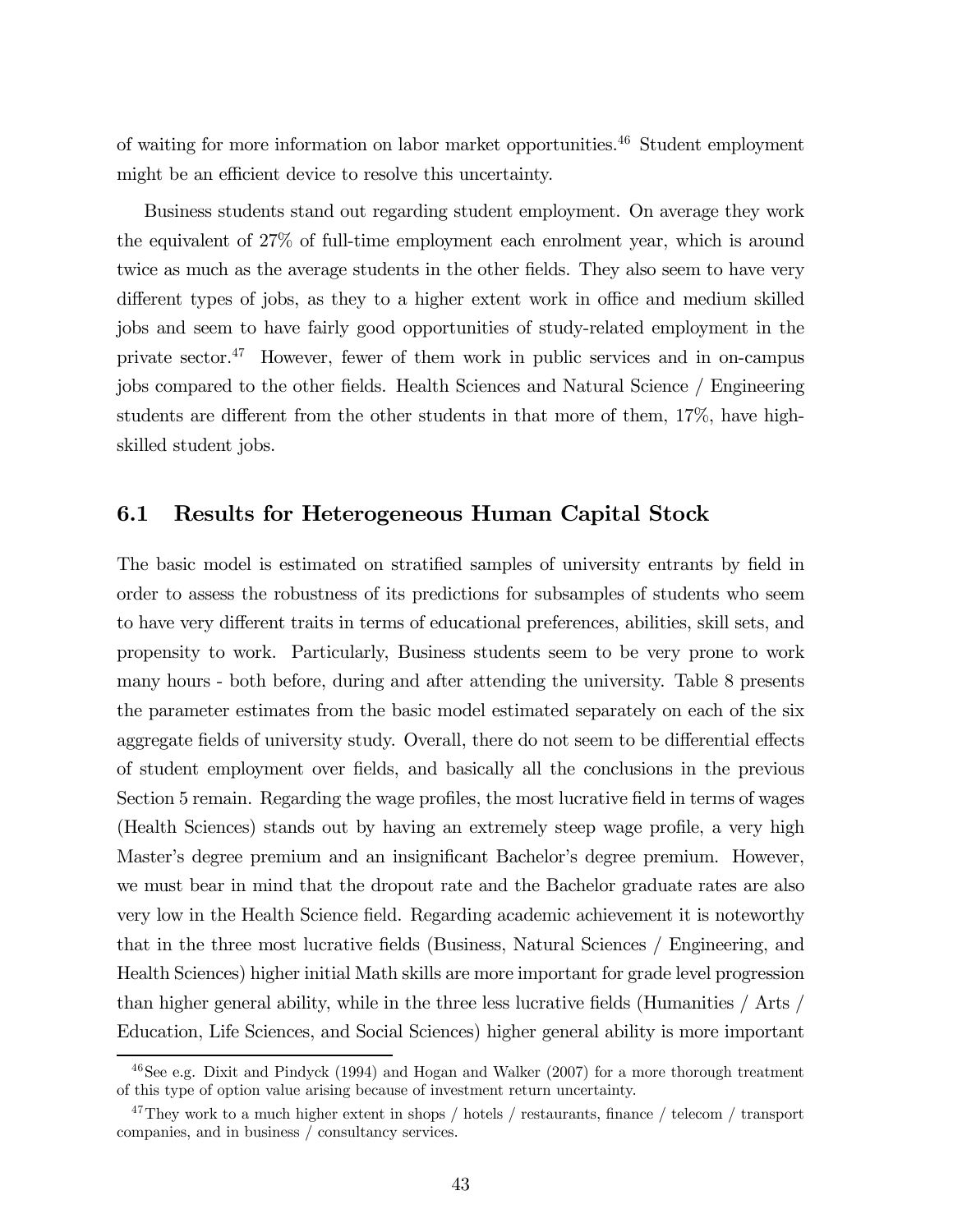of waiting for more information on labor market opportunities.46 Student employment might be an efficient device to resolve this uncertainty.

Business students stand out regarding student employment. On average they work the equivalent of 27% of full-time employment each enrolment year, which is around twice as much as the average students in the other fields. They also seem to have very different types of jobs, as they to a higher extent work in office and medium skilled jobs and seem to have fairly good opportunities of study-related employment in the private sector.47 However, fewer of them work in public services and in on-campus jobs compared to the other fields. Health Sciences and Natural Science / Engineering students are different from the other students in that more of them, 17%, have highskilled student jobs.

#### 6.1 Results for Heterogeneous Human Capital Stock

The basic model is estimated on stratified samples of university entrants by field in order to assess the robustness of its predictions for subsamples of students who seem to have very different traits in terms of educational preferences, abilities, skill sets, and propensity to work. Particularly, Business students seem to be very prone to work many hours - both before, during and after attending the university. Table 8 presents the parameter estimates from the basic model estimated separately on each of the six aggregate fields of university study. Overall, there do not seem to be differential effects of student employment over fields, and basically all the conclusions in the previous Section 5 remain. Regarding the wage profiles, the most lucrative field in terms of wages (Health Sciences) stands out by having an extremely steep wage profile, a very high Master's degree premium and an insignificant Bachelor's degree premium. However, we must bear in mind that the dropout rate and the Bachelor graduate rates are also very low in the Health Science field. Regarding academic achievement it is noteworthy that in the three most lucrative fields (Business, Natural Sciences / Engineering, and Health Sciences) higher initial Math skills are more important for grade level progression than higher general ability, while in the three less lucrative fields (Humanities / Arts / Education, Life Sciences, and Social Sciences) higher general ability is more important

 $46$ See e.g. Dixit and Pindyck (1994) and Hogan and Walker (2007) for a more thorough treatment of this type of option value arising because of investment return uncertainty.

<sup>&</sup>lt;sup>47</sup>They work to a much higher extent in shops / hotels / restaurants, finance / telecom / transport companies, and in business / consultancy services.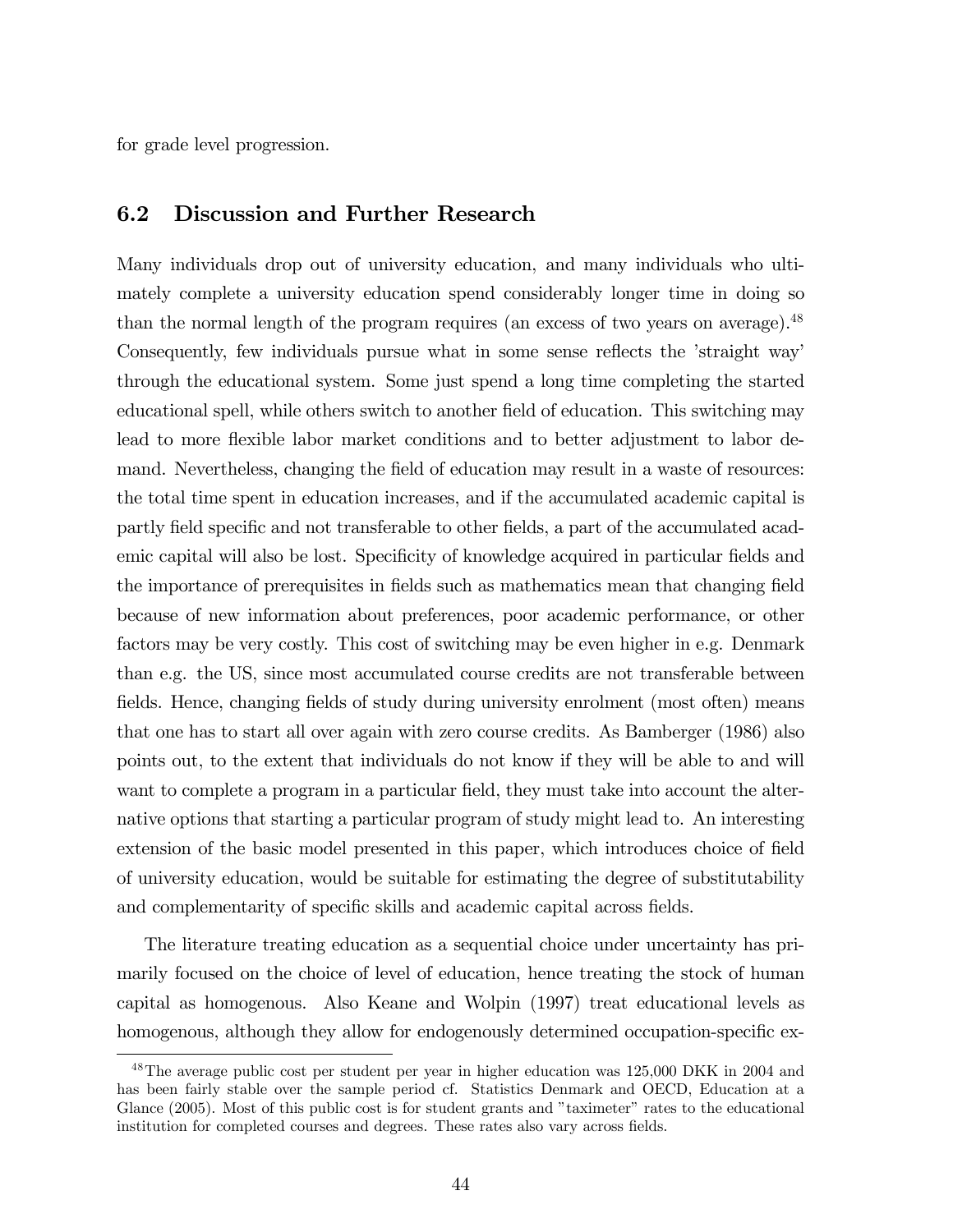for grade level progression.

#### 6.2 Discussion and Further Research

Many individuals drop out of university education, and many individuals who ultimately complete a university education spend considerably longer time in doing so than the normal length of the program requires (an excess of two years on average).<sup>48</sup> Consequently, few individuals pursue what in some sense reflects the 'straight way' through the educational system. Some just spend a long time completing the started educational spell, while others switch to another field of education. This switching may lead to more flexible labor market conditions and to better adjustment to labor demand. Nevertheless, changing the field of education may result in a waste of resources: the total time spent in education increases, and if the accumulated academic capital is partly field specific and not transferable to other fields, a part of the accumulated academic capital will also be lost. Specificity of knowledge acquired in particular fields and the importance of prerequisites in fields such as mathematics mean that changing field because of new information about preferences, poor academic performance, or other factors may be very costly. This cost of switching may be even higher in e.g. Denmark than e.g. the US, since most accumulated course credits are not transferable between fields. Hence, changing fields of study during university enrolment (most often) means that one has to start all over again with zero course credits. As Bamberger (1986) also points out, to the extent that individuals do not know if they will be able to and will want to complete a program in a particular field, they must take into account the alternative options that starting a particular program of study might lead to. An interesting extension of the basic model presented in this paper, which introduces choice of field of university education, would be suitable for estimating the degree of substitutability and complementarity of specific skills and academic capital across fields.

The literature treating education as a sequential choice under uncertainty has primarily focused on the choice of level of education, hence treating the stock of human capital as homogenous. Also Keane and Wolpin (1997) treat educational levels as homogenous, although they allow for endogenously determined occupation-specific ex-

<sup>&</sup>lt;sup>48</sup>The average public cost per student per year in higher education was 125,000 DKK in 2004 and has been fairly stable over the sample period cf. Statistics Denmark and OECD, Education at a Glance (2005). Most of this public cost is for student grants and "taximeter" rates to the educational institution for completed courses and degrees. These rates also vary across fields.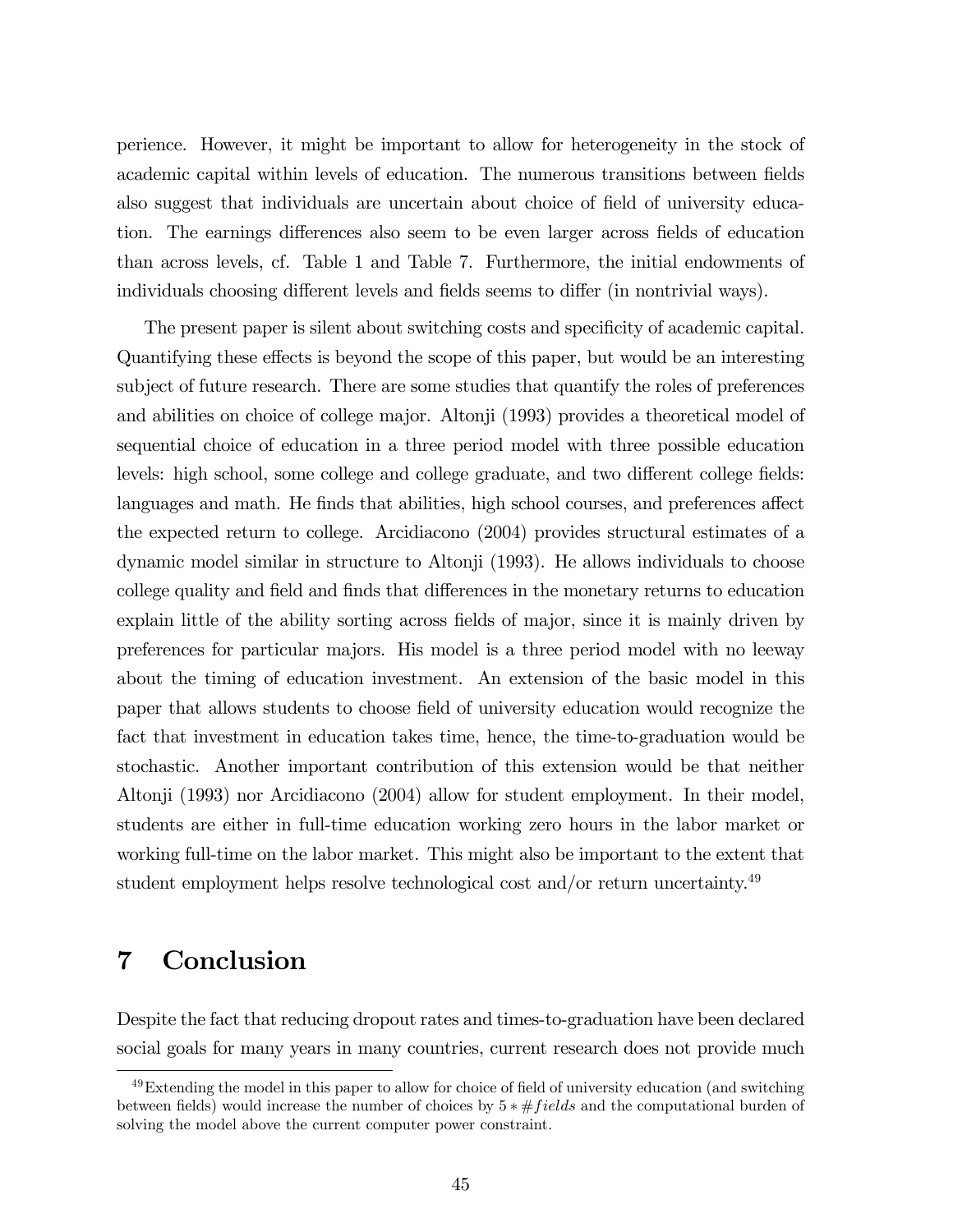perience. However, it might be important to allow for heterogeneity in the stock of academic capital within levels of education. The numerous transitions between fields also suggest that individuals are uncertain about choice of field of university education. The earnings differences also seem to be even larger across fields of education than across levels, cf. Table 1 and Table 7. Furthermore, the initial endowments of individuals choosing different levels and fields seems to differ (in nontrivial ways).

The present paper is silent about switching costs and specificity of academic capital. Quantifying these effects is beyond the scope of this paper, but would be an interesting subject of future research. There are some studies that quantify the roles of preferences and abilities on choice of college major. Altonji (1993) provides a theoretical model of sequential choice of education in a three period model with three possible education levels: high school, some college and college graduate, and two different college fields: languages and math. He finds that abilities, high school courses, and preferences affect the expected return to college. Arcidiacono (2004) provides structural estimates of a dynamic model similar in structure to Altonji (1993). He allows individuals to choose college quality and field and finds that differences in the monetary returns to education explain little of the ability sorting across fields of major, since it is mainly driven by preferences for particular majors. His model is a three period model with no leeway about the timing of education investment. An extension of the basic model in this paper that allows students to choose field of university education would recognize the fact that investment in education takes time, hence, the time-to-graduation would be stochastic. Another important contribution of this extension would be that neither Altonji (1993) nor Arcidiacono (2004) allow for student employment. In their model, students are either in full-time education working zero hours in the labor market or working full-time on the labor market. This might also be important to the extent that student employment helps resolve technological cost and/or return uncertainty.<sup>49</sup>

# 7 Conclusion

Despite the fact that reducing dropout rates and times-to-graduation have been declared social goals for many years in many countries, current research does not provide much

<sup>&</sup>lt;sup>49</sup>Extending the model in this paper to allow for choice of field of university education (and switching between fields) would increase the number of choices by  $5 * \# fields$  and the computational burden of solving the model above the current computer power constraint.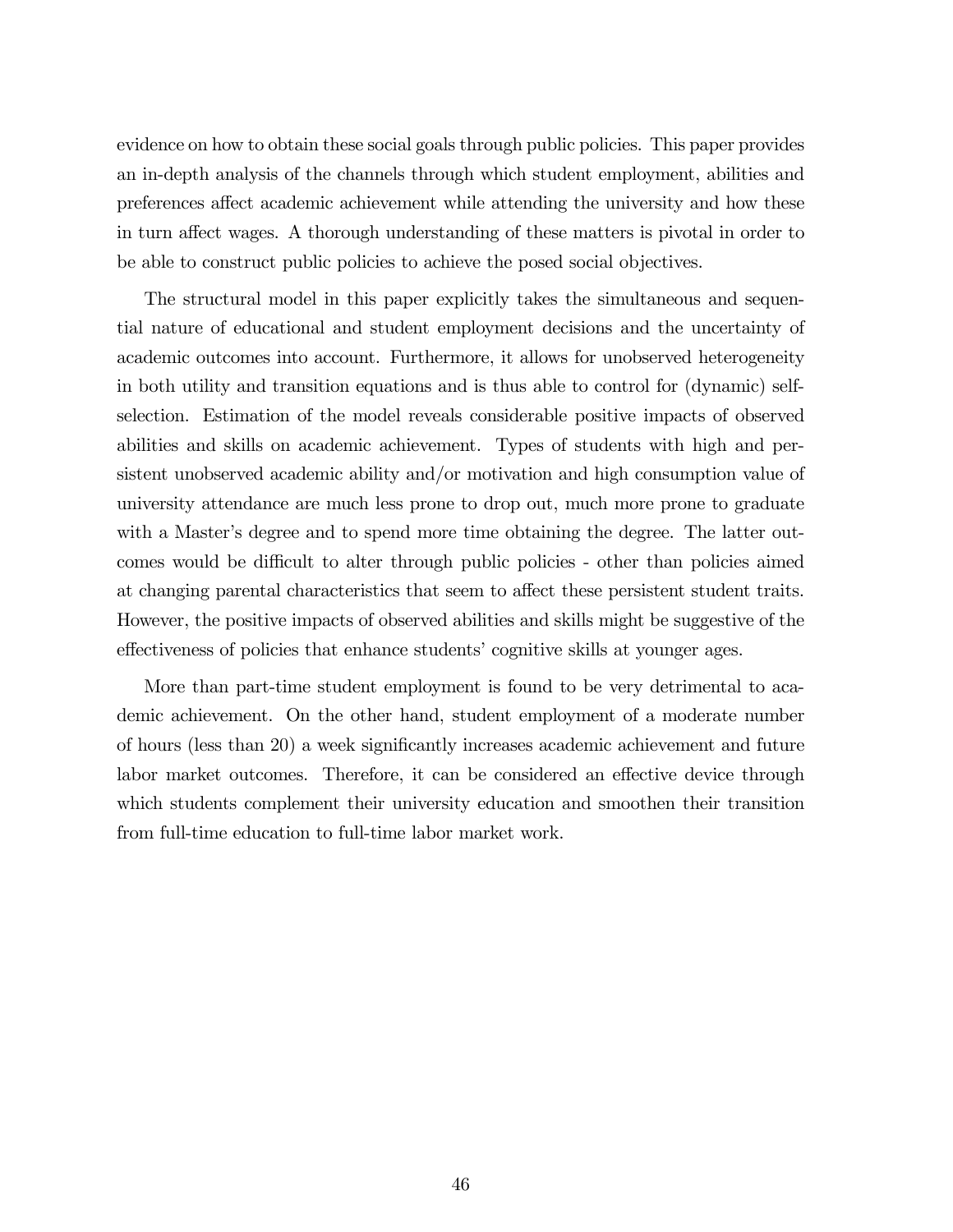evidence on how to obtain these social goals through public policies. This paper provides an in-depth analysis of the channels through which student employment, abilities and preferences affect academic achievement while attending the university and how these in turn affect wages. A thorough understanding of these matters is pivotal in order to be able to construct public policies to achieve the posed social objectives.

The structural model in this paper explicitly takes the simultaneous and sequential nature of educational and student employment decisions and the uncertainty of academic outcomes into account. Furthermore, it allows for unobserved heterogeneity in both utility and transition equations and is thus able to control for (dynamic) selfselection. Estimation of the model reveals considerable positive impacts of observed abilities and skills on academic achievement. Types of students with high and persistent unobserved academic ability and/or motivation and high consumption value of university attendance are much less prone to drop out, much more prone to graduate with a Master's degree and to spend more time obtaining the degree. The latter outcomes would be difficult to alter through public policies - other than policies aimed at changing parental characteristics that seem to affect these persistent student traits. However, the positive impacts of observed abilities and skills might be suggestive of the effectiveness of policies that enhance students' cognitive skills at younger ages.

More than part-time student employment is found to be very detrimental to academic achievement. On the other hand, student employment of a moderate number of hours (less than 20) a week significantly increases academic achievement and future labor market outcomes. Therefore, it can be considered an effective device through which students complement their university education and smoothen their transition from full-time education to full-time labor market work.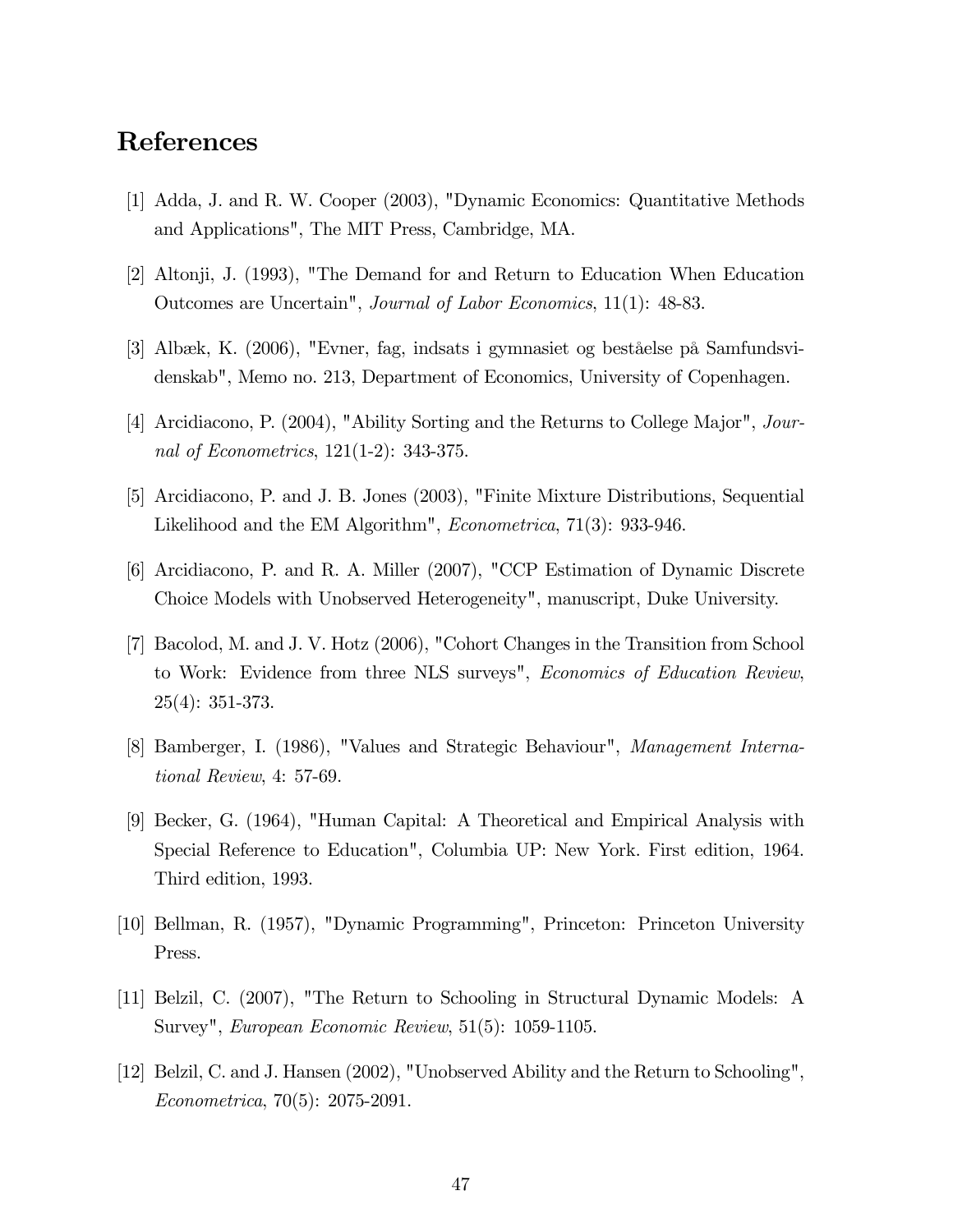# References

- [1] Adda, J. and R. W. Cooper (2003), "Dynamic Economics: Quantitative Methods and Applications", The MIT Press, Cambridge, MA.
- [2] Altonji, J. (1993), "The Demand for and Return to Education When Education Outcomes are Uncertain", Journal of Labor Economics, 11(1): 48-83.
- [3] Albæk, K. (2006), "Evner, fag, indsats i gymnasiet og beståelse på Samfundsvidenskab", Memo no. 213, Department of Economics, University of Copenhagen.
- [4] Arcidiacono, P. (2004), "Ability Sorting and the Returns to College Major", Journal of Econometrics, 121(1-2): 343-375.
- [5] Arcidiacono, P. and J. B. Jones (2003), "Finite Mixture Distributions, Sequential Likelihood and the EM Algorithm", Econometrica, 71(3): 933-946.
- [6] Arcidiacono, P. and R. A. Miller (2007), "CCP Estimation of Dynamic Discrete Choice Models with Unobserved Heterogeneity", manuscript, Duke University.
- [7] Bacolod, M. and J. V. Hotz (2006), "Cohort Changes in the Transition from School to Work: Evidence from three NLS surveys", Economics of Education Review, 25(4): 351-373.
- [8] Bamberger, I. (1986), "Values and Strategic Behaviour", Management International Review, 4: 57-69.
- [9] Becker, G. (1964), "Human Capital: A Theoretical and Empirical Analysis with Special Reference to Education", Columbia UP: New York. First edition, 1964. Third edition, 1993.
- [10] Bellman, R. (1957), "Dynamic Programming", Princeton: Princeton University Press.
- [11] Belzil, C. (2007), "The Return to Schooling in Structural Dynamic Models: A Survey", European Economic Review, 51(5): 1059-1105.
- [12] Belzil, C. and J. Hansen (2002), "Unobserved Ability and the Return to Schooling", Econometrica, 70(5): 2075-2091.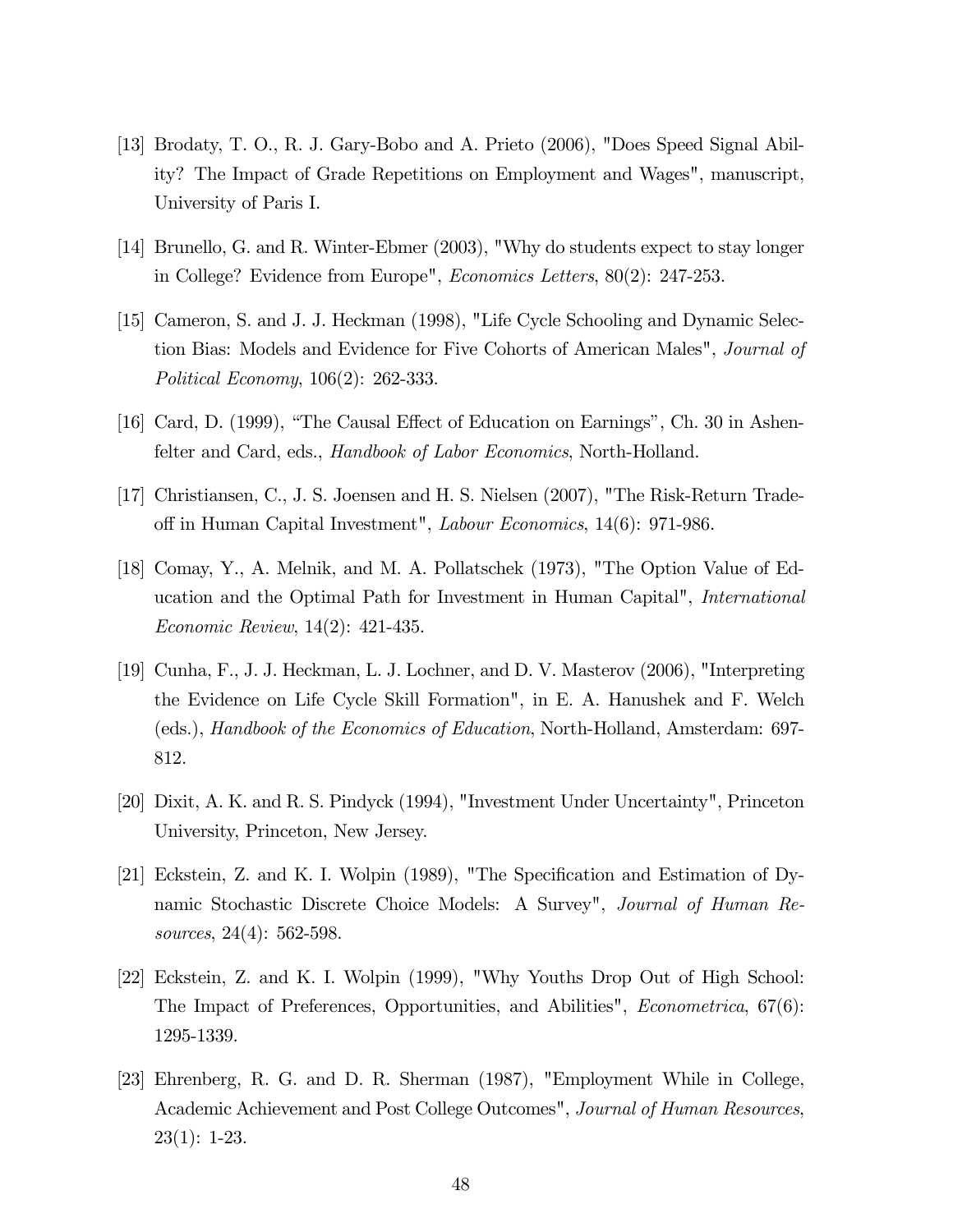- [13] Brodaty, T. O., R. J. Gary-Bobo and A. Prieto (2006), "Does Speed Signal Ability? The Impact of Grade Repetitions on Employment and Wages", manuscript, University of Paris I.
- [14] Brunello, G. and R. Winter-Ebmer (2003), "Why do students expect to stay longer in College? Evidence from Europe", Economics Letters, 80(2): 247-253.
- [15] Cameron, S. and J. J. Heckman (1998), "Life Cycle Schooling and Dynamic Selection Bias: Models and Evidence for Five Cohorts of American Males", Journal of Political Economy, 106(2): 262-333.
- [16] Card, D. (1999), "The Causal Effect of Education on Earnings", Ch. 30 in Ashenfelter and Card, eds., Handbook of Labor Economics, North-Holland.
- [17] Christiansen, C., J. S. Joensen and H. S. Nielsen (2007), "The Risk-Return Tradeoff in Human Capital Investment", Labour Economics, 14(6): 971-986.
- [18] Comay, Y., A. Melnik, and M. A. Pollatschek (1973), "The Option Value of Education and the Optimal Path for Investment in Human Capital", International Economic Review, 14(2): 421-435.
- [19] Cunha, F., J. J. Heckman, L. J. Lochner, and D. V. Masterov (2006), "Interpreting the Evidence on Life Cycle Skill Formation", in E. A. Hanushek and F. Welch (eds.), Handbook of the Economics of Education, North-Holland, Amsterdam: 697- 812.
- [20] Dixit, A. K. and R. S. Pindyck (1994), "Investment Under Uncertainty", Princeton University, Princeton, New Jersey.
- [21] Eckstein, Z. and K. I. Wolpin (1989), "The Specification and Estimation of Dynamic Stochastic Discrete Choice Models: A Survey", Journal of Human Resources, 24(4): 562-598.
- [22] Eckstein, Z. and K. I. Wolpin (1999), "Why Youths Drop Out of High School: The Impact of Preferences, Opportunities, and Abilities", Econometrica, 67(6): 1295-1339.
- [23] Ehrenberg, R. G. and D. R. Sherman (1987), "Employment While in College, Academic Achievement and Post College Outcomes", Journal of Human Resources, 23(1): 1-23.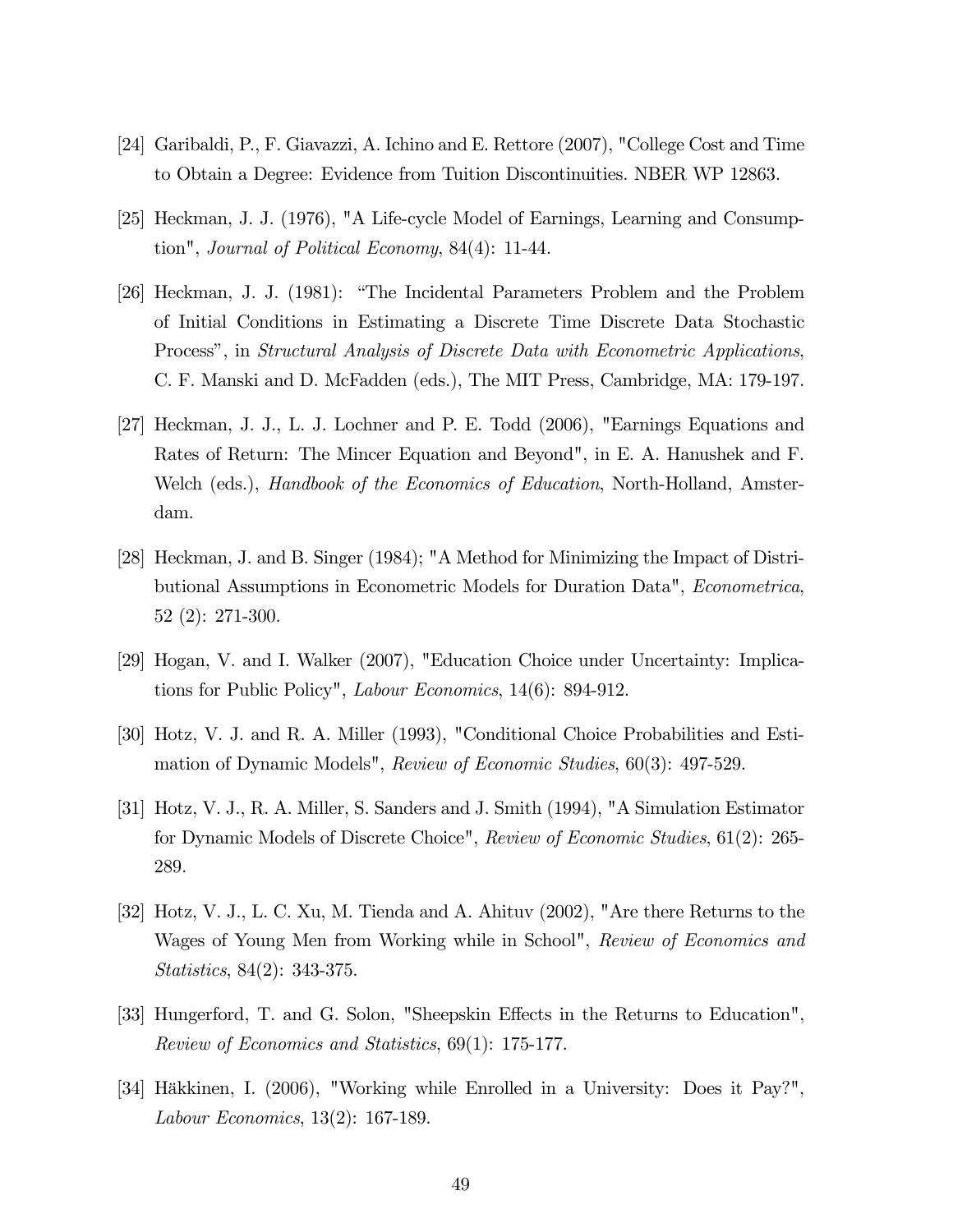- [24] Garibaldi, P., F. Giavazzi, A. Ichino and E. Rettore (2007), "College Cost and Time to Obtain a Degree: Evidence from Tuition Discontinuities. NBER WP 12863.
- [25] Heckman, J. J. (1976), "A Life-cycle Model of Earnings, Learning and Consumption", Journal of Political Economy, 84(4): 11-44.
- [26] Heckman, J. J. (1981): "The Incidental Parameters Problem and the Problem of Initial Conditions in Estimating a Discrete Time Discrete Data Stochastic Process", in Structural Analysis of Discrete Data with Econometric Applications, C. F. Manski and D. McFadden (eds.), The MIT Press, Cambridge, MA: 179-197.
- [27] Heckman, J. J., L. J. Lochner and P. E. Todd (2006), "Earnings Equations and Rates of Return: The Mincer Equation and Beyond", in E. A. Hanushek and F. Welch (eds.), *Handbook of the Economics of Education*, North-Holland, Amsterdam.
- [28] Heckman, J. and B. Singer (1984); "A Method for Minimizing the Impact of Distributional Assumptions in Econometric Models for Duration Data", Econometrica, 52 (2): 271-300.
- [29] Hogan, V. and I. Walker (2007), "Education Choice under Uncertainty: Implications for Public Policy", Labour Economics, 14(6): 894-912.
- [30] Hotz, V. J. and R. A. Miller (1993), "Conditional Choice Probabilities and Estimation of Dynamic Models", Review of Economic Studies, 60(3): 497-529.
- [31] Hotz, V. J., R. A. Miller, S. Sanders and J. Smith (1994), "A Simulation Estimator for Dynamic Models of Discrete Choice", Review of Economic Studies, 61(2): 265- 289.
- [32] Hotz, V. J., L. C. Xu, M. Tienda and A. Ahituv (2002), "Are there Returns to the Wages of Young Men from Working while in School", Review of Economics and Statistics, 84(2): 343-375.
- [33] Hungerford, T. and G. Solon, "Sheepskin Effects in the Returns to Education", Review of Economics and Statistics, 69(1): 175-177.
- [34] Häkkinen, I. (2006), "Working while Enrolled in a University: Does it Pay?", Labour Economics, 13(2): 167-189.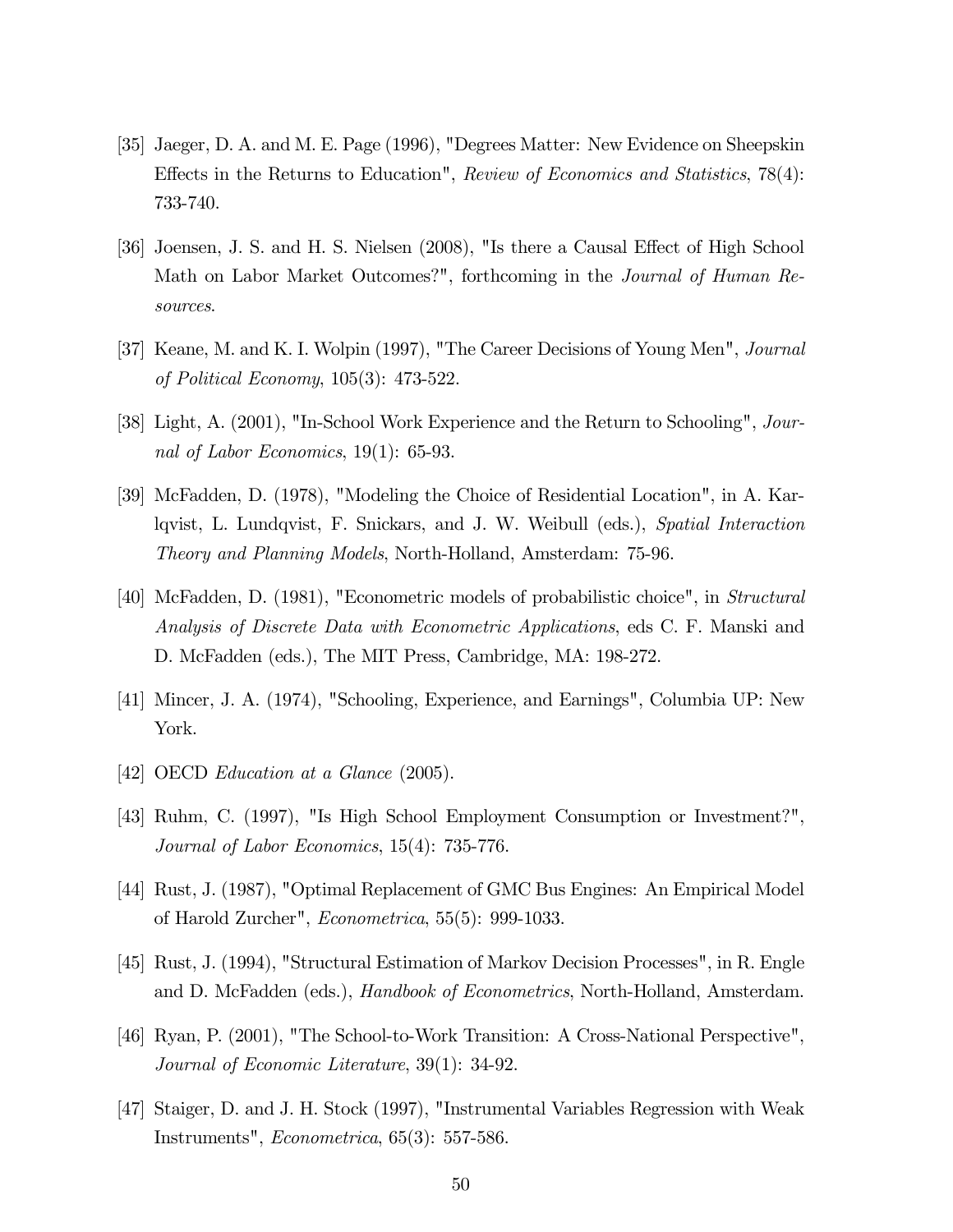- [35] Jaeger, D. A. and M. E. Page (1996), "Degrees Matter: New Evidence on Sheepskin Effects in the Returns to Education", Review of Economics and Statistics, 78(4): 733-740.
- [36] Joensen, J. S. and H. S. Nielsen (2008), "Is there a Causal Effect of High School Math on Labor Market Outcomes?", forthcoming in the Journal of Human Resources.
- [37] Keane, M. and K. I. Wolpin (1997), "The Career Decisions of Young Men", Journal of Political Economy, 105(3): 473-522.
- [38] Light, A. (2001), "In-School Work Experience and the Return to Schooling", Journal of Labor Economics, 19(1): 65-93.
- [39] McFadden, D. (1978), "Modeling the Choice of Residential Location", in A. Karlqvist, L. Lundqvist, F. Snickars, and J. W. Weibull (eds.), Spatial Interaction Theory and Planning Models, North-Holland, Amsterdam: 75-96.
- [40] McFadden, D. (1981), "Econometric models of probabilistic choice", in Structural Analysis of Discrete Data with Econometric Applications, eds C. F. Manski and D. McFadden (eds.), The MIT Press, Cambridge, MA: 198-272.
- [41] Mincer, J. A. (1974), "Schooling, Experience, and Earnings", Columbia UP: New York.
- [42] OECD Education at a Glance (2005).
- [43] Ruhm, C. (1997), "Is High School Employment Consumption or Investment?", Journal of Labor Economics, 15(4): 735-776.
- [44] Rust, J. (1987), "Optimal Replacement of GMC Bus Engines: An Empirical Model of Harold Zurcher", Econometrica, 55(5): 999-1033.
- [45] Rust, J. (1994), "Structural Estimation of Markov Decision Processes", in R. Engle and D. McFadden (eds.), Handbook of Econometrics, North-Holland, Amsterdam.
- [46] Ryan, P. (2001), "The School-to-Work Transition: A Cross-National Perspective", Journal of Economic Literature, 39(1): 34-92.
- [47] Staiger, D. and J. H. Stock (1997), "Instrumental Variables Regression with Weak Instruments", Econometrica, 65(3): 557-586.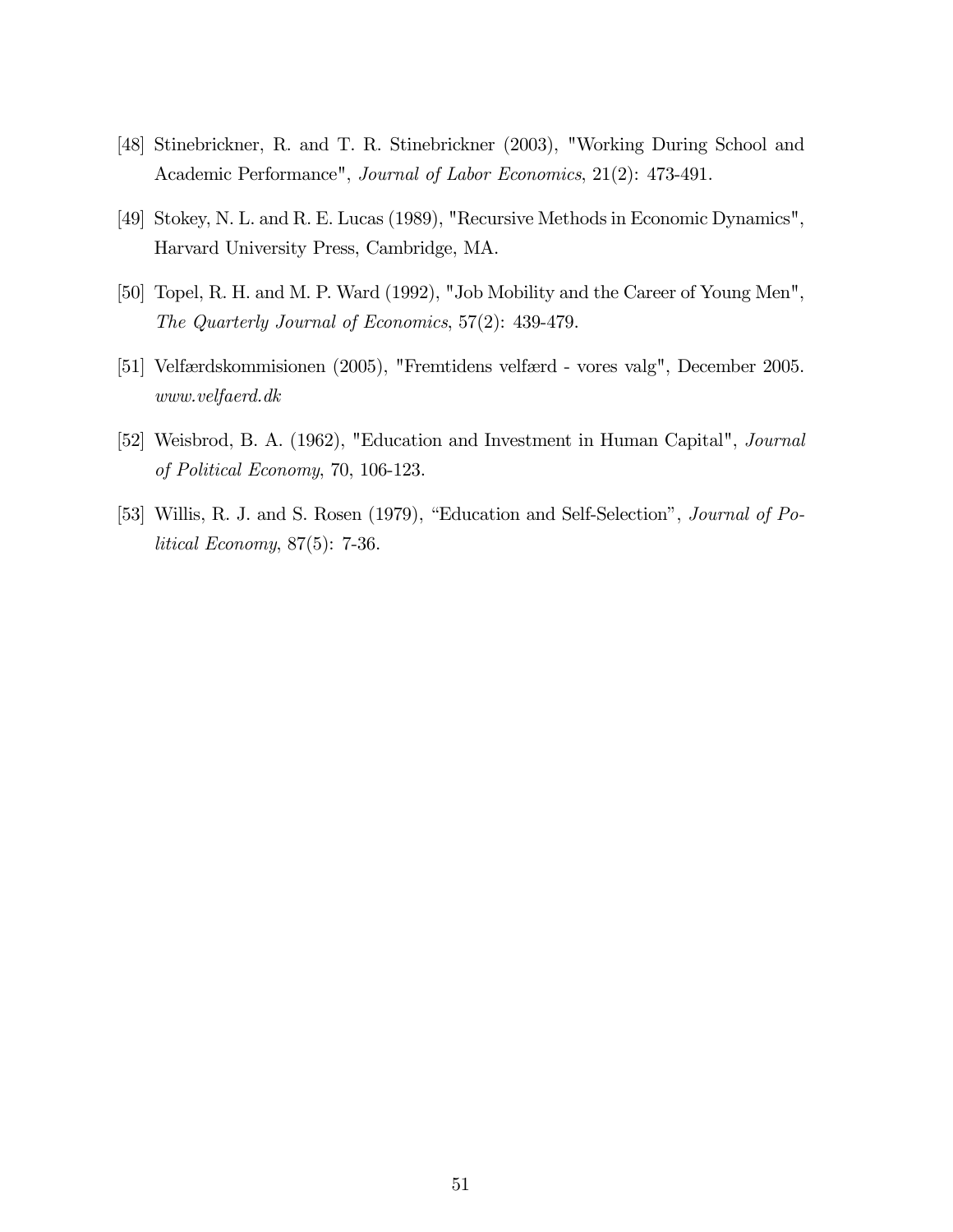- [48] Stinebrickner, R. and T. R. Stinebrickner (2003), "Working During School and Academic Performance", Journal of Labor Economics, 21(2): 473-491.
- [49] Stokey, N. L. and R. E. Lucas (1989), "Recursive Methods in Economic Dynamics", Harvard University Press, Cambridge, MA.
- [50] Topel, R. H. and M. P. Ward (1992), "Job Mobility and the Career of Young Men", The Quarterly Journal of Economics, 57(2): 439-479.
- [51] Velfærdskommisionen (2005), "Fremtidens velfærd vores valg", December 2005. www.velfaerd.dk
- [52] Weisbrod, B. A. (1962), "Education and Investment in Human Capital", Journal of Political Economy, 70, 106-123.
- [53] Willis, R. J. and S. Rosen (1979), "Education and Self-Selection", Journal of Political Economy, 87(5): 7-36.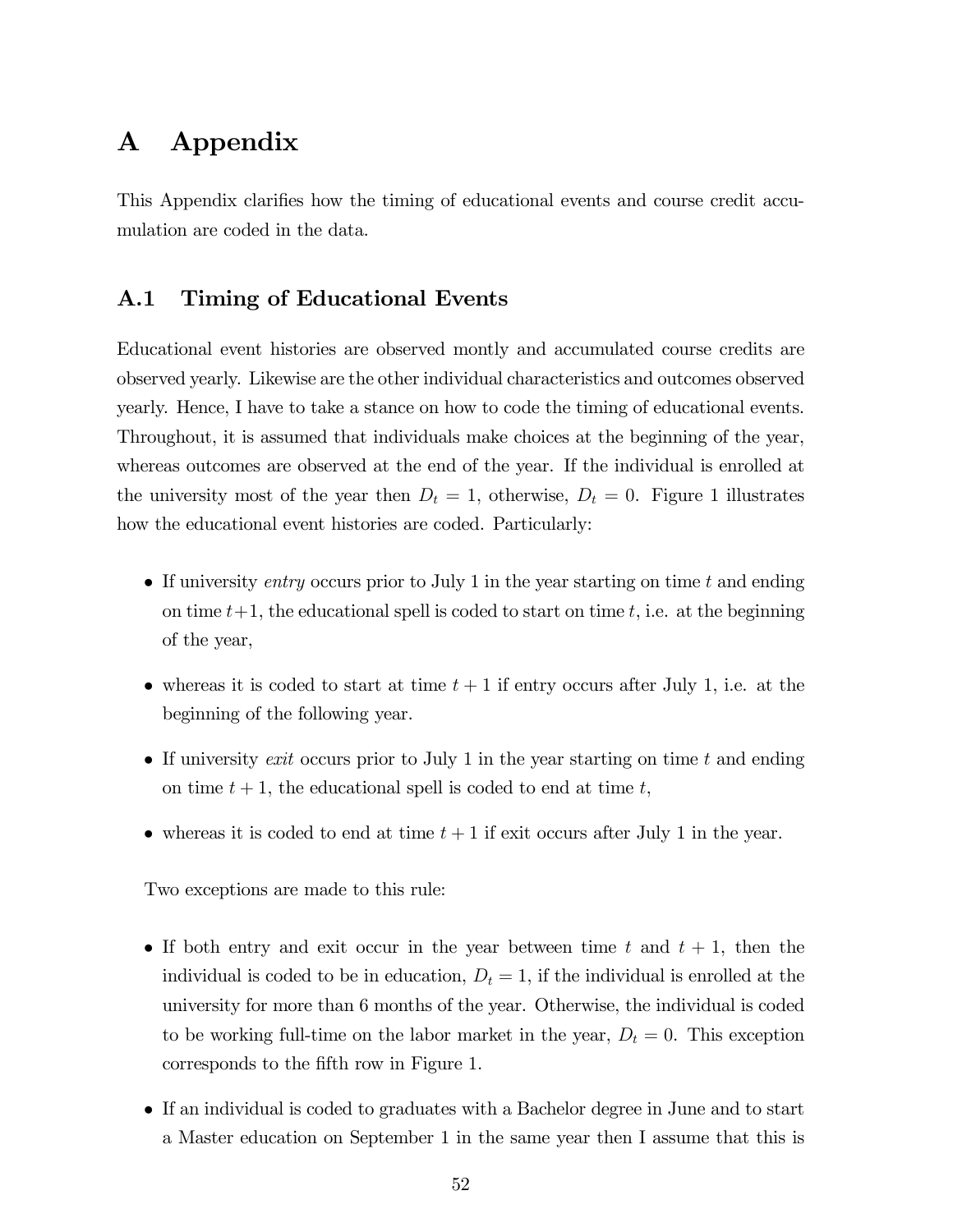# A Appendix

This Appendix clarifies how the timing of educational events and course credit accumulation are coded in the data.

## A.1 Timing of Educational Events

Educational event histories are observed montly and accumulated course credits are observed yearly. Likewise are the other individual characteristics and outcomes observed yearly. Hence, I have to take a stance on how to code the timing of educational events. Throughout, it is assumed that individuals make choices at the beginning of the year, whereas outcomes are observed at the end of the year. If the individual is enrolled at the university most of the year then  $D_t = 1$ , otherwise,  $D_t = 0$ . Figure 1 illustrates how the educational event histories are coded. Particularly:

- If university entry occurs prior to July 1 in the year starting on time t and ending on time  $t+1$ , the educational spell is coded to start on time t, i.e. at the beginning of the year,
- whereas it is coded to start at time  $t + 1$  if entry occurs after July 1, i.e. at the beginning of the following year.
- If university exit occurs prior to July 1 in the year starting on time t and ending on time  $t + 1$ , the educational spell is coded to end at time  $t$ ,
- whereas it is coded to end at time  $t + 1$  if exit occurs after July 1 in the year.

Two exceptions are made to this rule:

- If both entry and exit occur in the year between time t and  $t + 1$ , then the individual is coded to be in education,  $D_t = 1$ , if the individual is enrolled at the university for more than 6 months of the year. Otherwise, the individual is coded to be working full-time on the labor market in the year,  $D_t = 0$ . This exception corresponds to the fifth row in Figure 1.
- If an individual is coded to graduates with a Bachelor degree in June and to start a Master education on September 1 in the same year then I assume that this is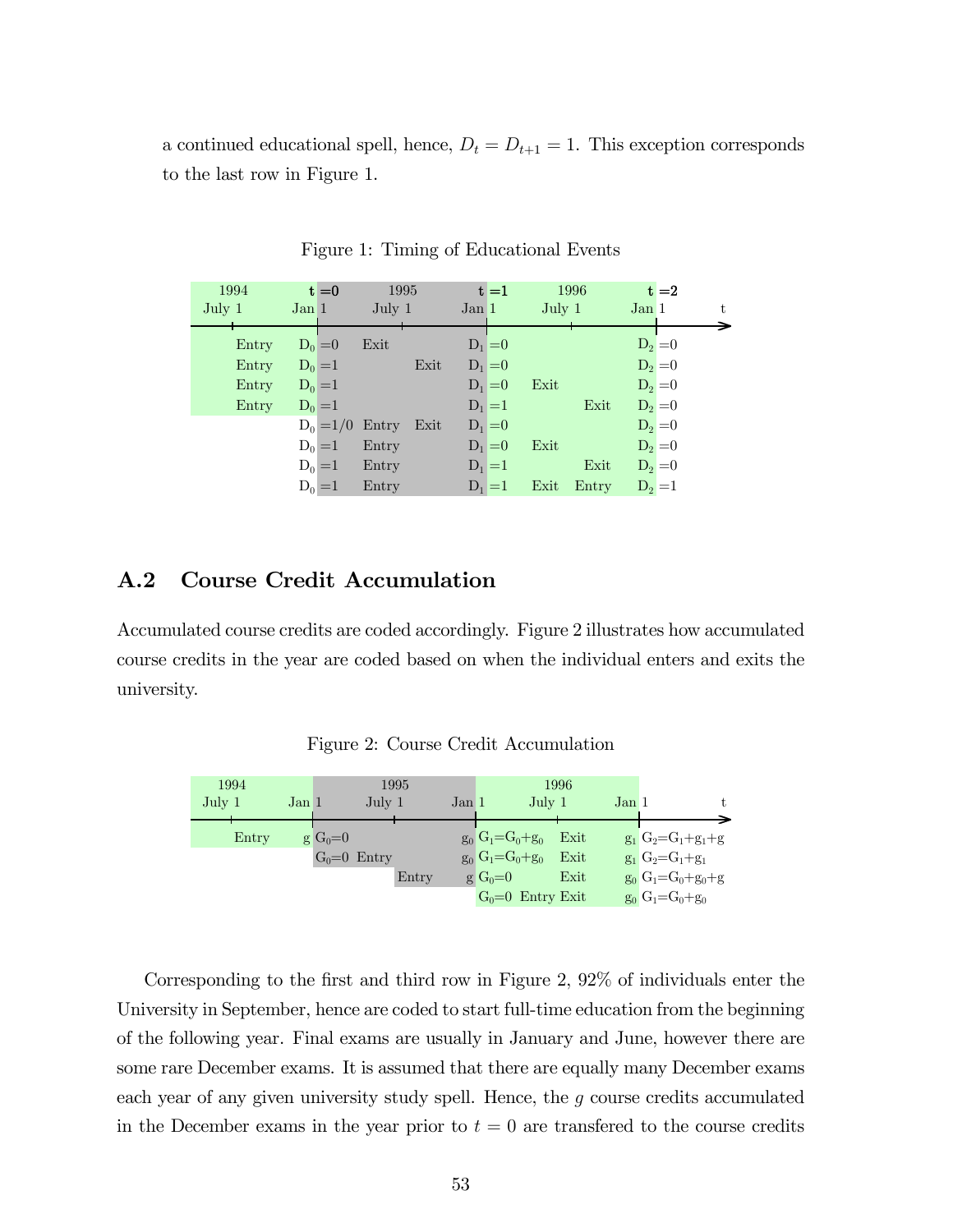a continued educational spell, hence,  $D_t = D_{t+1} = 1$ . This exception corresponds to the last row in Figure 1.

| 1994   |           | $t = 0$   | 1995                   |      |           | $t = 1$   |        | 1996       |         | $t = 2$   |    |
|--------|-----------|-----------|------------------------|------|-----------|-----------|--------|------------|---------|-----------|----|
| July 1 | Jan 1     |           | July 1                 |      | Jan 1     |           | July 1 |            | Jan 1   |           | t. |
| Entry  |           | $D_0 = 0$ | Exit                   |      | $D_1 = 0$ |           |        |            |         | $D_2 = 0$ |    |
| Entry  |           | $D_0 = 1$ |                        | Exit | $D_1 = 0$ |           |        |            |         | $D_2 = 0$ |    |
| Entry  |           | $D_0 = 1$ |                        |      | $D_1 = 0$ |           | Exit   |            |         | $D_2 = 0$ |    |
| Entry  | $D_0 = 1$ |           |                        |      |           | $D_1 = 1$ |        | Exit       |         | $D_2 = 0$ |    |
|        |           |           | $D_0 = 1/0$ Entry Exit |      | $D_1 = 0$ |           |        |            |         | $D_2 = 0$ |    |
|        |           | $D_0 = 1$ | Entry                  |      | $D_1 = 0$ |           | Exit   |            |         | $D_2 = 0$ |    |
|        |           | $D_0 = 1$ | Entry                  |      |           | $D_1 = 1$ |        | Exit       |         | $D_2 = 0$ |    |
|        |           | $D_0 = 1$ | Entry                  |      | $D_1 = 1$ |           |        | Exit Entry | $D_2=1$ |           |    |

Figure 1: Timing of Educational Events

#### A.2 Course Credit Accumulation

Accumulated course credits are coded accordingly. Figure 2 illustrates how accumulated course credits in the year are coded based on when the individual enters and exits the university.

Figure 2: Course Credit Accumulation

| 1994               |       |       |             |               | 1995  |       |                       | 1996  |                             |
|--------------------|-------|-------|-------------|---------------|-------|-------|-----------------------|-------|-----------------------------|
| $_{\text{July 1}}$ |       | Jan 1 |             | July 1        |       | Jan 1 | July $1$              | Jan 1 | t.                          |
|                    | Entry |       | $g G_0 = 0$ |               |       |       | $g_0 G_1 = G_0 + g_0$ | Exit  | $g_1 G_2 = G_1 + g_1 + g_2$ |
|                    |       |       |             | $G_0=0$ Entry |       |       | $g_0 G_1 = G_0 + g_0$ | Exit  | $g_1 G_2 = G_1 + g_1$       |
|                    |       |       |             |               | Entry |       | $g G_0 = 0$           | Exit  | $g_0 G_1 = G_0 + g_0 + g_1$ |
|                    |       |       |             |               |       |       | $G_0=0$ Entry Exit    |       | $g_0 G_1 = G_0 + g_0$       |

Corresponding to the first and third row in Figure 2, 92% of individuals enter the University in September, hence are coded to start full-time education from the beginning of the following year. Final exams are usually in January and June, however there are some rare December exams. It is assumed that there are equally many December exams each year of any given university study spell. Hence, the g course credits accumulated in the December exams in the year prior to  $t = 0$  are transferred to the course credits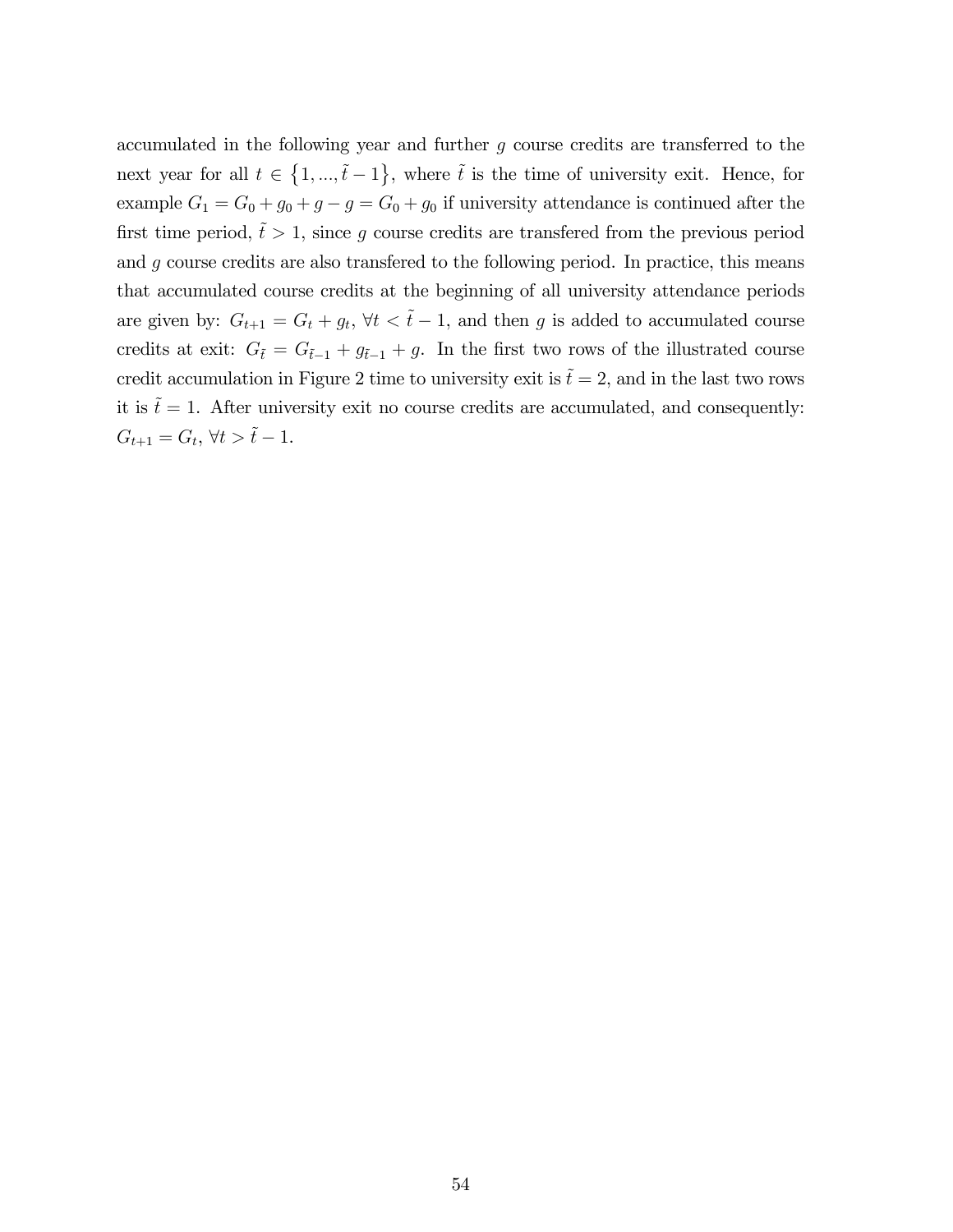accumulated in the following year and further g course credits are transferred to the next year for all  $t \in \{1, ..., \tilde{t} - 1\}$ , where  $\tilde{t}$  is the time of university exit. Hence, for example  $G_1 = G_0 + g_0 + g - g = G_0 + g_0$  if university attendance is continued after the first time period,  $\tilde{t} > 1$ , since g course credits are transfered from the previous period and g course credits are also transfered to the following period. In practice, this means that accumulated course credits at the beginning of all university attendance periods are given by:  $G_{t+1} = G_t + g_t$ ,  $\forall t \leq \tilde{t} - 1$ , and then g is added to accumulated course credits at exit:  $G_{\tilde{t}} = G_{\tilde{t}-1} + g_{\tilde{t}-1} + g$ . In the first two rows of the illustrated course credit accumulation in Figure 2 time to university exit is  $\tilde{t} = 2$ , and in the last two rows it is  $\tilde{t} = 1$ . After university exit no course credits are accumulated, and consequently:  $G_{t+1} = G_t, \, \forall t > \tilde{t} - 1.$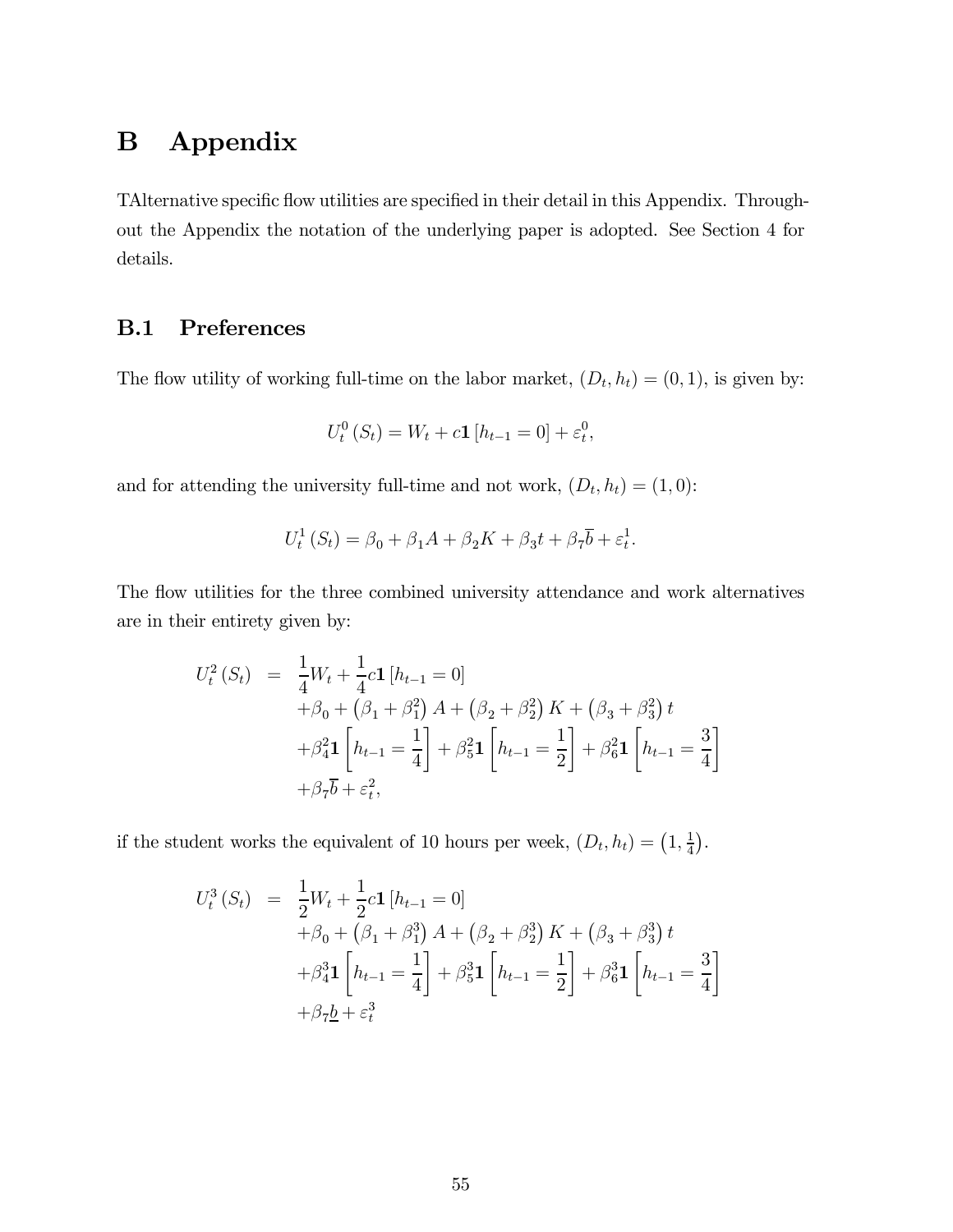# B Appendix

TAlternative specific flow utilities are specified in their detail in this Appendix. Throughout the Appendix the notation of the underlying paper is adopted. See Section 4 for details.

## B.1 Preferences

The flow utility of working full-time on the labor market,  $(D_t, h_t) = (0, 1)$ , is given by:

$$
U_t^0(S_t) = W_t + c\mathbf{1}[h_{t-1} = 0] + \varepsilon_t^0,
$$

and for attending the university full-time and not work,  $(D_t, h_t) = (1, 0)$ :

$$
U_t^1(S_t) = \beta_0 + \beta_1 A + \beta_2 K + \beta_3 t + \beta_7 \overline{b} + \varepsilon_t^1.
$$

The flow utilities for the three combined university attendance and work alternatives are in their entirety given by:

$$
U_t^2(S_t) = \frac{1}{4}W_t + \frac{1}{4}c\mathbf{1}[h_{t-1} = 0]
$$
  
+  $\beta_0 + (\beta_1 + \beta_1^2)A + (\beta_2 + \beta_2^2)K + (\beta_3 + \beta_3^2) t$   
+  $\beta_4^2\mathbf{1}\left[h_{t-1} = \frac{1}{4}\right] + \beta_5^2\mathbf{1}\left[h_{t-1} = \frac{1}{2}\right] + \beta_6^2\mathbf{1}\left[h_{t-1} = \frac{3}{4}\right]$   
+  $\beta_7\overline{b} + \varepsilon_t^2$ ,

if the student works the equivalent of 10 hours per week,  $(D_t, h_t) = (1, \frac{1}{4})$ .

$$
U_t^3(S_t) = \frac{1}{2}W_t + \frac{1}{2}c\mathbf{1}[h_{t-1} = 0]
$$
  
+  $\beta_0 + (\beta_1 + \beta_1^3)A + (\beta_2 + \beta_2^3)K + (\beta_3 + \beta_3^3)t$   
+  $\beta_4^3\mathbf{1}\left[h_{t-1} = \frac{1}{4}\right] + \beta_5^3\mathbf{1}\left[h_{t-1} = \frac{1}{2}\right] + \beta_6^3\mathbf{1}\left[h_{t-1} = \frac{3}{4}\right]$   
+  $\beta_7\underline{b} + \varepsilon_t^3$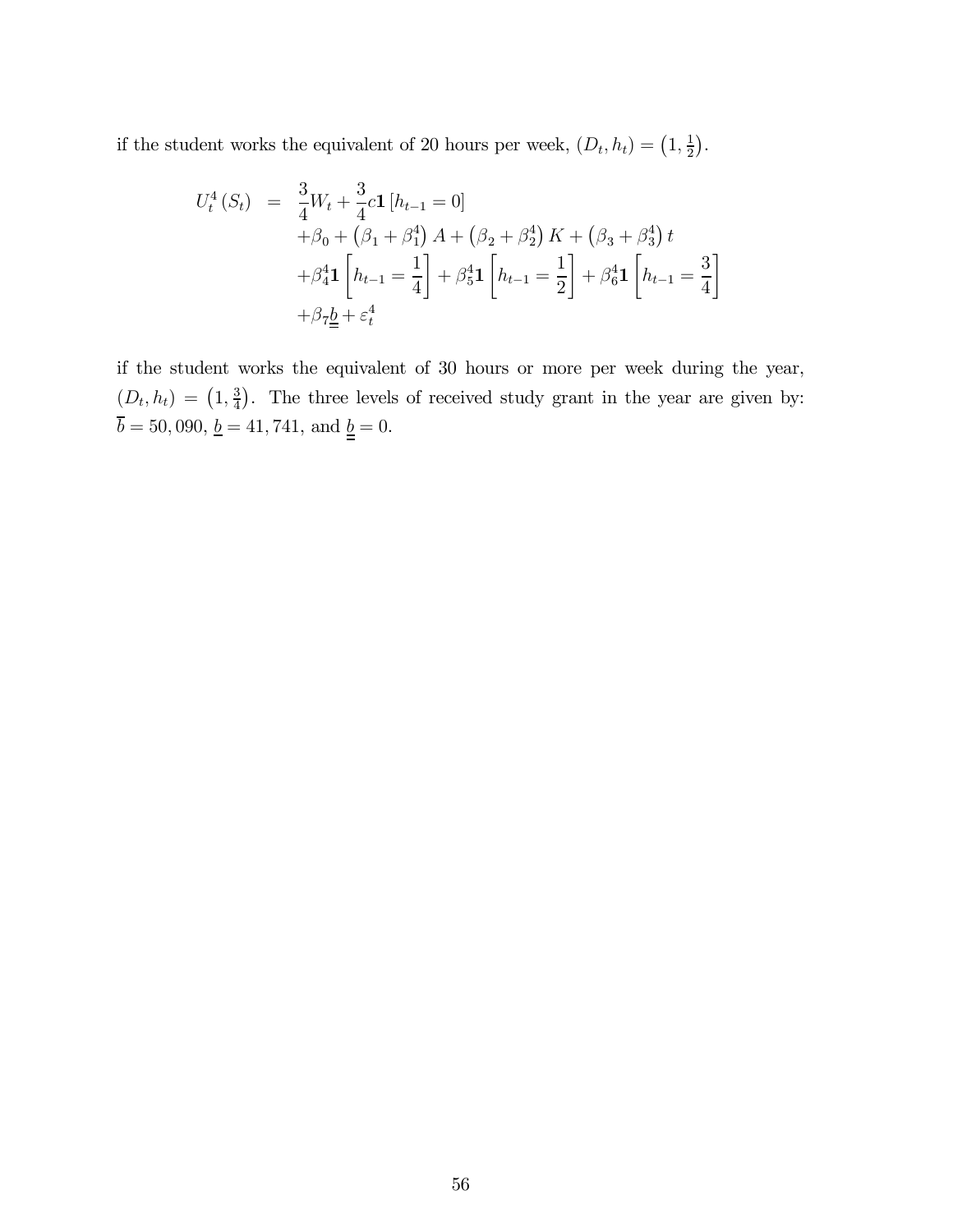if the student works the equivalent of 20 hours per week,  $(D_t, h_t) = (1, \frac{1}{2})$ .

$$
U_t^4(S_t) = \frac{3}{4}W_t + \frac{3}{4}c\mathbf{1}[h_{t-1} = 0]
$$
  
+  $\beta_0 + (\beta_1 + \beta_1^4)A + (\beta_2 + \beta_2^4)K + (\beta_3 + \beta_3^4)t$   
+  $\beta_4^4\mathbf{1}\left[h_{t-1} = \frac{1}{4}\right] + \beta_5^4\mathbf{1}\left[h_{t-1} = \frac{1}{2}\right] + \beta_6^4\mathbf{1}\left[h_{t-1} = \frac{3}{4}\right]$   
+  $\beta_7\underline{b} + \varepsilon_t^4$ 

if the student works the equivalent of 30 hours or more per week during the year,  $(D_t, h_t) = (1, \frac{3}{4})$ . The three levels of received study grant in the year are given by:  $\overline{b}=50,090,\,\underline{b}=41,741,$  and  $\underline{\underline{b}}=0.$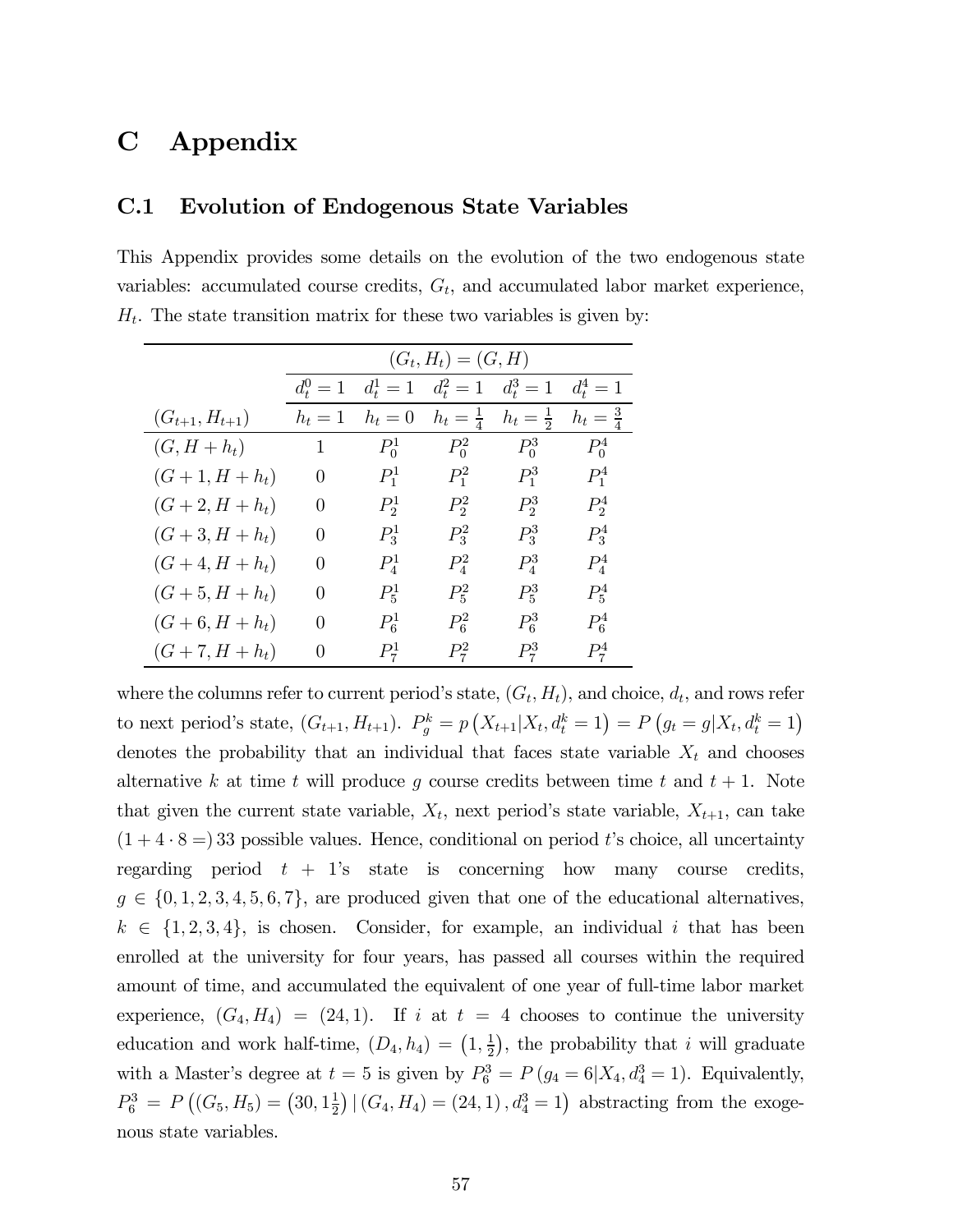## C Appendix

#### C.1 Evolution of Endogenous State Variables

This Appendix provides some details on the evolution of the two endogenous state variables: accumulated course credits,  $G_t$ , and accumulated labor market experience,  $H_t$ . The state transition matrix for these two variables is given by:

|                      | $(G_t, H_t) = (G, H)$ |                 |                     |                     |                     |  |  |  |
|----------------------|-----------------------|-----------------|---------------------|---------------------|---------------------|--|--|--|
|                      | $d_{t}^{0}=1$         | $d_{t}^{1} = 1$ | $d_t^2 = 1$         | $d_t^3 = 1$         | $d_t^4 = 1$         |  |  |  |
| $(G_{t+1}, H_{t+1})$ | $h_t=1$               | $h_t=0$         | $h_t = \frac{1}{4}$ | $h_t = \frac{1}{2}$ | $h_t = \frac{3}{4}$ |  |  |  |
| $(G, H+h_t)$         | $\mathbf{1}$          | $P_0^1$         | $P_0^2$             | $P_0^3$             | $P_0^4$             |  |  |  |
| $(G+1, H+h_t)$       | $\left( \right)$      | $P_1^1$         | $P_1^2$             | $P_1^3$             | $P_1^4$             |  |  |  |
| $(G + 2, H + h_t)$   | $\theta$              | $P_2^1$         | $P_2^2$             | $P_2^3$             | $P_2^4$             |  |  |  |
| $(G+3, H+h_t)$       | $\left( \right)$      | $P_3^1$         | $P_3^2$             | $P_3^3$             | $P_3^4$             |  |  |  |
| $(G+4, H+h_t)$       | $\theta$              | $P_4^1$         | $P_4^2$             | $P_4^3$             | $P_4^4$             |  |  |  |
| $(G+5, H+h_t)$       | $\left( \right)$      | $P_5^1$         | $P_5^2$             | $P_5^3$             | $P_5^4$             |  |  |  |
| $(G + 6, H + h_t)$   | $\theta$              | $P_6^1$         | $P_6^2$             | $P_6^3$             | $P_6^4$             |  |  |  |
| $(G+7, H+h_t)$       | $\left( \right)$      | $P_7^1$         | $P_7^2$             | $P_7^3$             | $P_7^4$             |  |  |  |

where the columns refer to current period's state,  $(G_t, H_t)$ , and choice,  $d_t$ , and rows refer to next period's state,  $(G_{t+1}, H_{t+1})$ .  $P_g^k = p(X_{t+1}|X_t, d_t^k = 1) = P(g_t = g | X_t, d_t^k = 1)$ denotes the probability that an individual that faces state variable  $X_t$  and chooses alternative k at time t will produce g course credits between time t and  $t + 1$ . Note that given the current state variable,  $X_t$ , next period's state variable,  $X_{t+1}$ , can take  $(1 + 4 \cdot 8 = 33$  possible values. Hence, conditional on period t's choice, all uncertainty regarding period  $t + 1$ 's state is concerning how many course credits,  $g \in \{0, 1, 2, 3, 4, 5, 6, 7\}$ , are produced given that one of the educational alternatives,  $k \in \{1, 2, 3, 4\}$ , is chosen. Consider, for example, an individual i that has been enrolled at the university for four years, has passed all courses within the required amount of time, and accumulated the equivalent of one year of full-time labor market experience,  $(G_4, H_4) = (24, 1)$ . If i at  $t = 4$  chooses to continue the university education and work half-time,  $(D_4, h_4) = (1, \frac{1}{2})$ , the probability that i will graduate with a Master's degree at  $t = 5$  is given by  $P_6^3 = P(g_4 = 6 | X_4, d_4^3 = 1)$ . Equivalently,  $P_6^3 = P((G_5, H_5) = (30, 1\frac{1}{2}) | (G_4, H_4) = (24, 1), d_4^3 = 1)$  abstracting from the exogenous state variables.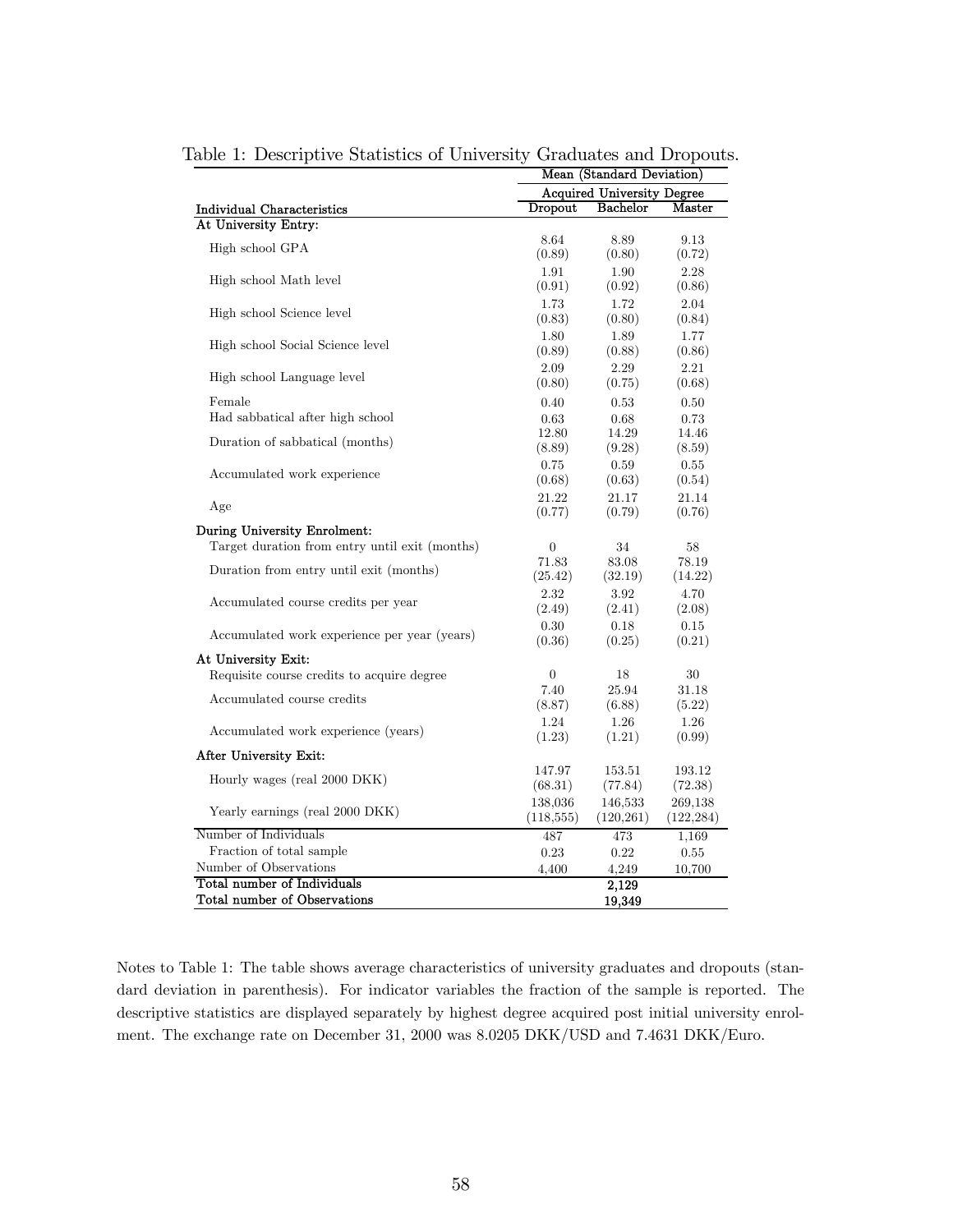|                                                             | Mean (Standard Deviation) |                                   |                       |  |
|-------------------------------------------------------------|---------------------------|-----------------------------------|-----------------------|--|
|                                                             |                           | <b>Acquired University Degree</b> |                       |  |
| Individual Characteristics                                  | Dropout                   | <b>Bachelor</b>                   | Master                |  |
| At University Entry:                                        |                           |                                   |                       |  |
| High school GPA                                             | 8.64<br>(0.89)            | 8.89<br>(0.80)                    | 9.13<br>(0.72)        |  |
| High school Math level                                      | 1.91<br>(0.91)            | 1.90<br>(0.92)                    | 2.28<br>(0.86)        |  |
| High school Science level                                   | 1.73<br>(0.83)            | 1.72<br>(0.80)                    | 2.04<br>(0.84)        |  |
| High school Social Science level                            | 1.80<br>(0.89)            | 1.89<br>(0.88)                    | 1.77<br>(0.86)        |  |
| High school Language level                                  | 2.09<br>(0.80)            | 2.29<br>(0.75)                    | 2.21<br>(0.68)        |  |
| Female                                                      | 0.40                      | 0.53                              | 0.50                  |  |
| Had sabbatical after high school                            | 0.63                      | 0.68                              | 0.73                  |  |
| Duration of sabbatical (months)                             | 12.80<br>(8.89)           | 14.29<br>(9.28)                   | 14.46<br>(8.59)       |  |
| Accumulated work experience                                 | 0.75<br>(0.68)            | 0.59<br>(0.63)                    | 0.55<br>(0.54)        |  |
| Age                                                         | 21.22<br>(0.77)           | 21.17<br>(0.79)                   | 21.14<br>(0.76)       |  |
| During University Enrolment:                                |                           |                                   |                       |  |
| Target duration from entry until exit (months)              | $\theta$                  | 34                                | 58                    |  |
| Duration from entry until exit (months)                     | 71.83<br>(25.42)          | 83.08<br>(32.19)                  | 78.19<br>(14.22)      |  |
| Accumulated course credits per year                         | 2.32<br>(2.49)            | 3.92<br>(2.41)                    | 4.70<br>(2.08)        |  |
| Accumulated work experience per year (years)                | 0.30<br>(0.36)            | 0.18<br>(0.25)                    | 0.15<br>(0.21)        |  |
| At University Exit:                                         |                           |                                   |                       |  |
| Requisite course credits to acquire degree                  | $\theta$                  | 18                                | 30                    |  |
| Accumulated course credits                                  | 7.40<br>(8.87)            | 25.94<br>(6.88)                   | 31.18<br>(5.22)       |  |
| Accumulated work experience (years)                         | 1.24<br>(1.23)            | 1.26<br>(1.21)                    | 1.26<br>(0.99)        |  |
| After University Exit:                                      |                           |                                   |                       |  |
| Hourly wages (real 2000 DKK)                                | 147.97<br>(68.31)         | 153.51<br>(77.84)                 | 193.12<br>(72.38)     |  |
| Yearly earnings (real 2000 DKK)                             | 138,036<br>(118, 555)     | 146,533<br>(120, 261)             | 269,138<br>(122, 284) |  |
| Number of Individuals                                       | 487                       | 473                               | 1,169                 |  |
| Fraction of total sample                                    | 0.23                      | 0.22                              | 0.55                  |  |
| Number of Observations                                      | 4,400                     | 4,249                             | 10,700                |  |
| Total number of Individuals<br>Total number of Observations |                           | 2,129<br>19,349                   |                       |  |
|                                                             |                           |                                   |                       |  |

Table 1: Descriptive Statistics of University Graduates and Dropouts.

Notes to Table 1: The table shows average characteristics of university graduates and dropouts (standard deviation in parenthesis). For indicator variables the fraction of the sample is reported. The descriptive statistics are displayed separately by highest degree acquired post initial university enrolment. The exchange rate on December 31, 2000 was 8.0205 DKK/USD and 7.4631 DKK/Euro.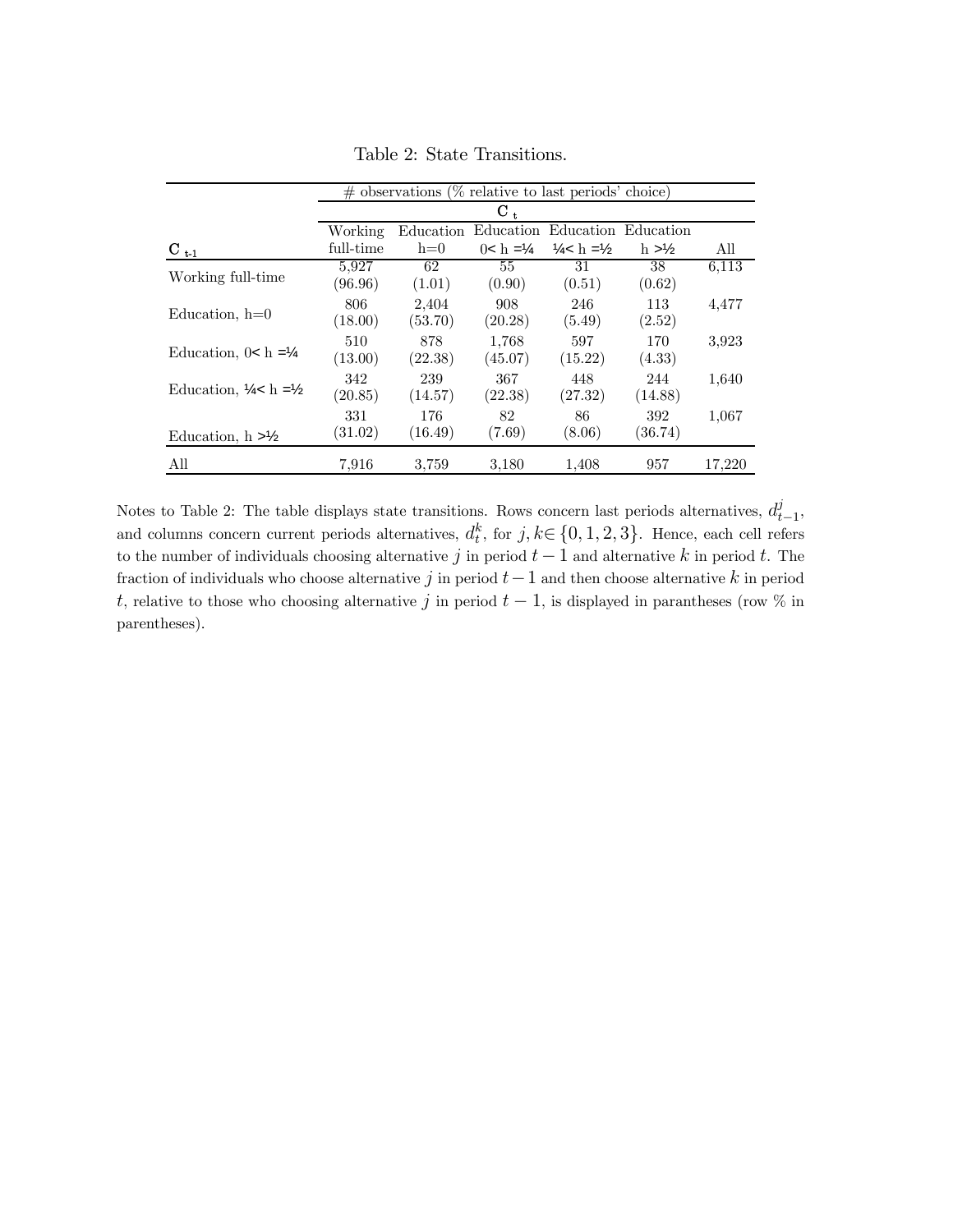|                                              | $\#$ observations (% relative to last periods' choice) |                    |                       |                                   |                     |        |  |  |  |
|----------------------------------------------|--------------------------------------------------------|--------------------|-----------------------|-----------------------------------|---------------------|--------|--|--|--|
|                                              |                                                        | $\mathbf{C}_{\pm}$ |                       |                                   |                     |        |  |  |  |
|                                              | Working                                                | Education          | Education             |                                   | Education Education |        |  |  |  |
| $\mathrm{C}_{t-1}$                           | full-time                                              | $h=0$              | $0 < h = \frac{1}{4}$ | $\frac{1}{4}$ c h = $\frac{1}{2}$ | $h > \frac{1}{2}$   | All    |  |  |  |
| Working full-time                            | 5.927<br>(96.96)                                       | 62<br>(1.01)       | 55<br>(0.90)          | 31<br>(0.51)                      | 38<br>(0.62)        | 6,113  |  |  |  |
| Education, $h=0$                             | 806<br>(18.00)                                         | 2,404<br>(53.70)   | 908<br>(20.28)        | 246<br>(5.49)                     | 113<br>(2.52)       | 4,477  |  |  |  |
| Education, $0 < h = \frac{1}{4}$             | 510<br>(13.00)                                         | 878<br>(22.38)     | 1.768<br>(45.07)      | 597<br>(15.22)                    | 170<br>(4.33)       | 3.923  |  |  |  |
| Education, $\frac{1}{4}$ < h = $\frac{1}{2}$ | 342<br>(20.85)                                         | 239<br>(14.57)     | 367<br>(22.38)        | 448<br>(27.32)                    | 244<br>(14.88)      | 1,640  |  |  |  |
| Education, $h > \frac{1}{2}$                 | 331<br>(31.02)                                         | 176<br>(16.49)     | 82<br>(7.69)          | 86<br>(8.06)                      | 392<br>(36.74)      | 1,067  |  |  |  |
| All                                          | 7.916                                                  | 3.759              | 3.180                 | 1,408                             | 957                 | 17,220 |  |  |  |

Table 2: State Transitions.

Notes to Table 2: The table displays state transitions. Rows concern last periods alternatives,  $d_{t-1}^j$ , and columns concern current periods alternatives,  $d_t^k$ , for  $j, k \in \{0, 1, 2, 3\}$ . Hence, each cell refers to the number of individuals choosing alternative j in period  $t-1$  and alternative k in period t. The fraction of individuals who choose alternative j in period  $t-1$  and then choose alternative k in period t, relative to those who choosing alternative j in period  $t-1$ , is displayed in parantheses (row % in parentheses).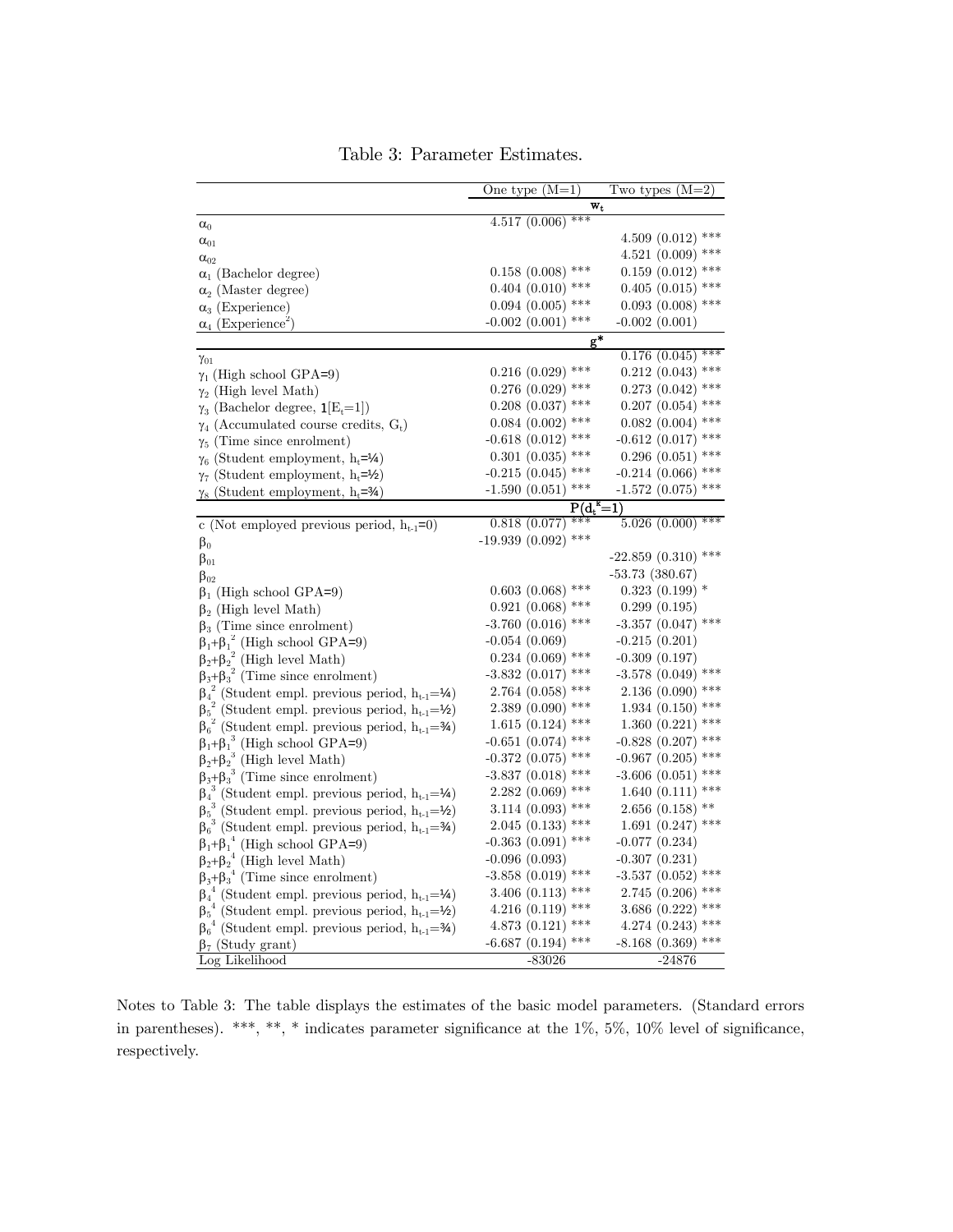|                                                                                                                                           | One type $(M=1)$       | Two types $(M=2)$      |
|-------------------------------------------------------------------------------------------------------------------------------------------|------------------------|------------------------|
|                                                                                                                                           | w,                     |                        |
| $\alpha_0$                                                                                                                                | $4.517(0.006)$ ***     |                        |
| $\alpha_{01}$                                                                                                                             |                        | $4.509(0.012)$ ***     |
| $\alpha_{02}$                                                                                                                             |                        | $4.521(0.009)$ ***     |
| $\alpha_1$ (Bachelor degree)                                                                                                              | $0.158$ $(0.008)$ ***  | $0.159(0.012)$ ***     |
| $\alpha_2$ (Master degree)                                                                                                                | $0.404$ $(0.010)$ ***  | $0.405$ $(0.015)$ ***  |
| $\alpha_3$ (Experience)                                                                                                                   | $0.094$ $(0.005)$ ***  | $0.093$ $(0.008)$ ***  |
| $\alpha_4$ (Experience <sup>2</sup> )                                                                                                     | ***<br>$-0.002(0.001)$ | $-0.002(0.001)$        |
|                                                                                                                                           | g*                     |                        |
| $\gamma_{01}$                                                                                                                             |                        | $***$<br>0.176(0.045)  |
| $\gamma_1$ (High school GPA=9)                                                                                                            | $0.216$ $(0.029)$ ***  | $0.212$ $(0.043)$ ***  |
| $\gamma_2$ (High level Math)                                                                                                              | $0.276$ $(0.029)$ ***  | $0.273$ $(0.042)$ ***  |
| $\gamma_3$ (Bachelor degree, $\mathbf{1}[E_t=1]$ )                                                                                        | $0.208$ $(0.037)$ ***  | $0.207$ $(0.054)$ ***  |
| $\gamma_4$ (Accumulated course credits, G <sub>t</sub> )                                                                                  | $0.084~(0.002)$ ***    | $0.082$ (0.004) ***    |
| $\gamma_5$ (Time since enrolment)                                                                                                         | $-0.618$ (0.012) ***   | $-0.612$ (0.017) ***   |
| $\gamma_6$ (Student employment, h <sub>t</sub> =1/4)                                                                                      | $0.301(0.035)$ ***     | $0.296$ $(0.051)$ ***  |
| $\gamma_7$ (Student employment, $h_t = \frac{1}{2}$ )                                                                                     | $-0.215(0.045)$ ***    | $-0.214$ (0.066) ***   |
| $\gamma_8$ (Student employment, h <sub>t</sub> =34)                                                                                       | $-1.590(0.051)$ ***    | $-1.572(0.075)$ ***    |
|                                                                                                                                           | $P(d_t)$               | -1)                    |
| c (Not employed previous period, $h_{t-1}=0$ )                                                                                            | 0.818(0.077)           | $5.026(0.000)$ ***     |
| $\beta_0$                                                                                                                                 | $-19.939(0.092)$ ***   |                        |
| $\beta_{01}$                                                                                                                              |                        | $-22.859(0.310)$ ***   |
| $\beta_{02}$                                                                                                                              |                        | $-53.73(380.67)$       |
| $\beta_1$ (High school GPA=9)                                                                                                             | $0.603(0.068)$ ***     | $0.323(0.199)$ *       |
| $\beta_2$ (High level Math)                                                                                                               | $0.921(0.068)$ ***     | 0.299(0.195)           |
| $\beta_3$ (Time since enrolment)                                                                                                          | $-3.760$ (0.016) ***   | $-3.357$ (0.047) ***   |
|                                                                                                                                           | $-0.054(0.069)$        | $-0.215(0.201)$        |
| $\begin{array}{l} \beta_1 + \beta_1^2 \text{ (High school GPA=9)}\\ \beta_2 + \beta_2^2 \text{ (High level Math)} \end{array}$            | $0.234$ $(0.069)$ ***  | $-0.309(0.197)$        |
| $\beta_3 + \beta_3^2$ (Time since enrolment)                                                                                              | $-3.832(0.017)$ ***    | $-3.578$ (0.049) ***   |
| $\beta_4^2$ (Student empl. previous period, $h_{t-1} = \mathcal{V}_4$ )                                                                   | $2.764~(0.058)$ ***    | $2.136(0.090)$ ***     |
| ${\beta_5}^2$ (Student empl. previous period, $h_{t\text{-}1}\text{=}\text{\textbf{Y}}_2$ )                                               | $2.389(0.090)$ ***     | $1.934(0.150)$ ***     |
| $\beta_6^2$ (Student empl. previous period, $h_{t-1} = \frac{3}{4}$ )                                                                     | $1.615(0.124)$ ***     | $1.360(0.221)$ ***     |
| $\beta_1 + \beta_1^3$ (High school GPA=9)                                                                                                 | $-0.651$ (0.074) ***   | $-0.828$ (0.207) ***   |
| $\beta_2 + \beta_2^3$ (High level Math)                                                                                                   | $-0.372$ $(0.075)$ *** | $-0.967$ (0.205) ***   |
| $\beta_3 + \beta_3^3$ (Time since enrolment)                                                                                              | $-3.837(0.018)$ ***    | $-3.606$ $(0.051)$ *** |
| $\beta_4^3$ (Student empl. previous period, $h_{t-1} = \mathcal{V}_4$ )                                                                   | $2.282(0.069)$ ***     | $1.640(0.111)$ ***     |
| (Student empl. previous period, $h_{t-1} = \frac{1}{2}$ )<br>$\beta_5^3$                                                                  | $3.114(0.093)$ ***     | $2.656$ (0.158) **     |
| $\beta_6^3$ (Student empl. previous period, $h_{t-1} = \frac{3}{4}$ )                                                                     | $2.045$ (0.133) ***    | $1.691(0.247)$ ***     |
|                                                                                                                                           | $-0.363(0.091)$ ***    | $-0.077(0.234)$        |
| $\begin{array}{l} \beta_1{+}\beta_1^{\ 4} \ \text{(High school GPA=9)} \\ \beta_2{+}\beta_2^{\ 4} \ \text{(High level Math)} \end{array}$ | $-0.096(0.093)$        | $-0.307(0.231)$        |
| $\beta_3 + \beta_3^4$ (Time since enrolment)                                                                                              | $-3.858$ (0.019) ***   | -3.537 (0.052) ***     |
| ${\beta_4}^4$ (Student empl. previous period, $h_{t\text{-}1}\!\!=\!\!\mathcal{V}_4)$                                                     | 3.406 $(0.113)$ ***    | $2.745(0.206)$ ***     |
| <sup>4</sup> (Student empl. previous period, $h_{t-1} = \frac{1}{2}$ )<br>$\beta_5$                                                       | 4.216 (0.119) ***      | 3.686 (0.222) ***      |
| $\beta_6^4$ (Student empl. previous period, $h_{t-1} = \frac{3}{4}$ )                                                                     | 4.873 (0.121) ***      | 4.274 (0.243) ***      |
| $\beta_7$ (Study grant)                                                                                                                   | $-6.687$ (0.194) ***   | $-8.168$ (0.369) ***   |
| Log Likelihood                                                                                                                            | $-83026$               | -24876                 |

Table 3: Parameter Estimates.

Notes to Table 3: The table displays the estimates of the basic model parameters. (Standard errors in parentheses). \*\*\*, \*\*, \* indicates parameter significance at the 1%, 5%, 10% level of significance, respectively.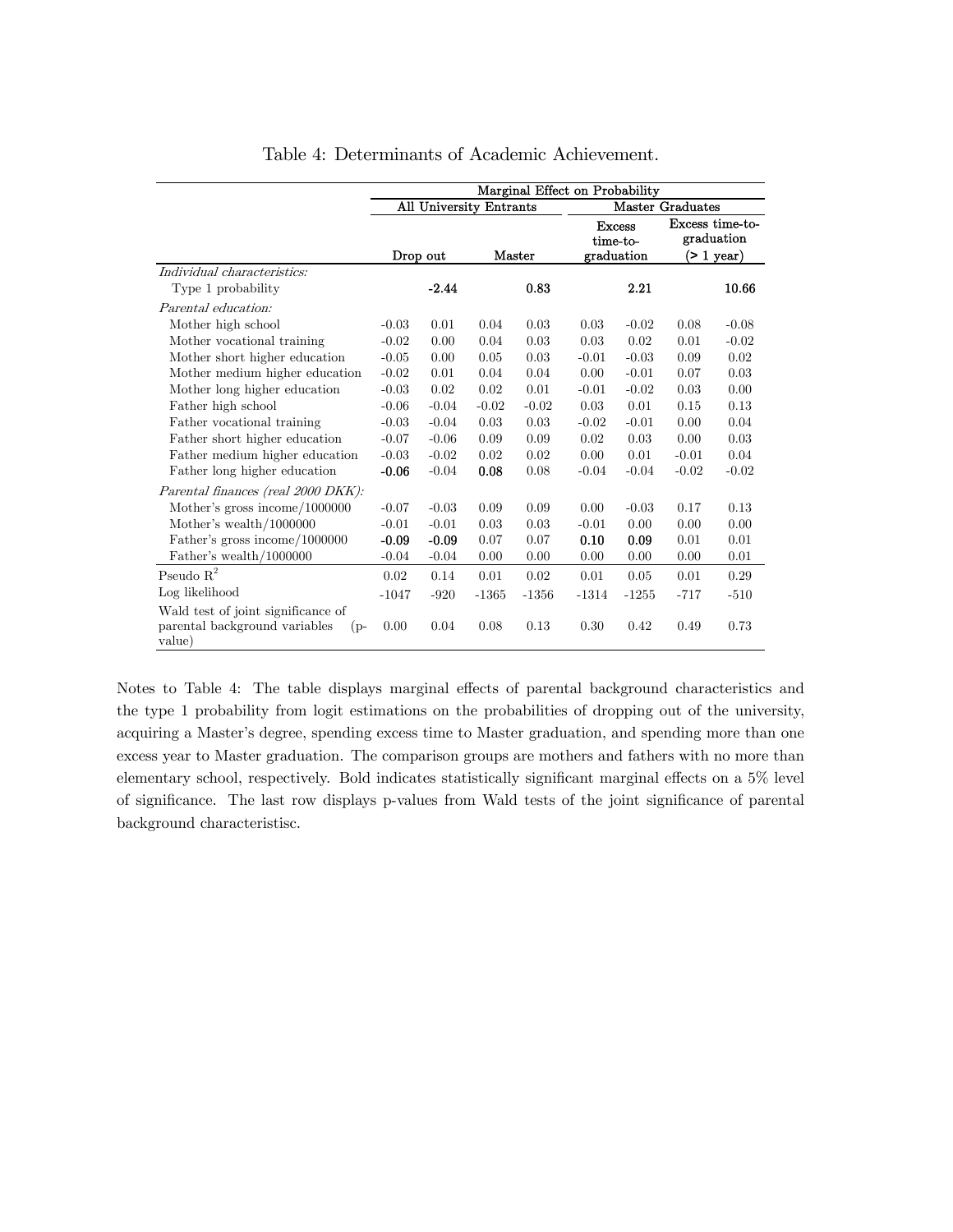|                                                                                        | Marginal Effect on Probability                     |          |         |         |         |                                         |         |                                                   |
|----------------------------------------------------------------------------------------|----------------------------------------------------|----------|---------|---------|---------|-----------------------------------------|---------|---------------------------------------------------|
|                                                                                        | All University Entrants<br><b>Master Graduates</b> |          |         |         |         |                                         |         |                                                   |
|                                                                                        |                                                    | Drop out |         | Master  |         | <b>Excess</b><br>time-to-<br>graduation |         | Excess time-to-<br>graduation<br>$($ > 1 year $)$ |
| Individual characteristics:                                                            |                                                    |          |         |         |         |                                         |         |                                                   |
| Type 1 probability                                                                     |                                                    | $-2.44$  |         | 0.83    |         | 2.21                                    |         | 10.66                                             |
| Parental education:                                                                    |                                                    |          |         |         |         |                                         |         |                                                   |
| Mother high school                                                                     | $-0.03$                                            | 0.01     | 0.04    | 0.03    | 0.03    | $-0.02$                                 | 0.08    | $-0.08$                                           |
| Mother vocational training                                                             | $-0.02$                                            | 0.00     | 0.04    | 0.03    | 0.03    | 0.02                                    | 0.01    | $-0.02$                                           |
| Mother short higher education                                                          | $-0.05$                                            | 0.00     | 0.05    | 0.03    | $-0.01$ | $-0.03$                                 | 0.09    | 0.02                                              |
| Mother medium higher education                                                         | $-0.02$                                            | 0.01     | 0.04    | 0.04    | 0.00    | $-0.01$                                 | 0.07    | 0.03                                              |
| Mother long higher education                                                           | $-0.03$                                            | 0.02     | 0.02    | 0.01    | $-0.01$ | $-0.02$                                 | 0.03    | 0.00                                              |
| Father high school                                                                     | $-0.06$                                            | $-0.04$  | $-0.02$ | $-0.02$ | 0.03    | 0.01                                    | 0.15    | 0.13                                              |
| Father vocational training                                                             | $-0.03$                                            | $-0.04$  | 0.03    | 0.03    | $-0.02$ | $-0.01$                                 | 0.00    | 0.04                                              |
| Father short higher education                                                          | $-0.07$                                            | $-0.06$  | 0.09    | 0.09    | 0.02    | 0.03                                    | 0.00    | 0.03                                              |
| Father medium higher education                                                         | $-0.03$                                            | $-0.02$  | 0.02    | 0.02    | 0.00    | 0.01                                    | $-0.01$ | 0.04                                              |
| Father long higher education                                                           | $-0.06$                                            | $-0.04$  | 0.08    | 0.08    | $-0.04$ | $-0.04$                                 | $-0.02$ | $-0.02$                                           |
| Parental finances (real 2000 DKK):                                                     |                                                    |          |         |         |         |                                         |         |                                                   |
| Mother's gross income/1000000                                                          | $-0.07$                                            | $-0.03$  | 0.09    | 0.09    | 0.00    | $-0.03$                                 | 0.17    | 0.13                                              |
| Mother's wealth/ $1000000$                                                             | $-0.01$                                            | $-0.01$  | 0.03    | 0.03    | $-0.01$ | 0.00                                    | 0.00    | 0.00                                              |
| Father's gross income/1000000                                                          | $-0.09$                                            | $-0.09$  | 0.07    | 0.07    | 0.10    | 0.09                                    | 0.01    | 0.01                                              |
| Father's wealth/1000000                                                                | $-0.04$                                            | $-0.04$  | 0.00    | 0.00    | 0.00    | 0.00                                    | 0.00    | 0.01                                              |
| Pseudo $\mathbf{R}^2$                                                                  | 0.02                                               | 0.14     | 0.01    | 0.02    | 0.01    | 0.05                                    | 0.01    | 0.29                                              |
| Log likelihood                                                                         | $-1047$                                            | $-920$   | $-1365$ | $-1356$ | $-1314$ | $-1255$                                 | $-717$  | $-510$                                            |
| Wald test of joint significance of<br>parental background variables<br>$(p-$<br>value) | 0.00                                               | 0.04     | 0.08    | 0.13    | 0.30    | 0.42                                    | 0.49    | 0.73                                              |

Table 4: Determinants of Academic Achievement.

Notes to Table 4: The table displays marginal effects of parental background characteristics and the type 1 probability from logit estimations on the probabilities of dropping out of the university, acquiring a Master's degree, spending excess time to Master graduation, and spending more than one excess year to Master graduation. The comparison groups are mothers and fathers with no more than elementary school, respectively. Bold indicates statistically significant marginal effects on a 5% level of significance. The last row displays p-values from Wald tests of the joint significance of parental background characteristisc.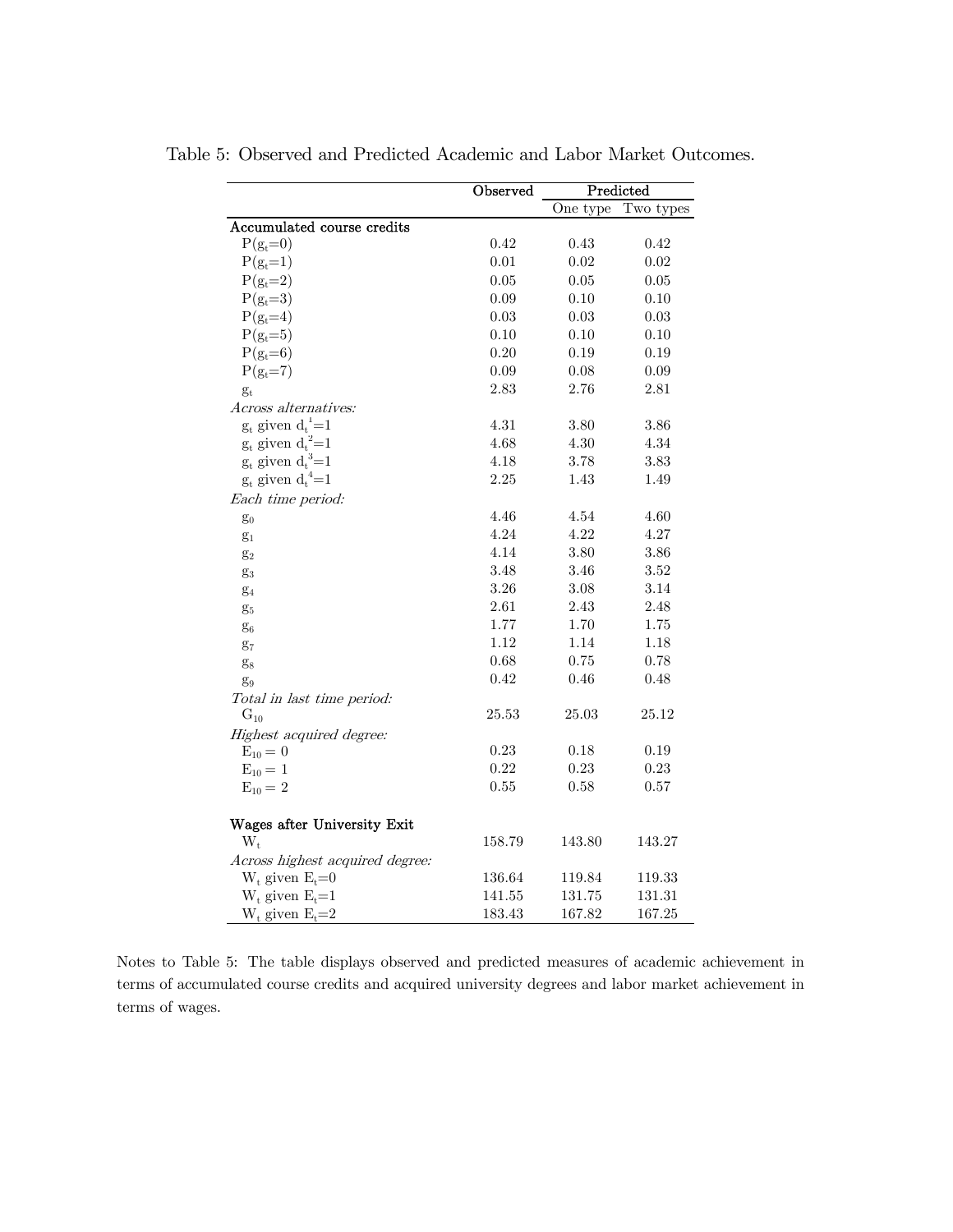|                                 | <b>Observed</b> | Predicted |           |
|---------------------------------|-----------------|-----------|-----------|
|                                 |                 | One type  | Two types |
| Accumulated course credits      |                 |           |           |
| $P(g_t=0)$                      | 0.42            | 0.43      | 0.42      |
| $P(g_t=1)$                      | 0.01            | 0.02      | 0.02      |
| $P(g_t=2)$                      | 0.05            | 0.05      | 0.05      |
| $P(g_t=3)$                      | 0.09            | 0.10      | 0.10      |
| $P(g_t=4)$                      | 0.03            | 0.03      | 0.03      |
| $P(g_t=5)$                      | 0.10            | 0.10      | 0.10      |
| $P(g_t=6)$                      | 0.20            | 0.19      | 0.19      |
| $P(g_t=7)$                      | 0.09            | 0.08      | 0.09      |
| $g_t$                           | 2.83            | 2.76      | 2.81      |
| <i>Across alternatives:</i>     |                 |           |           |
| $g_t$ given $d_t^{\ 1}{=}1$     | 4.31            | 3.80      | 3.86      |
| $g_t$ given ${d_t}^2{=}1$       | 4.68            | $4.30\,$  | 4.34      |
| $g_t$ given $d_t^3=1$           | 4.18            | 3.78      | 3.83      |
| $g_t$ given $d_t^4=1$           | $2.25\,$        | 1.43      | 1.49      |
| Each time period:               |                 |           |           |
| $g_0$                           | 4.46            | 4.54      | 4.60      |
| $g_1$                           | 4.24            | 4.22      | 4.27      |
| $g_2$                           | 4.14            | 3.80      | 3.86      |
| $g_3$                           | 3.48            | 3.46      | 3.52      |
| $g_4$                           | 3.26            | 3.08      | 3.14      |
| $g_5$                           | $2.61\,$        | 2.43      | 2.48      |
| $\mathbf{g}_6$                  | 1.77            | 1.70      | 1.75      |
| $g_7$                           | 1.12            | 1.14      | 1.18      |
| $\mathbf{g}_8$                  | 0.68            | 0.75      | 0.78      |
| $g_9$                           | 0.42            | 0.46      | 0.48      |
| Total in last time period:      |                 |           |           |
| $\mathrm{G}_{10}$               | 25.53           | 25.03     | 25.12     |
| Highest acquired degree:        |                 |           |           |
| $E_{10} = 0$                    | 0.23            | 0.18      | 0.19      |
| $E_{10} = 1$                    | 0.22            | 0.23      | 0.23      |
| $E_{10} = 2$                    | 0.55            | 0.58      | 0.57      |
| Wages after University Exit     |                 |           |           |
| $W_t$                           | $158.79\,$      | 143.80    | 143.27    |
| Across highest acquired degree: |                 |           |           |
| $W_t$ given $E_t=0$             | 136.64          | 119.84    | 119.33    |
| $W_t$ given $E_t = 1$           | 141.55          | 131.75    | 131.31    |
| $W_t$ given $E_t = 2$           | 183.43          | 167.82    | 167.25    |

Table 5: Observed and Predicted Academic and Labor Market Outcomes.

Notes to Table 5: The table displays observed and predicted measures of academic achievement in terms of accumulated course credits and acquired university degrees and labor market achievement in terms of wages.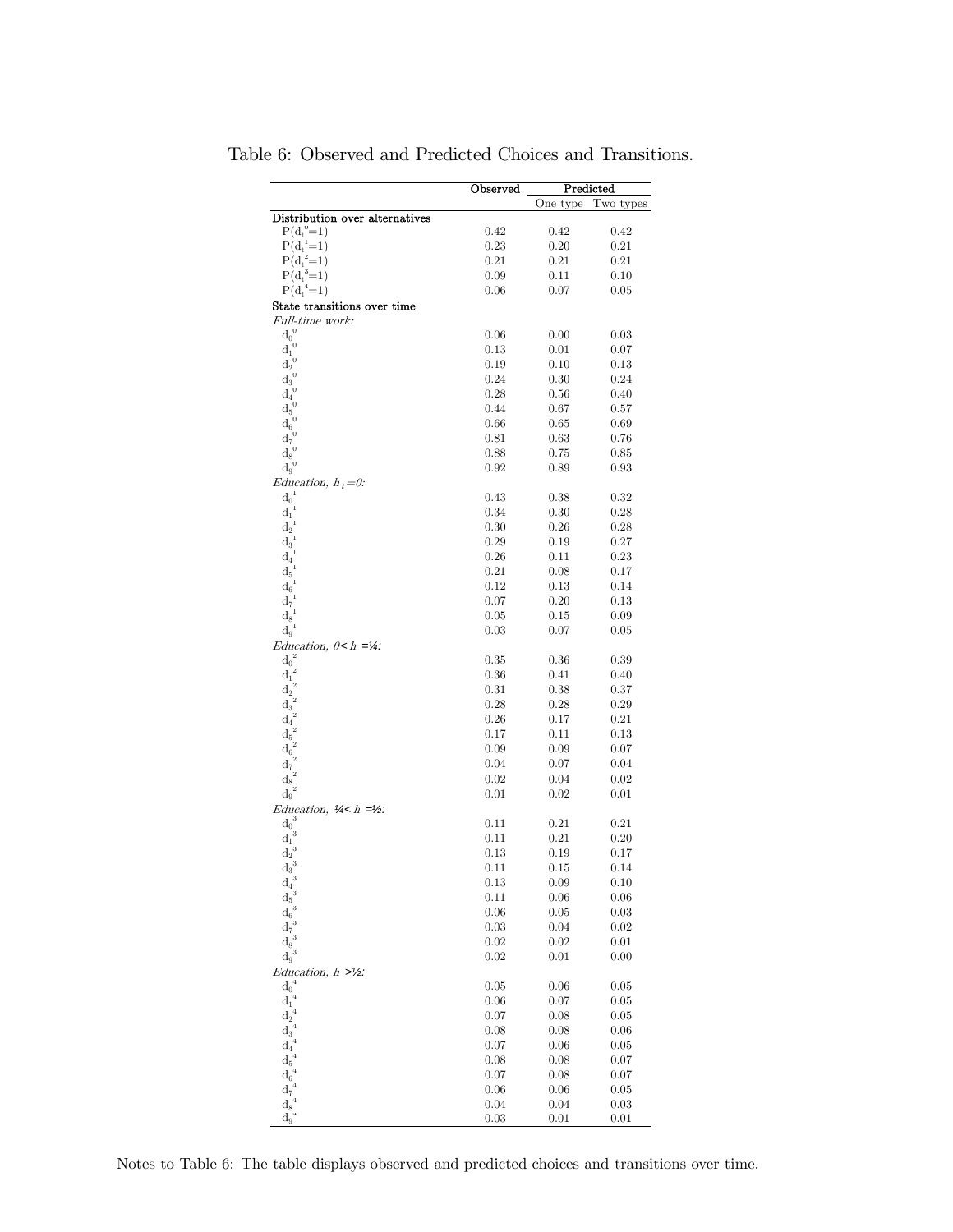|                                                | Observed   |           | Predicted |
|------------------------------------------------|------------|-----------|-----------|
|                                                |            | One type  | Two types |
| Distribution over alternatives                 |            |           |           |
| $P(d_t^0=1)$                                   | 0.42       | 0.42      | 0.42      |
| $P(d_t^{-1}=1)$                                | 0.23       | $_{0.20}$ | 0.21      |
| $P(d_t^2=1)$                                   | 0.21       | 0.21      | 0.21      |
| $P(d_t^3=1)$                                   | 0.09       | 0.11      | 0.10      |
| $P(d_t^4=1)$                                   | 0.06       | 0.07      | 0.05      |
| State transitions over time                    |            |           |           |
| <i>Full-time work:</i><br>$d_0^{\;\;0}$        | 0.06       | 0.00      | 0.03      |
| $\bar{d_1}^0$                                  | 0.13       | 0.01      | 0.07      |
| $d_2^{\;\;0}$                                  | 0.19       | 0.10      | 0.13      |
| $\operatorname{d_3}^0$                         | 0.24       | $_{0.30}$ | 0.24      |
| $\theta$<br>$d_4$                              | 0.28       | 0.56      | 0.40      |
| $\mathbf{d_5}^0$                               | 0.44       | 0.67      | 0.57      |
| $\theta$                                       | 0.66       | $_{0.65}$ | 0.69      |
| $d_6$<br>$\theta$<br>$\mathbf{d}_7$            | 0.81       | 0.63      | 0.76      |
| $\bar{d_8}^0$                                  | 0.88       | $_{0.75}$ | 0.85      |
| $d_9^{\ 0}$                                    | 0.92       | 0.89      | 0.93      |
| Education, $h_t=0$ :                           |            |           |           |
| $\mathbf{d_0}^1$                               | 0.43       | 0.38      | 0.32      |
| 1<br>$d_1$                                     | 0.34       | $_{0.30}$ | 0.28      |
| $d_2$                                          | 0.30       | $_{0.26}$ | 0.28      |
| $\mathrm{d}_3$                                 | 0.29       | 0.19      | 0.27      |
| $d_4$                                          | 0.26       | 0.11      | 0.23      |
| $d_5$                                          | 0.21       | 0.08      | 0.17      |
| $\mathbf{d}_6$                                 | 0.12       | $_{0.13}$ | 0.14      |
| $\mathrm{d}_7$                                 | 0.07       | $_{0.20}$ | 0.13      |
| 1<br>$\mathbf{d}_8$                            | 0.05       | 0.15      | 0.09      |
| $d_9$                                          | 0.03       | $_{0.07}$ | 0.05      |
| Education, $0 < h = 4$ :                       |            |           |           |
| $\overline{\mathbf{z}}$<br>$d_0\acute{}$       | $\rm 0.35$ | $_{0.36}$ | 0.39      |
| $\mathbf{z}$<br>$\mathbf{d}_1$                 | 0.36       | 0.41      | 0.40      |
| 2<br>$\mathrm{d}_{2}$                          | 0.31       | 0.38      | $_{0.37}$ |
| $\dot{z}$<br>$\mathrm{d}_3$                    | 0.28       | 0.28      | 0.29      |
| $\mathrm{d}_{4}$                               | 0.26       | 0.17      | 0.21      |
| $\mathbf{d}_5$                                 | 0.17       | 0.11      | 0.13      |
| $\mathrm{d}_6$                                 | 0.09       | $_{0.09}$ | 0.07      |
| $d_7$                                          | 0.04       | 0.07      | 0.04      |
| 2<br>$\mathbf{d}_8$                            | 0.02       | 0.04      | 0.02      |
| $\mathrm{d_9}^2$                               | 0.01       | 0.02      | 0.01      |
| Education, $\frac{1}{4}$ < h = $\frac{1}{2}$ : |            |           |           |
| $d_0^3$                                        | 0.11       | 0.21      | 0.21      |
| $d_1^{\;\;3}$                                  | 0.11       | 0.21      | 0.20      |
| $\mathrm{d}_{2}$                               | 0.13       | 0.19      | 0.17      |
| 3<br>$\mathrm{d}_3$                            | 0.11       | 0.15      | 0.14      |
| 3<br>$\mathbf{d}_4$                            | 0.13       | $_{0.09}$ | 0.10      |
| 3<br>$\mathrm{d}_5$                            | 0.11       | $_{0.06}$ | 0.06      |
| $\rm 3$<br>$d_6$                               | 0.06       | $_{0.05}$ | 0.03      |
| 3<br>$d_7$                                     | 0.03       | 0.04      | 0.02      |
| $\mathbf{3}$<br>$\mathbf{d}_8$                 | 0.02       | 0.02      | 0.01      |
| 3<br>$\mathrm{d}_{9}$                          | 0.02       | 0.01      | 0.00      |
| Education, $h >\frac{1}{2}$ :                  |            |           |           |
| ${d_0}^4$                                      | 0.05       | $_{0.06}$ | 0.05      |
| $d_1^{\ 4}$                                    | 0.06       | 0.07      | 0.05      |
| $\overline{4}$<br>$\mathbf{d}_2$               | 0.07       | $_{0.08}$ | 0.05      |
| $\,4\,$<br>$\mathbf{d}_3$                      | 0.08       | $_{0.08}$ | 0.06      |
| $\overline{4}$<br>$\mathbf{d}_4$               | 0.07       | 0.06      | 0.05      |
| $\overline{4}$<br>$\mathbf{d}_5$               | 0.08       | 0.08      | 0.07      |
| $\overline{4}$<br>$\mathbf{d}_6$               | 0.07       | 0.08      | 0.07      |
| $\overline{4}$<br>$\mathbf{d}_7$               | 0.06       | 0.06      | 0.05      |
| $\,4\,$<br>$\mathbf{d}_8$                      | 0.04       | 0.04      | 0.03      |
| 4<br>$\mathrm{d}_{9}$                          | 0.03       | 0.01      | 0.01      |

Table 6: Observed and Predicted Choices and Transitions.

Notes to Table 6: The table displays observed and predicted choices and transitions over time.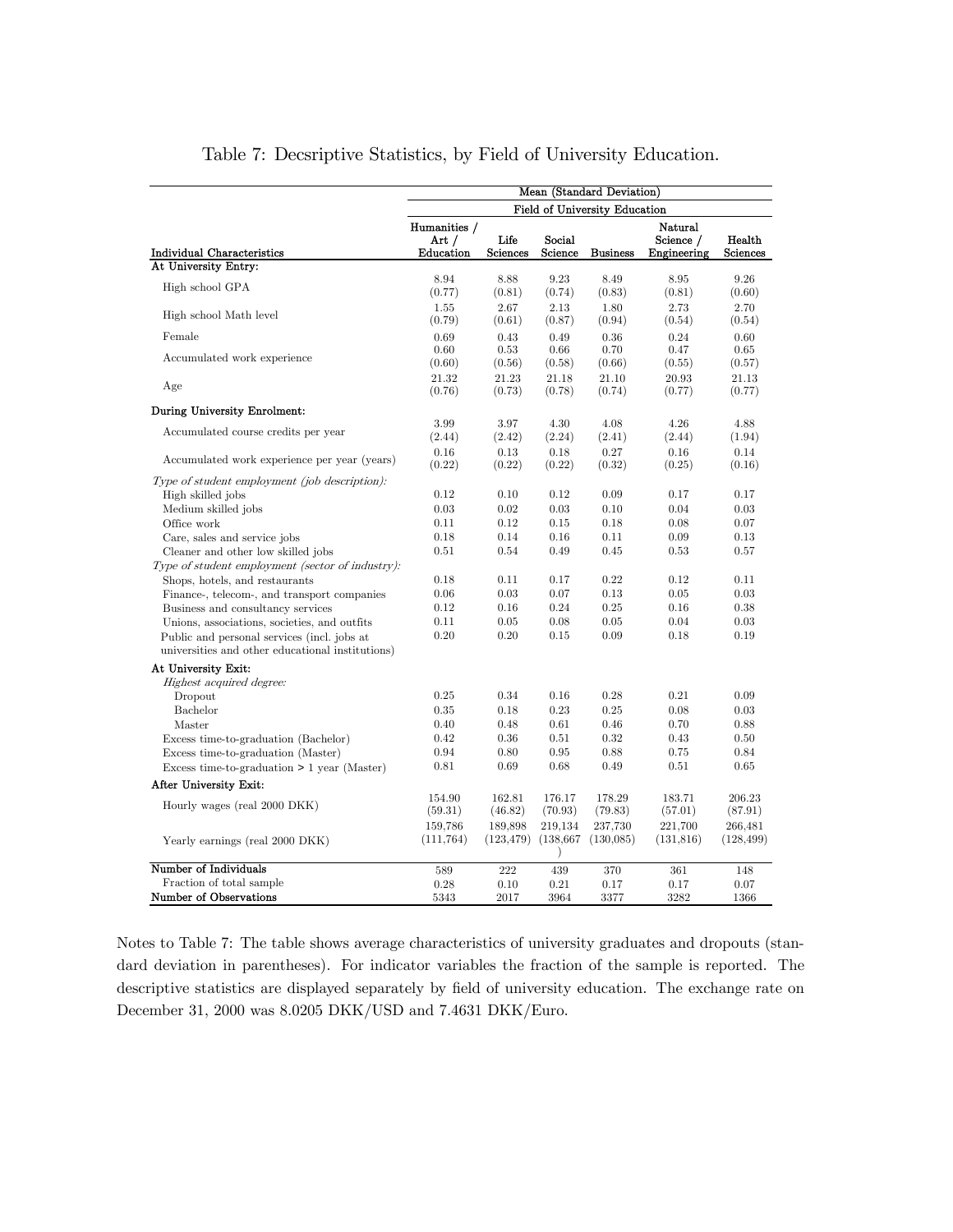|                                                                                                                                                                                                                                                                                                                                                                                                                                                                                                             |                                                                              |                                                                              |                                                                              | Mean (Standard Deviation)                                                    |                                                                              |                                                                              |
|-------------------------------------------------------------------------------------------------------------------------------------------------------------------------------------------------------------------------------------------------------------------------------------------------------------------------------------------------------------------------------------------------------------------------------------------------------------------------------------------------------------|------------------------------------------------------------------------------|------------------------------------------------------------------------------|------------------------------------------------------------------------------|------------------------------------------------------------------------------|------------------------------------------------------------------------------|------------------------------------------------------------------------------|
|                                                                                                                                                                                                                                                                                                                                                                                                                                                                                                             |                                                                              |                                                                              |                                                                              | <b>Field of University Education</b>                                         |                                                                              |                                                                              |
| <b>Individual Characteristics</b>                                                                                                                                                                                                                                                                                                                                                                                                                                                                           | Humanities /<br>Art /<br>Education                                           | Life<br><b>Sciences</b>                                                      | Social<br>Science                                                            | <b>Business</b>                                                              | Natural<br>Science /<br>Engineering                                          | Health<br><b>Sciences</b>                                                    |
| At University Entry:                                                                                                                                                                                                                                                                                                                                                                                                                                                                                        |                                                                              |                                                                              |                                                                              |                                                                              |                                                                              |                                                                              |
| High school GPA                                                                                                                                                                                                                                                                                                                                                                                                                                                                                             | 8.94<br>(0.77)                                                               | 8.88<br>(0.81)                                                               | 9.23<br>(0.74)                                                               | 8.49<br>(0.83)                                                               | 8.95<br>(0.81)                                                               | 9.26<br>(0.60)                                                               |
| High school Math level                                                                                                                                                                                                                                                                                                                                                                                                                                                                                      | 1.55<br>(0.79)                                                               | 2.67<br>(0.61)                                                               | 2.13<br>(0.87)                                                               | 1.80<br>(0.94)                                                               | 2.73<br>(0.54)                                                               | 2.70<br>(0.54)                                                               |
| Female                                                                                                                                                                                                                                                                                                                                                                                                                                                                                                      | 0.69                                                                         | 0.43                                                                         | 0.49                                                                         | 0.36                                                                         | 0.24                                                                         | 0.60                                                                         |
| Accumulated work experience                                                                                                                                                                                                                                                                                                                                                                                                                                                                                 | 0.60<br>(0.60)                                                               | 0.53<br>(0.56)                                                               | 0.66<br>(0.58)                                                               | 0.70<br>(0.66)                                                               | 0.47<br>(0.55)                                                               | 0.65<br>(0.57)                                                               |
| Age                                                                                                                                                                                                                                                                                                                                                                                                                                                                                                         | 21.32<br>(0.76)                                                              | 21.23<br>(0.73)                                                              | 21.18<br>(0.78)                                                              | 21.10<br>(0.74)                                                              | 20.93<br>(0.77)                                                              | 21.13<br>(0.77)                                                              |
| During University Enrolment:                                                                                                                                                                                                                                                                                                                                                                                                                                                                                |                                                                              |                                                                              |                                                                              |                                                                              |                                                                              |                                                                              |
| Accumulated course credits per year                                                                                                                                                                                                                                                                                                                                                                                                                                                                         | 3.99<br>(2.44)                                                               | 3.97<br>(2.42)                                                               | 4.30<br>(2.24)                                                               | 4.08<br>(2.41)                                                               | 4.26<br>(2.44)                                                               | 4.88<br>(1.94)                                                               |
| Accumulated work experience per year (years)                                                                                                                                                                                                                                                                                                                                                                                                                                                                | 0.16<br>(0.22)                                                               | 0.13<br>(0.22)                                                               | 0.18<br>(0.22)                                                               | 0.27<br>(0.32)                                                               | 0.16<br>(0.25)                                                               | 0.14<br>(0.16)                                                               |
| Type of student employment (job description):<br>High skilled jobs<br>Medium skilled jobs<br>Office work<br>Care, sales and service jobs<br>Cleaner and other low skilled jobs<br>Type of student employment (sector of industry):<br>Shops, hotels, and restaurants<br>Finance-, telecom-, and transport companies<br>Business and consultancy services<br>Unions, associations, societies, and outfits<br>Public and personal services (incl. jobs at<br>universities and other educational institutions) | 0.12<br>0.03<br>0.11<br>0.18<br>0.51<br>0.18<br>0.06<br>0.12<br>0.11<br>0.20 | 0.10<br>0.02<br>0.12<br>0.14<br>0.54<br>0.11<br>0.03<br>0.16<br>0.05<br>0.20 | 0.12<br>0.03<br>0.15<br>0.16<br>0.49<br>0.17<br>0.07<br>0.24<br>0.08<br>0.15 | 0.09<br>0.10<br>0.18<br>0.11<br>0.45<br>0.22<br>0.13<br>0.25<br>0.05<br>0.09 | 0.17<br>0.04<br>0.08<br>0.09<br>0.53<br>0.12<br>0.05<br>0.16<br>0.04<br>0.18 | 0.17<br>0.03<br>0.07<br>0.13<br>0.57<br>0.11<br>0.03<br>0.38<br>0.03<br>0.19 |
| At University Exit:<br>Highest acquired degree:<br>Dropout<br>Bachelor<br>Master<br>Excess time-to-graduation (Bachelor)<br>Excess time-to-graduation (Master)<br>Excess time-to-graduation $> 1$ year (Master)<br>After University Exit:<br>Hourly wages (real 2000 DKK)                                                                                                                                                                                                                                   | 0.25<br>0.35<br>0.40<br>0.42<br>0.94<br>0.81<br>154.90<br>(59.31)            | 0.34<br>0.18<br>0.48<br>0.36<br>0.80<br>0.69<br>162.81<br>(46.82)            | 0.16<br>0.23<br>0.61<br>0.51<br>0.95<br>0.68<br>176.17<br>(70.93)            | 0.28<br>0.25<br>0.46<br>0.32<br>0.88<br>0.49<br>178.29<br>(79.83)            | 0.21<br>0.08<br>0.70<br>0.43<br>0.75<br>0.51<br>183.71<br>(57.01)            | 0.09<br>0.03<br>0.88<br>0.50<br>0.84<br>0.65<br>206.23<br>(87.91)            |
| Yearly earnings (real 2000 DKK)                                                                                                                                                                                                                                                                                                                                                                                                                                                                             | 159,786<br>(111, 764)                                                        | 189,898<br>(123, 479)                                                        | 219,134<br>(138, 667)                                                        | 237,730<br>(130,085)                                                         | 221,700<br>(131, 816)                                                        | 266,481<br>(128, 499)                                                        |
| Number of Individuals                                                                                                                                                                                                                                                                                                                                                                                                                                                                                       | 589                                                                          | 222                                                                          | 439                                                                          | 370                                                                          | 361                                                                          | 148                                                                          |
| Fraction of total sample<br>Number of Observations                                                                                                                                                                                                                                                                                                                                                                                                                                                          | 0.28<br>5343                                                                 | 0.10<br>2017                                                                 | 0.21<br>3964                                                                 | 0.17<br>3377                                                                 | 0.17<br>3282                                                                 | 0.07<br>1366                                                                 |

## Table 7: Decsriptive Statistics, by Field of University Education.

Notes to Table 7: The table shows average characteristics of university graduates and dropouts (standard deviation in parentheses). For indicator variables the fraction of the sample is reported. The descriptive statistics are displayed separately by field of university education. The exchange rate on December 31, 2000 was 8.0205 DKK/USD and 7.4631 DKK/Euro.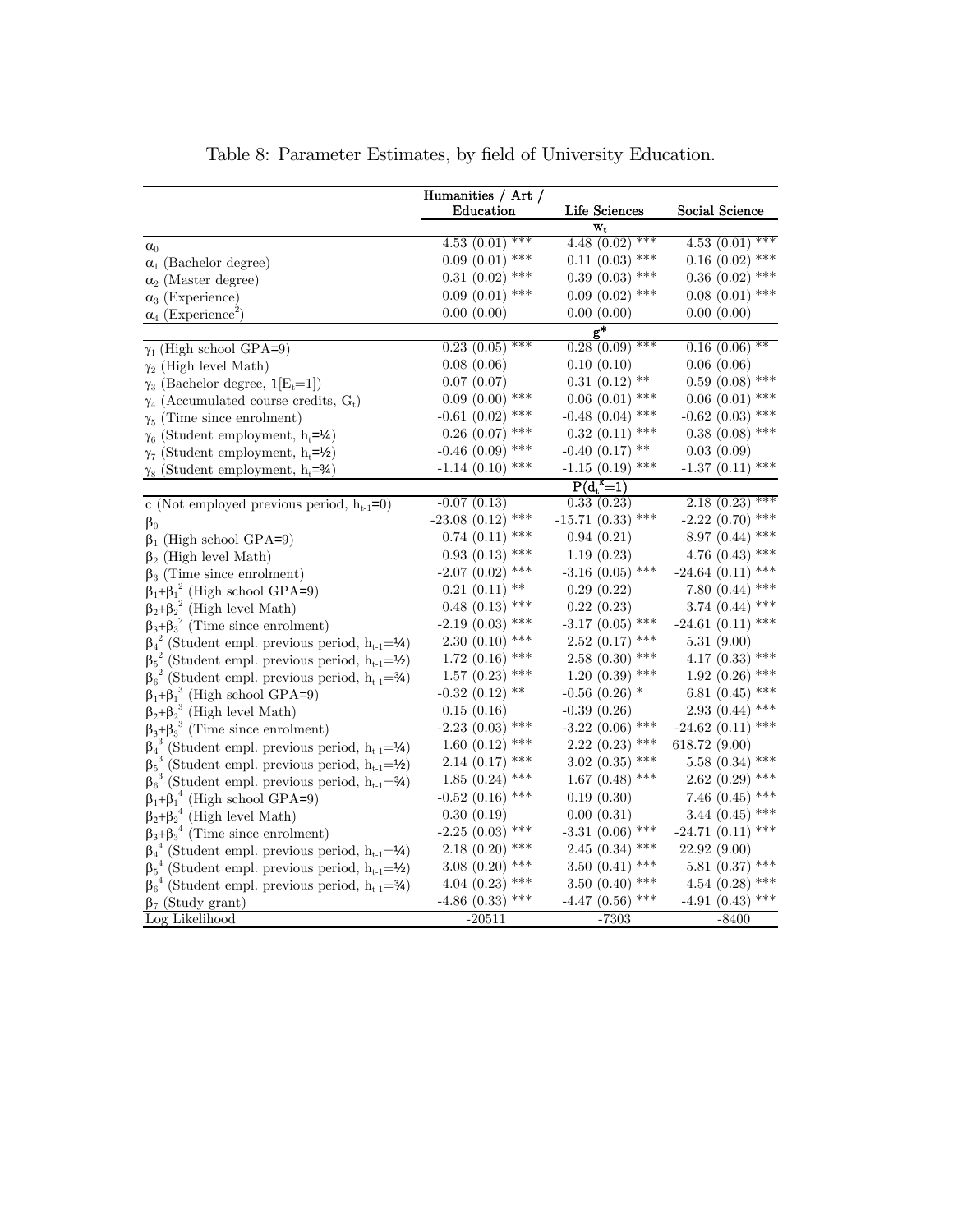|                                                                                                                                | Humanities / Art /    |                      |                     |
|--------------------------------------------------------------------------------------------------------------------------------|-----------------------|----------------------|---------------------|
|                                                                                                                                | Education             | Life Sciences        | Social Science      |
|                                                                                                                                |                       | $\mathbf{w_{t}}$     |                     |
| $\alpha_0$                                                                                                                     | $4.53(0.01)$ ***      | $4.48(0.02)$ ***     | $4.53(0.01)$ ***    |
| $\alpha_1$ (Bachelor degree)                                                                                                   | $0.09(0.01)$ ***      | $0.11$ $(0.03)$ ***  | $0.16$ $(0.02)$ *** |
| $\alpha_2$ (Master degree)                                                                                                     | $0.31$ $(0.02)$ ***   | $0.39(0.03)$ ***     | $0.36$ $(0.02)$ *** |
| $\alpha_3$ (Experience)                                                                                                        | $0.09(0.01)$ ***      | $0.09(0.02)$ ***     | $0.08$ $(0.01)$ *** |
| $\alpha_4$ (Experience <sup>2</sup> )                                                                                          | 0.00(0.00)            | 0.00(0.00)           | 0.00(0.00)          |
|                                                                                                                                |                       | $g^*$                |                     |
| $\gamma_1$ (High school GPA=9)                                                                                                 | 0.23(0.05)            | $0.28(0.09)$ ***     | $0.16(0.06)$ **     |
| $\gamma_2$ (High level Math)                                                                                                   | 0.08(0.06)            | 0.10(0.10)           | 0.06(0.06)          |
| $\gamma_3$ (Bachelor degree, $\mathbf{1}[E_t=1]$ )                                                                             | 0.07(0.07)            | $0.31(0.12)$ **      | $0.59(0.08)$ ***    |
| $\gamma_4$ (Accumulated course credits, G <sub>t</sub> )                                                                       | $0.09(0.00)$ ***      | $0.06(0.01)$ ***     | $0.06(0.01)$ ***    |
| $\gamma_5$ (Time since enrolment)                                                                                              | $-0.61$ $(0.02)$ ***  | $-0.48$ $(0.04)$ *** | $-0.62$ (0.03) ***  |
| $\gamma_6$ (Student employment, h <sub>t</sub> =1⁄4)                                                                           | $0.26$ $(0.07)$ ***   | $0.32$ $(0.11)$ ***  | $0.38$ $(0.08)$ *** |
| $\gamma_7$ (Student employment, h <sub>t</sub> =1/ <sub>2</sub> )                                                              | $-0.46$ (0.09) ***    | $-0.40$ $(0.17)$ **  | 0.03(0.09)          |
| $\gamma_8$ (Student employment, h <sub>t</sub> =34)                                                                            | $-1.14$ (0.10) ***    | $-1.15$ $(0.19)$ *** | $-1.37(0.11)$ ***   |
|                                                                                                                                |                       | $P(d_t^k=1)$         |                     |
| c (Not employed previous period, $h_{t-1}=0$ )                                                                                 | $-0.07(0.13)$         | 0.33(0.23)           | $2.18(0.23)$ ***    |
| $\beta_0$                                                                                                                      | $-23.08$ $(0.12)$ *** | $-15.71(0.33)$ ***   | $-2.22(0.70)$ ***   |
| $\beta_1$ (High school GPA=9)                                                                                                  | $0.74$ $(0.11)$ ***   | 0.94(0.21)           | 8.97 (0.44) ***     |
| $\beta_2$ (High level Math)                                                                                                    | $0.93(0.13)$ ***      | 1.19(0.23)           | 4.76 $(0.43)$ ***   |
| $\beta_3$ (Time since enrolment)                                                                                               | $-2.07$ $(0.02)$ ***  | $-3.16$ (0.05) ***   | $-24.64$ (0.11) *** |
| $\begin{array}{l} \beta_1 + \beta_1^2 \text{ (High school GPA=9)}\\ \beta_2 + \beta_2^2 \text{ (High level Math)} \end{array}$ | $0.21(0.11)$ **       | 0.29(0.22)           | 7.80 $(0.44)$ ***   |
|                                                                                                                                | $0.48$ $(0.13)$ ***   | 0.22(0.23)           | 3.74 $(0.44)$ ***   |
| $\beta_3 + \beta_3^2$ (Time since enrolment)                                                                                   | $-2.19(0.03)$ ***     | $-3.17$ (0.05) ***   | $-24.61(0.11)$ ***  |
| $\beta_4^2$ (Student empl. previous period, $h_{t-1} = \mathcal{V}_4$ )                                                        | $2.30(0.10)$ ***      | $2.52$ $(0.17)$ ***  | 5.31(9.00)          |
| $\beta_5^2$ (Student empl. previous period, $h_{t-1} = \frac{1}{2}$ )                                                          | $1.72$ $(0.16)$ ***   | $2.58(0.30)$ ***     | 4.17 $(0.33)$ ***   |
| $\beta_6^2$ (Student empl. previous period, $h_{t-1} = \frac{3}{4}$ )                                                          | $1.57$ $(0.23)$ ***   | $1.20(0.39)$ ***     | $1.92(0.26)$ ***    |
| $\beta_1 + \beta_1^3$ (High school GPA=9)                                                                                      | $-0.32$ $(0.12)$ **   | $-0.56$ $(0.26)$ *   | 6.81 $(0.45)$ ***   |
| $\beta_2 + \beta_2^3$ (High level Math)                                                                                        | 0.15(0.16)            | $-0.39(0.26)$        | $2.93(0.44)$ ***    |
| $\beta_3 + \beta_3$ <sup>3</sup> (Time since enrolment)                                                                        | $-2.23$ (0.03) ***    | $-3.22$ (0.06) ***   | $-24.62(0.11)$ ***  |
| $\beta_4^3$ (Student empl. previous period, $h_{t-1} = \mathcal{V}_4$ )                                                        | $1.60(0.12)$ ***      | $2.22(0.23)$ ***     | 618.72 (9.00)       |
| $\beta_5^3$ (Student empl. previous period, $h_{t-1} = \frac{1}{2}$ )                                                          | $2.14$ $(0.17)$ ***   | $3.02$ $(0.35)$ ***  | 5.58 $(0.34)$ ***   |
| $\beta_6^3$ (Student empl. previous period, $h_{t-1} = \frac{3}{4}$ )                                                          | $1.85(0.24)$ ***      | $1.67$ (0.48) ***    | $2.62$ (0.29) ***   |
|                                                                                                                                | $-0.52$ (0.16) ***    | 0.19(0.30)           | 7.46 $(0.45)$ ***   |
| $\begin{array}{l} \beta_1 + \beta_1^4 \text{ (High school GPA=9)}\\ \beta_2 + \beta_2^4 \text{ (High level Math)} \end{array}$ | 0.30(0.19)            | 0.00(0.31)           | 3.44 $(0.45)$ ***   |
| $\beta_3 + \beta_3^4$ (Time since enrolment)                                                                                   | $-2.25(0.03)$ ***     | $-3.31$ (0.06) ***   | $-24.71(0.11)$ ***  |
| $\beta_4^4$ (Student empl. previous period, $h_{t-1} = \mathcal{V}_4$ )                                                        | $2.18(0.20)$ ***      | $2.45(0.34)$ ***     | 22.92(9.00)         |
| $\beta_5^4$ (Student empl. previous period, $h_{t-1} = \frac{1}{2}$ )                                                          | $3.08(0.20)$ ***      | 3.50 $(0.41)$ ***    | 5.81 $(0.37)$ ***   |
| $\beta_6^4$ (Student empl. previous period, $h_{t-1} = \frac{3}{4}$ )                                                          | 4.04 $(0.23)$ ***     | 3.50 $(0.40)$ ***    | 4.54 $(0.28)$ ***   |
| $\beta_7$ (Study grant)                                                                                                        | $-4.86$ (0.33) ***    | $-4.47$ (0.56) ***   | -4.91 (0.43) ***    |
| Log Likelihood                                                                                                                 | $-20511$              | $-7303$              | $-8400$             |

Table 8: Parameter Estimates, by field of University Education.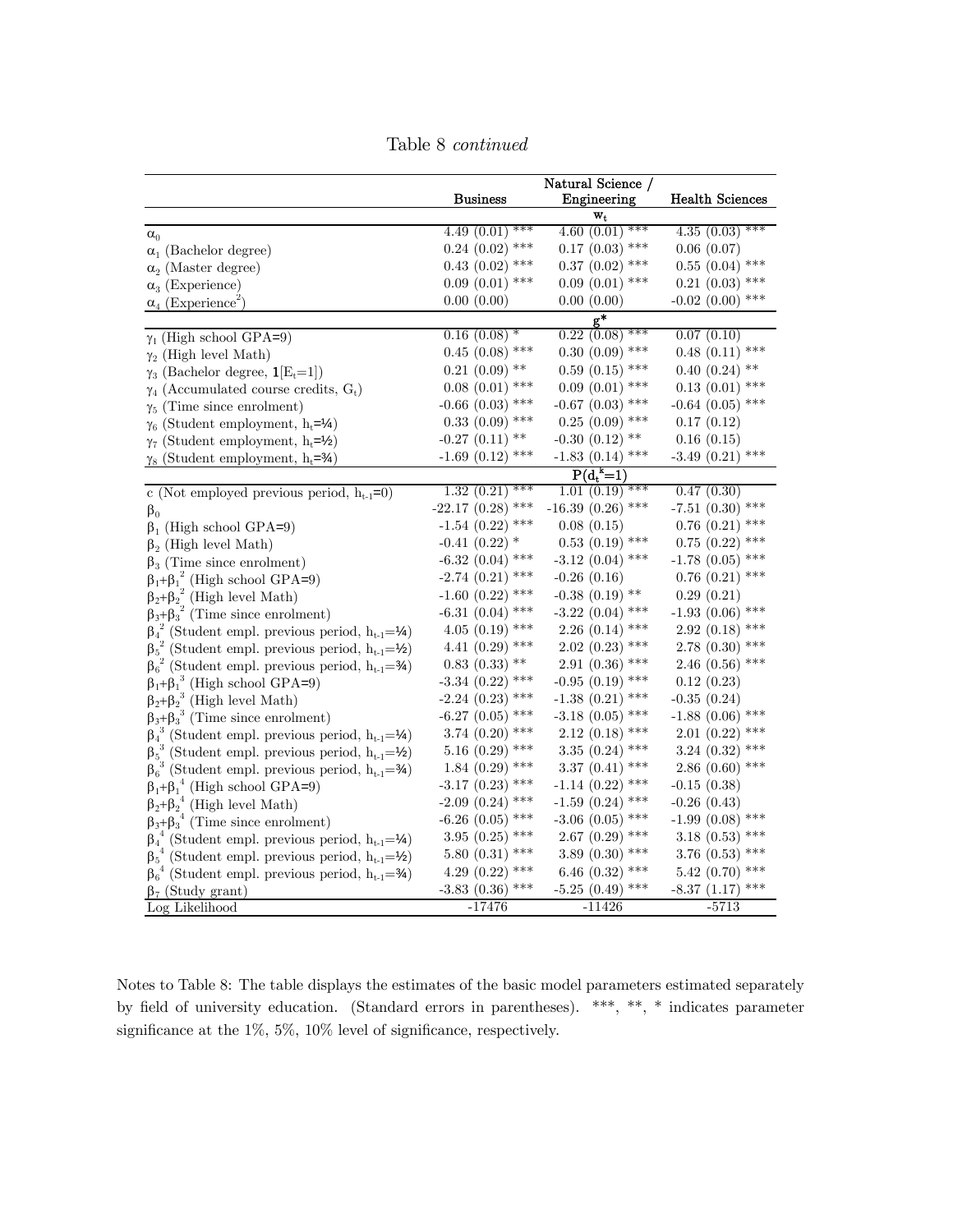|                                                                                      |                      | Natural Science /                     |                                   |
|--------------------------------------------------------------------------------------|----------------------|---------------------------------------|-----------------------------------|
|                                                                                      | <b>Business</b>      | Engineering                           | <b>Health Sciences</b>            |
|                                                                                      | ***<br>4.49(0.01)    | $\mathbf{w_{t}}$<br>4.60 $(0.01)$ *** | 4.35(0.03)<br>***                 |
| $\alpha_0$                                                                           | $0.24$ $(0.02)$ ***  | $0.17$ $(0.03)$ ***                   |                                   |
| $\alpha_1$ (Bachelor degree)                                                         | $0.43$ $(0.02)$ ***  | $0.37$ $(0.02)$ ***                   | 0.06(0.07)<br>$0.55$ $(0.04)$ *** |
| $\alpha_2$ (Master degree)                                                           |                      |                                       |                                   |
| $\alpha_3$ (Experience)                                                              | $0.09(0.01)$ ***     | $0.09(0.01)$ ***                      | $0.21$ $(0.03)$ ***               |
| $\alpha_4$ (Experience <sup>2</sup> )                                                | 0.00(0.00)           | 0.00(0.00)                            | $-0.02$ $(0.00)$ ***              |
|                                                                                      | $0.16(0.08)$ *       | $\mathbf{g}^*$<br>$0.22$ $(0.08)$ *** | 0.07(0.10)                        |
| $\gamma_1$ (High school GPA=9)                                                       | $0.45$ $(0.08)$ ***  | $0.30$ $(0.09)$ ***                   | $0.48(0.11)$ ***                  |
| $\gamma_2$ (High level Math)                                                         | $0.21$ $(0.09)$ **   | $0.59(0.15)$ ***                      | $0.40$ $(0.24)$ **                |
| $\gamma_3$ (Bachelor degree, $\mathbf{1}[E_t=1]$ )                                   | $0.08(0.01)$ ***     | $0.09(0.01)$ ***                      |                                   |
| $\gamma_4$ (Accumulated course credits, $G_t$ )                                      |                      |                                       | $0.13(0.01)$ ***                  |
| $\gamma_5$ (Time since enrolment)                                                    | $-0.66$ $(0.03)$ *** | $-0.67$ $(0.03)$ ***                  | $-0.64$ $(0.05)$ ***              |
| $\gamma_6$ (Student employment, h <sub>t</sub> =1/4)                                 | $0.33$ $(0.09)$ ***  | $0.25$ $(0.09)$ ***                   | 0.17(0.12)                        |
| $\gamma_7$ (Student employment, h <sub>t</sub> =1/ <sub>2</sub> )                    | $-0.27$ $(0.11)$ **  | $-0.30$ $(0.12)$ **                   | 0.16(0.15)<br>***                 |
| $\gamma_8$ (Student employment, h <sub>t</sub> =34)                                  | $-1.69$ $(0.12)$ *** | $-1.83(0.14)$ ***                     | $-3.49(0.21)$                     |
|                                                                                      |                      | $P(d_t^{\kappa} = 1)$                 |                                   |
| c (Not employed previous period, $h_{t-1}=0$ )                                       | ***<br>1.32(0.21)    | $1.01~(0.19)$ ***                     | 0.47(0.30)                        |
| $\beta_0$                                                                            | $-22.17(0.28)$ ***   | $-16.39(0.26)$ ***                    | $-7.51$ (0.30) ***                |
| $\beta_1$ (High school GPA=9)                                                        | $-1.54$ (0.22) ***   | 0.08(0.15)                            | $0.76$ $(0.21)$ ***               |
| $\beta_2$ (High level Math)                                                          | $-0.41$ $(0.22)$ *   | $0.53$ $(0.19)$ ***                   | $0.75$ $(0.22)$ ***               |
| $\beta_3$ (Time since enrolment)                                                     | $-6.32$ (0.04) ***   | $-3.12$ (0.04) ***                    | $-1.78$ (0.05) ***                |
| $\beta_1 + \beta_1^2$ (High school GPA=9)<br>$\beta_2 + \beta_2^2$ (High level Math) | $-2.74$ $(0.21)$ *** | $-0.26(0.16)$                         | $0.76$ $(0.21)$ ***               |
|                                                                                      | $-1.60$ $(0.22)$ *** | $-0.38$ $(0.19)$ **                   | 0.29(0.21)                        |
| $\beta_3+\beta_3^{\;\;2}$ (Time since enrolment)                                     | $-6.31(0.04)$ ***    | $-3.22$ (0.04) ***                    | $-1.93$ $(0.06)$ ***              |
| $\beta_4^2$ (Student empl. previous period, $h_{t-1} = \frac{1}{4}$ )                | 4.05 (0.19) ***      | $2.26(0.14)$ ***                      | $2.92(0.18)$ ***                  |
| $\beta_5^2$ (Student empl. previous period, $h_{t-1} = \frac{1}{2}$ )                | 4.41 $(0.29)$ ***    | $2.02$ $(0.23)$ ***                   | $2.78(0.30)$ ***                  |
| $\beta_6^2$ (Student empl. previous period, $h_{t-1} = \frac{3}{4}$ )                | $0.83(0.33)$ **      | $2.91(0.36)$ ***                      | $2.46(0.56)$ ***                  |
| $\beta_1 + \beta_1^3$ (High school GPA=9)                                            | $-3.34$ (0.22) ***   | $-0.95(0.19)$ ***                     | 0.12(0.23)                        |
| $\beta_2 + \beta_2^3$ (High level Math)                                              | $-2.24$ (0.23) ***   | $-1.38(0.21)$ ***                     | -0.35 (0.24)                      |
| $\beta_3 + \beta_3$ <sup>3</sup> (Time since enrolment)                              | $-6.27$ $(0.05)$ *** | $-3.18$ (0.05) ***                    | $-1.88$ (0.06) ***                |
| $\beta_4^3$ (Student empl. previous period, $h_{t-1} = \mathcal{V}_4$ )              | 3.74 $(0.20)$ ***    | $2.12$ (0.18) ***                     | $2.01~(0.22)$ ***                 |
| $\beta_5^3$ (Student empl. previous period, $h_{t-1} = \frac{1}{2}$ )                | 5.16 $(0.29)$ ***    | 3.35 $(0.24)$ ***                     | 3.24 $(0.32)$ ***                 |
| $\beta_6^3$ (Student empl. previous period, $h_{t-1} = \frac{3}{4}$ )                | $1.84~(0.29)$ ***    | 3.37 $(0.41)$ ***                     | $2.86(0.60)$ ***                  |
| $\beta_1 + \beta_1^4$ (High school GPA=9)                                            | $-3.17$ (0.23) ***   | $-1.14$ $(0.22)$ ***                  | $-0.15(0.38)$                     |
| $\beta_2 + \beta_2^4$ (High level Math)                                              | $-2.09$ $(0.24)$ *** | $-1.59(0.24)$ ***                     | $-0.26(0.43)$                     |
| $\beta_3 + \beta_3^4$ (Time since enrolment)                                         | $-6.26$ $(0.05)$ *** | $-3.06$ $(0.05)$ ***                  | $-1.99(0.08)$ ***                 |
| $\beta_4^4$ (Student empl. previous period, $h_{t-1} = \mathcal{V}_4$ )              | 3.95 $(0.25)$ ***    | $2.67(0.29)$ ***                      | 3.18 $(0.53)$ ***                 |
| $\beta_5^4$ (Student empl. previous period, $h_{t-1} = \frac{1}{2}$ )                | 5.80 $(0.31)$ ***    | 3.89 $(0.30)$ ***                     | 3.76 (0.53) ***                   |
| $\beta_6^4$ (Student empl. previous period, $h_{t-1} = \frac{3}{4}$ )                | 4.29 $(0.22)$ ***    | 6.46 $(0.32)$ ***                     | 5.42 (0.70) ***                   |
| $\beta_7$ (Study grant)                                                              | $-3.83$ (0.36) ***   | $-5.25(0.49)$ ***                     | ***<br>$-8.37(1.17)$              |
| Log Likelihood                                                                       | $-17476$             | $-11426$                              | $-5713$                           |

Table 8 continued

Notes to Table 8: The table displays the estimates of the basic model parameters estimated separately by field of university education. (Standard errors in parentheses). \*\*\*, \*\*, \* indicates parameter significance at the 1%, 5%, 10% level of significance, respectively.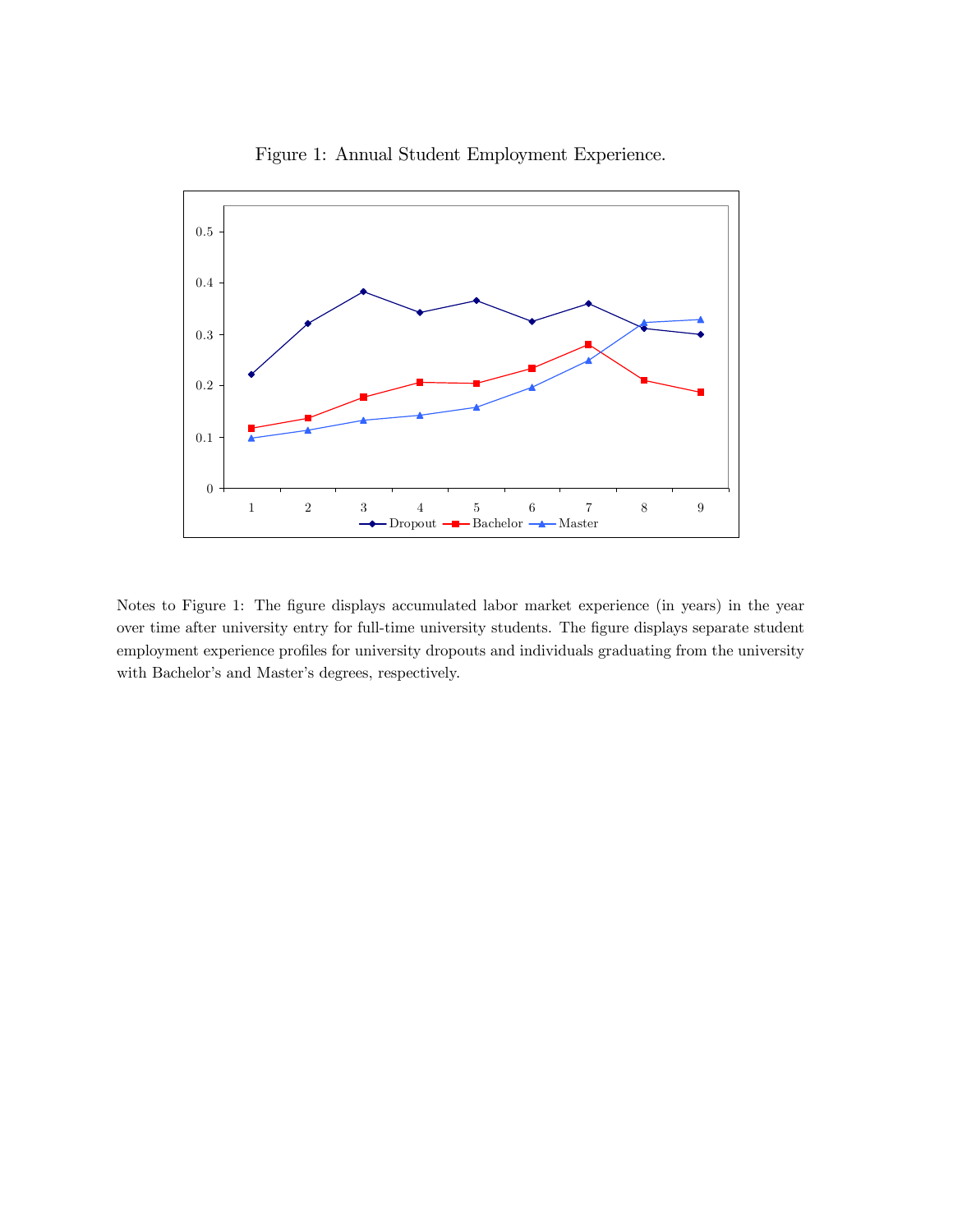

Figure 1: Annual Student Employment Experience.

Notes to Figure 1: The figure displays accumulated labor market experience (in years) in the year over time after university entry for full-time university students. The figure displays separate student employment experience profiles for university dropouts and individuals graduating from the university with Bachelor's and Master's degrees, respectively.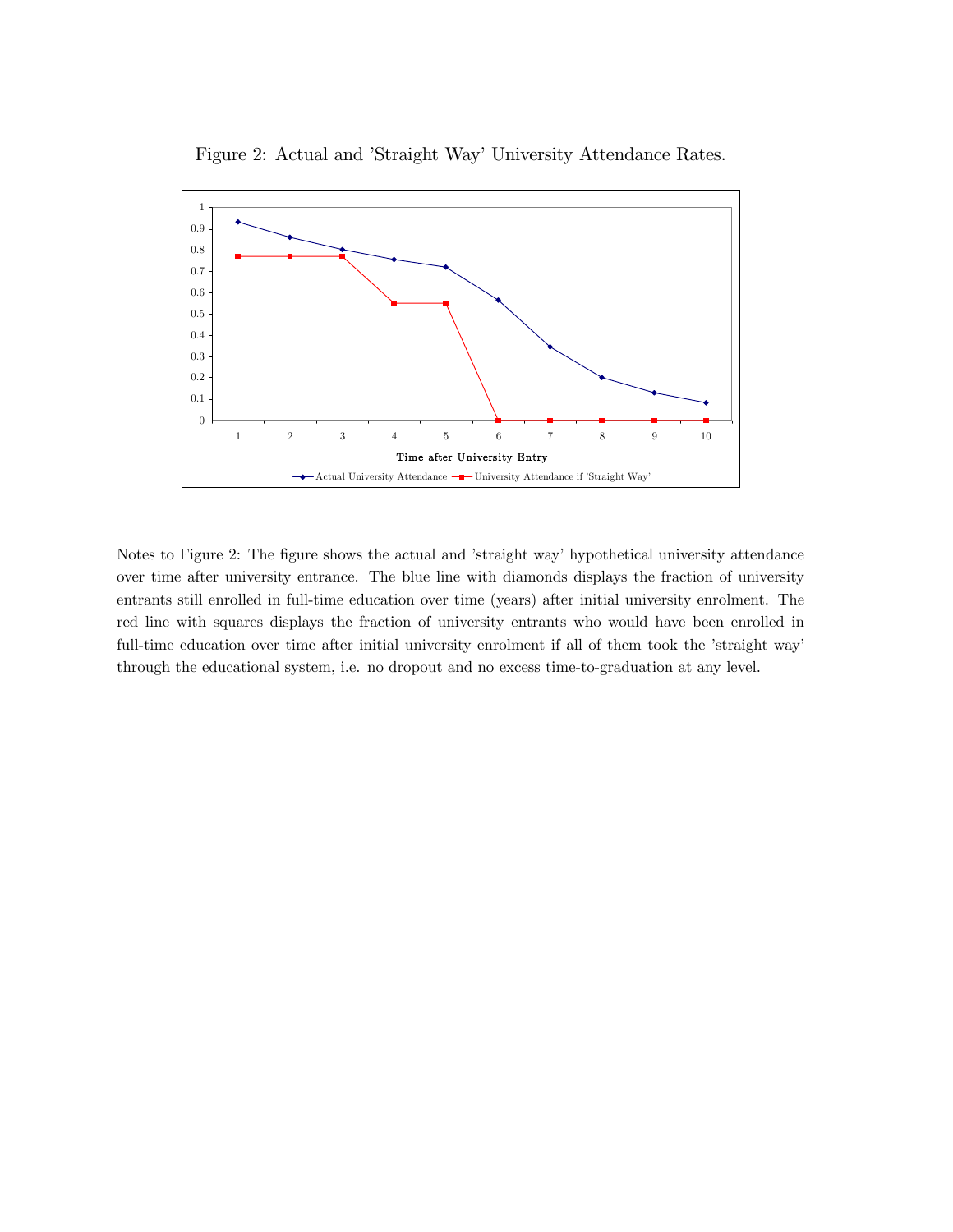

Figure 2: Actual and 'Straight Way' University Attendance Rates.

Notes to Figure 2: The figure shows the actual and 'straight way' hypothetical university attendance over time after university entrance. The blue line with diamonds displays the fraction of university entrants still enrolled in full-time education over time (years) after initial university enrolment. The red line with squares displays the fraction of university entrants who would have been enrolled in full-time education over time after initial university enrolment if all of them took the 'straight way' through the educational system, i.e. no dropout and no excess time-to-graduation at any level.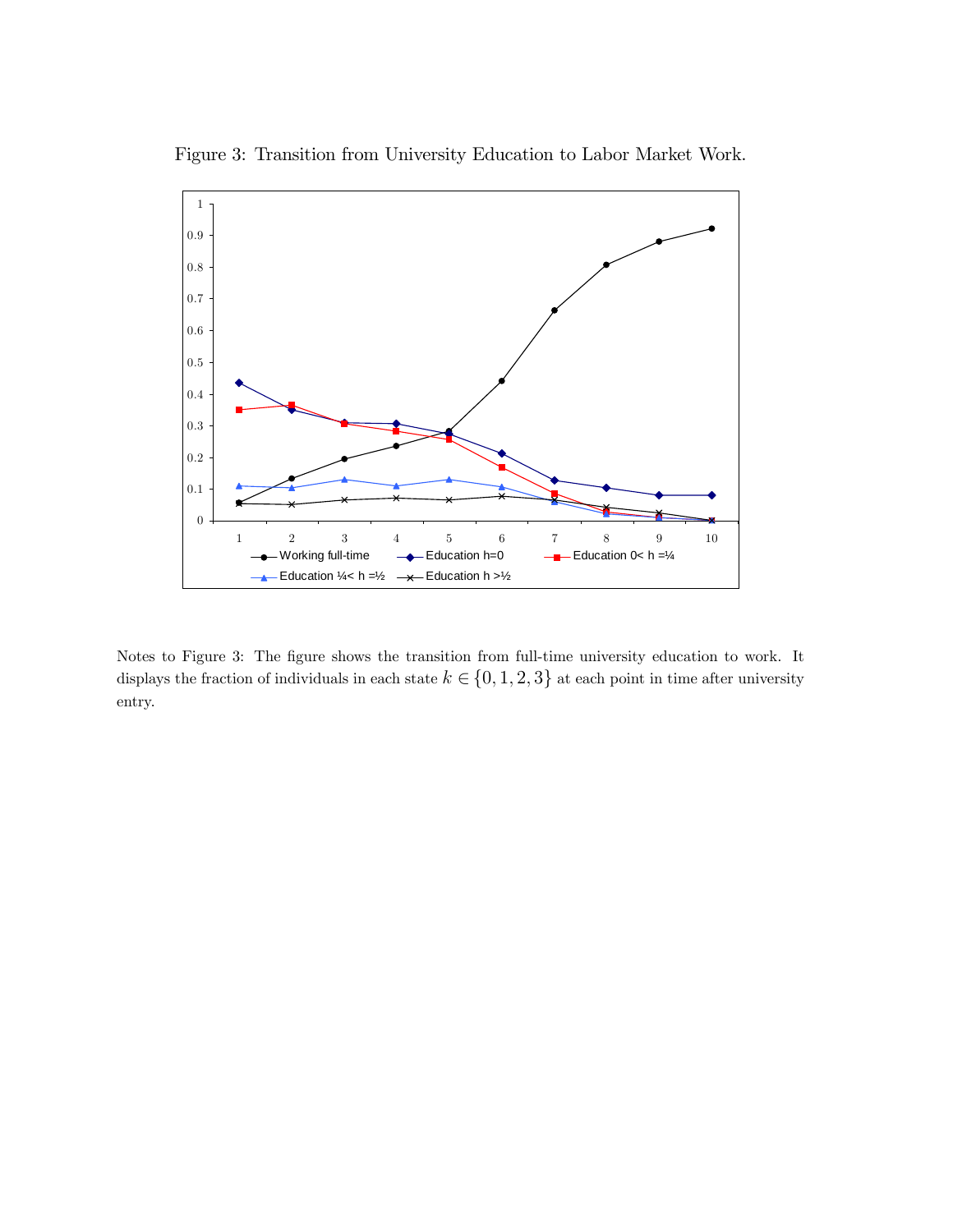

Figure 3: Transition from University Education to Labor Market Work.

Notes to Figure 3: The figure shows the transition from full-time university education to work. It displays the fraction of individuals in each state  $k \in \{0, 1, 2, 3\}$  at each point in time after university entry.